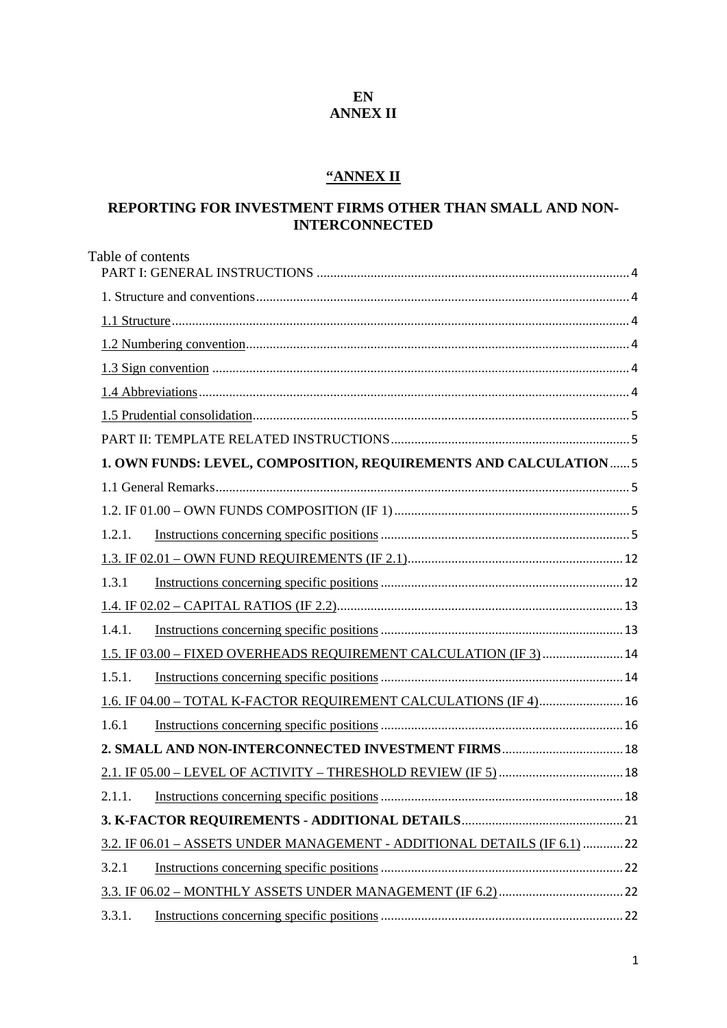#### **EN ANNEX II**

### **"ANNEX II**

### **REPORTING FOR INVESTMENT FIRMS OTHER THAN SMALL AND NON-INTERCONNECTED**

| Table of contents                                                        |
|--------------------------------------------------------------------------|
|                                                                          |
|                                                                          |
|                                                                          |
|                                                                          |
|                                                                          |
|                                                                          |
|                                                                          |
|                                                                          |
| 1. OWN FUNDS: LEVEL, COMPOSITION, REQUIREMENTS AND CALCULATION 5         |
|                                                                          |
|                                                                          |
| 1.2.1.                                                                   |
|                                                                          |
| 1.3.1                                                                    |
|                                                                          |
| 1.4.1.                                                                   |
| 1.5. IF 03.00 - FIXED OVERHEADS REQUIREMENT CALCULATION (IF 3)  14       |
| 1.5.1.                                                                   |
| 1.6. IF 04.00 - TOTAL K-FACTOR REQUIREMENT CALCULATIONS (IF 4) 16        |
| 1.6.1                                                                    |
| 2. SMALL AND NON-INTERCONNECTED INVESTMENT FIRMS 18                      |
|                                                                          |
|                                                                          |
|                                                                          |
| 3.2. IF 06.01 - ASSETS UNDER MANAGEMENT - ADDITIONAL DETAILS (IF 6.1) 22 |
| 3.2.1                                                                    |
|                                                                          |
| 3.3.1.                                                                   |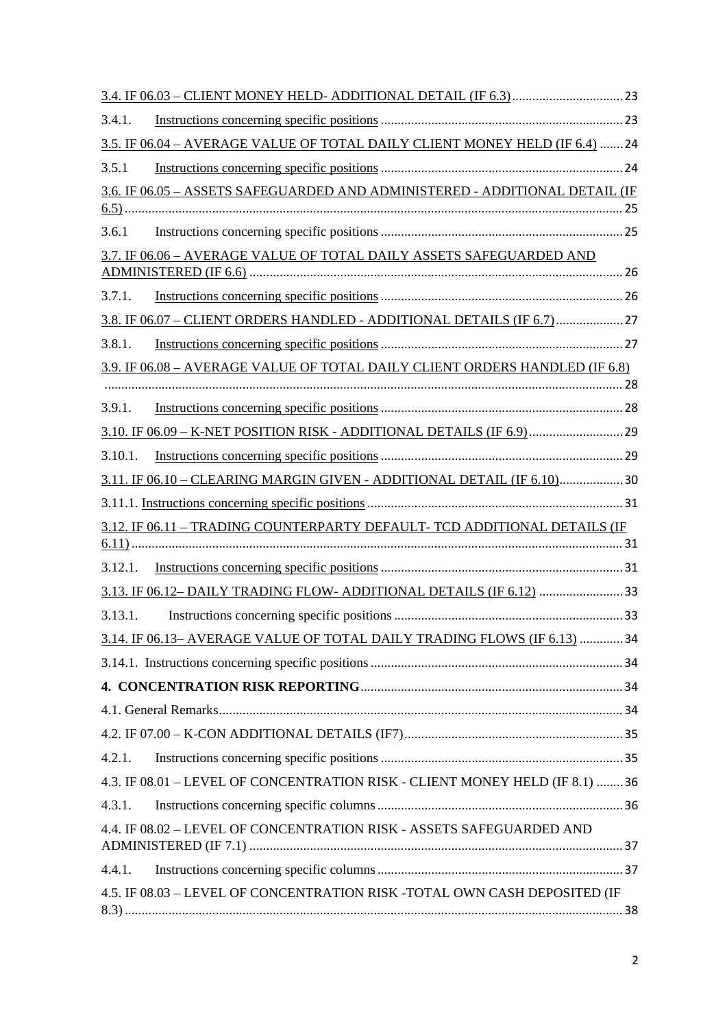| 3.4.1.                                                                      |  |
|-----------------------------------------------------------------------------|--|
| 3.5. IF 06.04 - AVERAGE VALUE OF TOTAL DAILY CLIENT MONEY HELD (IF 6.4)  24 |  |
| 3.5.1                                                                       |  |
| 3.6. IF 06.05 - ASSETS SAFEGUARDED AND ADMINISTERED - ADDITIONAL DETAIL (IF |  |
|                                                                             |  |
| 3.6.1                                                                       |  |
| 3.7. IF 06.06 - AVERAGE VALUE OF TOTAL DAILY ASSETS SAFEGUARDED AND         |  |
|                                                                             |  |
| 3.7.1.                                                                      |  |
| 3.8. IF 06.07 - CLIENT ORDERS HANDLED - ADDITIONAL DETAILS (IF 6.7) 27      |  |
| 3.8.1.                                                                      |  |
| 3.9. IF 06.08 - AVERAGE VALUE OF TOTAL DAILY CLIENT ORDERS HANDLED (IF 6.8) |  |
| 3.9.1.                                                                      |  |
| 3.10. IF 06.09 - K-NET POSITION RISK - ADDITIONAL DETAILS (IF 6.9)  29      |  |
| 3.10.1.                                                                     |  |
|                                                                             |  |
| 3.11. IF 06.10 - CLEARING MARGIN GIVEN - ADDITIONAL DETAIL (IF 6.10)30      |  |
|                                                                             |  |
| 3.12. IF 06.11 - TRADING COUNTERPARTY DEFAULT- TCD ADDITIONAL DETAILS (IF   |  |
| 3.12.1.                                                                     |  |
| 3.13. IF 06.12-DAILY TRADING FLOW-ADDITIONAL DETAILS (IF 6.12) 33           |  |
| 3.13.1.                                                                     |  |
|                                                                             |  |
| 3.14. IF 06.13-AVERAGE VALUE OF TOTAL DAILY TRADING FLOWS (IF 6.13)  34     |  |
|                                                                             |  |
|                                                                             |  |
|                                                                             |  |
|                                                                             |  |
| 4.2.1.                                                                      |  |
| 4.3. IF 08.01 - LEVEL OF CONCENTRATION RISK - CLIENT MONEY HELD (IF 8.1) 36 |  |
| 4.3.1.                                                                      |  |
| 4.4. IF 08.02 - LEVEL OF CONCENTRATION RISK - ASSETS SAFEGUARDED AND        |  |
| 4.4.1.                                                                      |  |
| 4.5. IF 08.03 - LEVEL OF CONCENTRATION RISK -TOTAL OWN CASH DEPOSITED (IF   |  |
|                                                                             |  |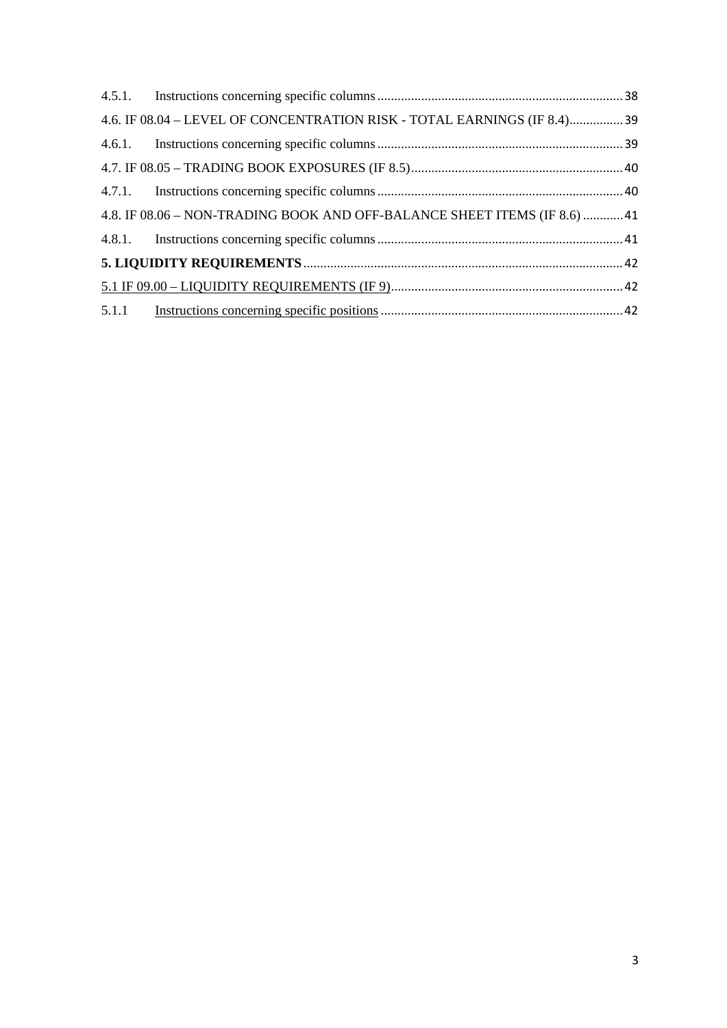| 4.6. IF 08.04 - LEVEL OF CONCENTRATION RISK - TOTAL EARNINGS (IF 8.4)39    |  |
|----------------------------------------------------------------------------|--|
|                                                                            |  |
|                                                                            |  |
|                                                                            |  |
| 41.8. IF 08.06 - NON-TRADING BOOK AND OFF-BALANCE SHEET ITEMS (IF 8.6)  41 |  |
|                                                                            |  |
|                                                                            |  |
|                                                                            |  |
|                                                                            |  |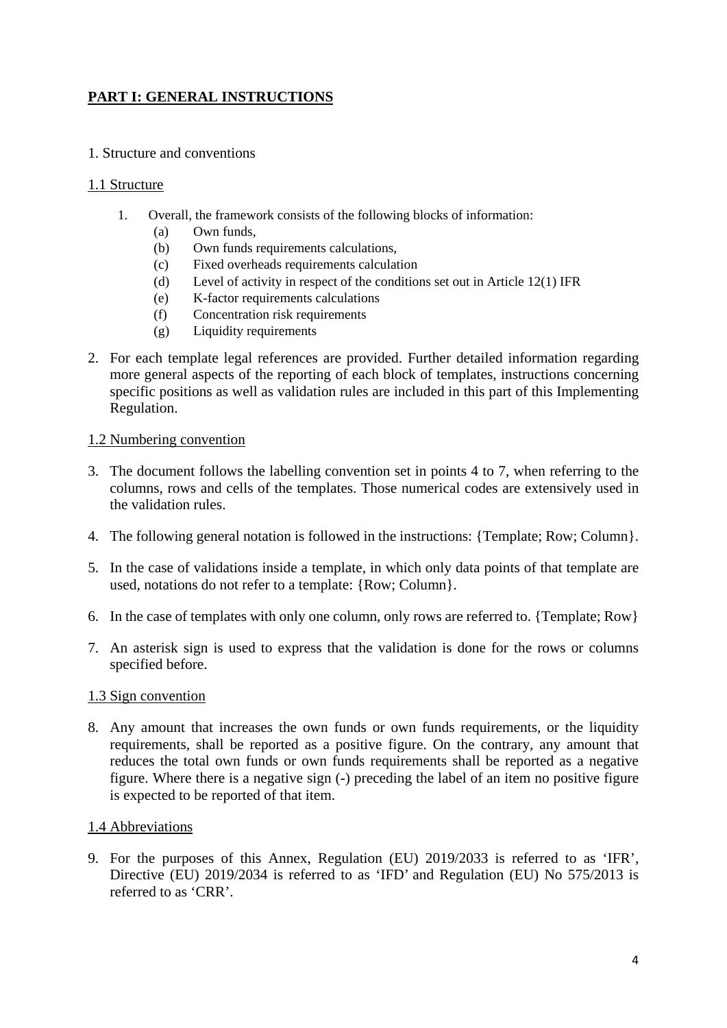### **PART I: GENERAL INSTRUCTIONS**

#### 1. Structure and conventions

#### 1.1 Structure

- 1. Overall, the framework consists of the following blocks of information:
	- (a) Own funds,
	- (b) Own funds requirements calculations,
	- (c) Fixed overheads requirements calculation
	- (d) Level of activity in respect of the conditions set out in Article 12(1) IFR
	- (e) K-factor requirements calculations
	- (f) Concentration risk requirements
	- (g) Liquidity requirements
- 2. For each template legal references are provided. Further detailed information regarding more general aspects of the reporting of each block of templates, instructions concerning specific positions as well as validation rules are included in this part of this Implementing Regulation.

#### 1.2 Numbering convention

- 3. The document follows the labelling convention set in points 4 to 7, when referring to the columns, rows and cells of the templates. Those numerical codes are extensively used in the validation rules.
- 4. The following general notation is followed in the instructions: {Template; Row; Column}.
- 5. In the case of validations inside a template, in which only data points of that template are used, notations do not refer to a template: {Row; Column}.
- 6. In the case of templates with only one column, only rows are referred to. {Template; Row}
- 7. An asterisk sign is used to express that the validation is done for the rows or columns specified before.

#### 1.3 Sign convention

8. Any amount that increases the own funds or own funds requirements, or the liquidity requirements, shall be reported as a positive figure. On the contrary, any amount that reduces the total own funds or own funds requirements shall be reported as a negative figure. Where there is a negative sign (-) preceding the label of an item no positive figure is expected to be reported of that item.

#### 1.4 Abbreviations

9. For the purposes of this Annex, Regulation (EU) 2019/2033 is referred to as 'IFR', Directive (EU) 2019/2034 is referred to as 'IFD' and Regulation (EU) No 575/2013 is referred to as 'CRR'.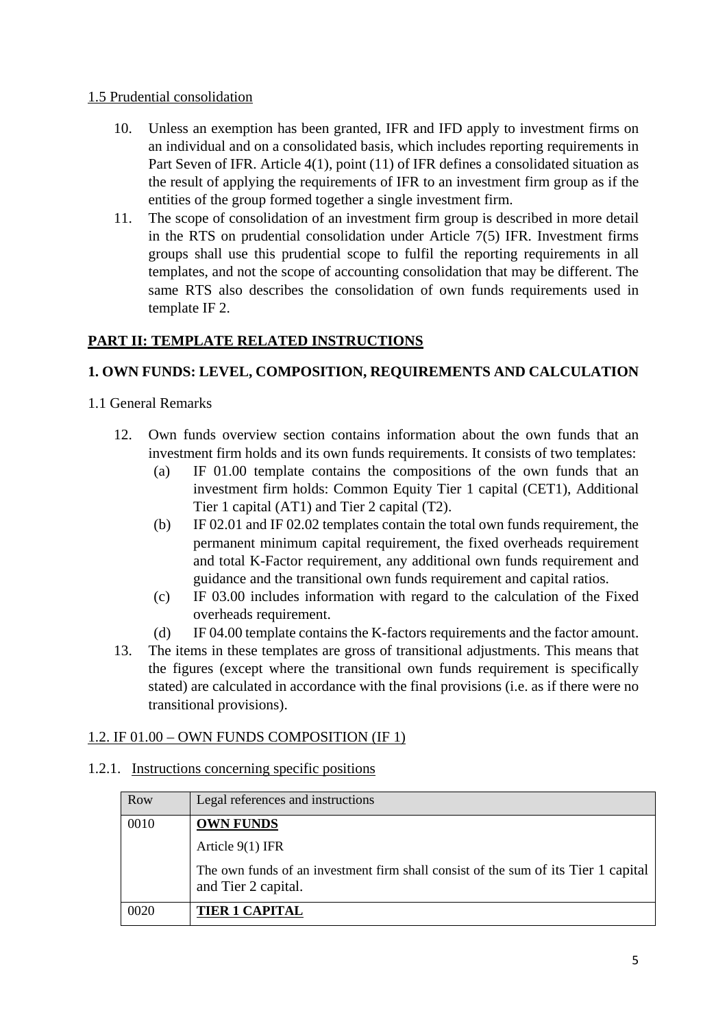#### 1.5 Prudential consolidation

- 10. Unless an exemption has been granted, IFR and IFD apply to investment firms on an individual and on a consolidated basis, which includes reporting requirements in Part Seven of IFR. Article 4(1), point (11) of IFR defines a consolidated situation as the result of applying the requirements of IFR to an investment firm group as if the entities of the group formed together a single investment firm.
- 11. The scope of consolidation of an investment firm group is described in more detail in the RTS on prudential consolidation under Article 7(5) IFR. Investment firms groups shall use this prudential scope to fulfil the reporting requirements in all templates, and not the scope of accounting consolidation that may be different. The same RTS also describes the consolidation of own funds requirements used in template IF 2.

### **PART II: TEMPLATE RELATED INSTRUCTIONS**

### **1. OWN FUNDS: LEVEL, COMPOSITION, REQUIREMENTS AND CALCULATION**

- 1.1 General Remarks
	- 12. Own funds overview section contains information about the own funds that an investment firm holds and its own funds requirements. It consists of two templates:
		- (a) IF 01.00 template contains the compositions of the own funds that an investment firm holds: Common Equity Tier 1 capital (CET1), Additional Tier 1 capital (AT1) and Tier 2 capital (T2).
		- (b) IF 02.01 and IF 02.02 templates contain the total own funds requirement, the permanent minimum capital requirement, the fixed overheads requirement and total K-Factor requirement, any additional own funds requirement and guidance and the transitional own funds requirement and capital ratios.
		- (c) IF 03.00 includes information with regard to the calculation of the Fixed overheads requirement.
		- (d) IF 04.00 template contains the K-factors requirements and the factor amount.
	- 13. The items in these templates are gross of transitional adjustments. This means that the figures (except where the transitional own funds requirement is specifically stated) are calculated in accordance with the final provisions (i.e. as if there were no transitional provisions).

#### 1.2. IF 01.00 – OWN FUNDS COMPOSITION (IF 1)

#### 1.2.1. Instructions concerning specific positions

| Row  | Legal references and instructions                                                                         |
|------|-----------------------------------------------------------------------------------------------------------|
| 0010 | <b>OWN FUNDS</b>                                                                                          |
|      | Article $9(1)$ IFR                                                                                        |
|      | The own funds of an investment firm shall consist of the sum of its Tier 1 capital<br>and Tier 2 capital. |
| 0020 | <b>TIER 1 CAPITAL</b>                                                                                     |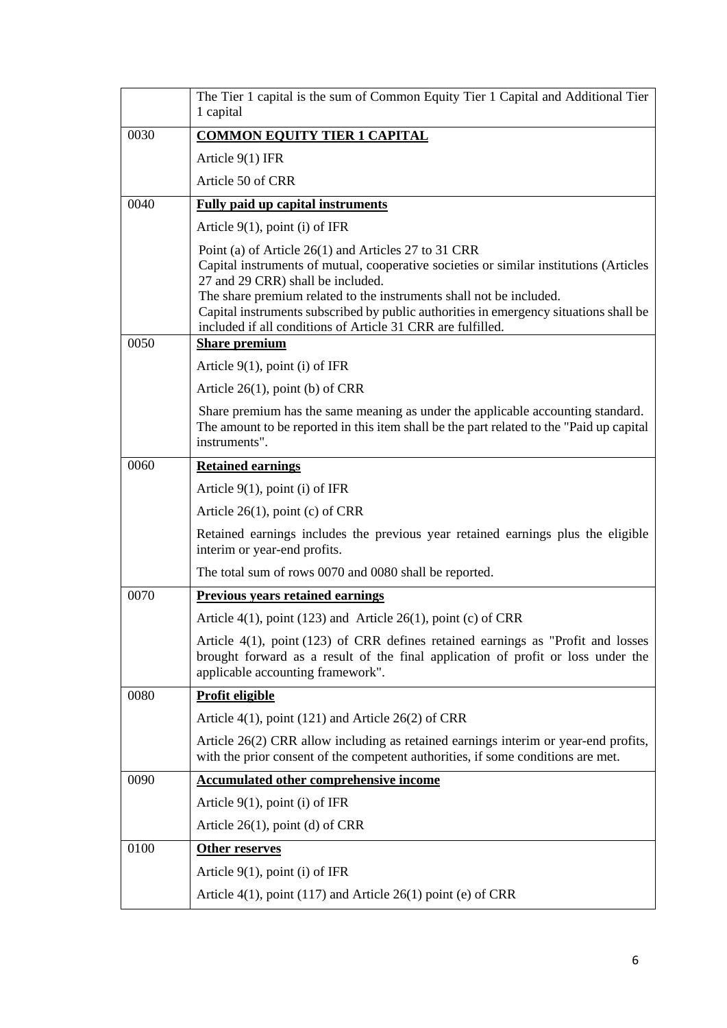|      | The Tier 1 capital is the sum of Common Equity Tier 1 Capital and Additional Tier<br>1 capital                                                                                                                                                                                                                                                                                                                     |
|------|--------------------------------------------------------------------------------------------------------------------------------------------------------------------------------------------------------------------------------------------------------------------------------------------------------------------------------------------------------------------------------------------------------------------|
| 0030 | <b>COMMON EQUITY TIER 1 CAPITAL</b>                                                                                                                                                                                                                                                                                                                                                                                |
|      | Article $9(1)$ IFR                                                                                                                                                                                                                                                                                                                                                                                                 |
|      | Article 50 of CRR                                                                                                                                                                                                                                                                                                                                                                                                  |
| 0040 | <b>Fully paid up capital instruments</b>                                                                                                                                                                                                                                                                                                                                                                           |
|      | Article $9(1)$ , point (i) of IFR                                                                                                                                                                                                                                                                                                                                                                                  |
|      | Point (a) of Article 26(1) and Articles 27 to 31 CRR<br>Capital instruments of mutual, cooperative societies or similar institutions (Articles<br>27 and 29 CRR) shall be included.<br>The share premium related to the instruments shall not be included.<br>Capital instruments subscribed by public authorities in emergency situations shall be<br>included if all conditions of Article 31 CRR are fulfilled. |
| 0050 | <b>Share premium</b>                                                                                                                                                                                                                                                                                                                                                                                               |
|      | Article $9(1)$ , point (i) of IFR                                                                                                                                                                                                                                                                                                                                                                                  |
|      | Article $26(1)$ , point (b) of CRR                                                                                                                                                                                                                                                                                                                                                                                 |
|      | Share premium has the same meaning as under the applicable accounting standard.<br>The amount to be reported in this item shall be the part related to the "Paid up capital"<br>instruments".                                                                                                                                                                                                                      |
| 0060 | <b>Retained earnings</b>                                                                                                                                                                                                                                                                                                                                                                                           |
|      | Article $9(1)$ , point (i) of IFR                                                                                                                                                                                                                                                                                                                                                                                  |
|      | Article $26(1)$ , point (c) of CRR                                                                                                                                                                                                                                                                                                                                                                                 |
|      | Retained earnings includes the previous year retained earnings plus the eligible<br>interim or year-end profits.                                                                                                                                                                                                                                                                                                   |
|      | The total sum of rows 0070 and 0080 shall be reported.                                                                                                                                                                                                                                                                                                                                                             |
| 0070 | Previous years retained earnings                                                                                                                                                                                                                                                                                                                                                                                   |
|      | Article 4(1), point (123) and Article 26(1), point (c) of CRR                                                                                                                                                                                                                                                                                                                                                      |
|      | Article $4(1)$ , point (123) of CRR defines retained earnings as "Profit and losses<br>brought forward as a result of the final application of profit or loss under the<br>applicable accounting framework".                                                                                                                                                                                                       |
| 0080 | <b>Profit eligible</b>                                                                                                                                                                                                                                                                                                                                                                                             |
|      | Article $4(1)$ , point (121) and Article 26(2) of CRR                                                                                                                                                                                                                                                                                                                                                              |
|      | Article 26(2) CRR allow including as retained earnings interim or year-end profits,<br>with the prior consent of the competent authorities, if some conditions are met.                                                                                                                                                                                                                                            |
| 0090 | <b>Accumulated other comprehensive income</b>                                                                                                                                                                                                                                                                                                                                                                      |
|      | Article $9(1)$ , point (i) of IFR                                                                                                                                                                                                                                                                                                                                                                                  |
|      | Article $26(1)$ , point (d) of CRR                                                                                                                                                                                                                                                                                                                                                                                 |
| 0100 | Other reserves                                                                                                                                                                                                                                                                                                                                                                                                     |
|      | Article $9(1)$ , point (i) of IFR                                                                                                                                                                                                                                                                                                                                                                                  |
|      | Article $4(1)$ , point (117) and Article 26(1) point (e) of CRR                                                                                                                                                                                                                                                                                                                                                    |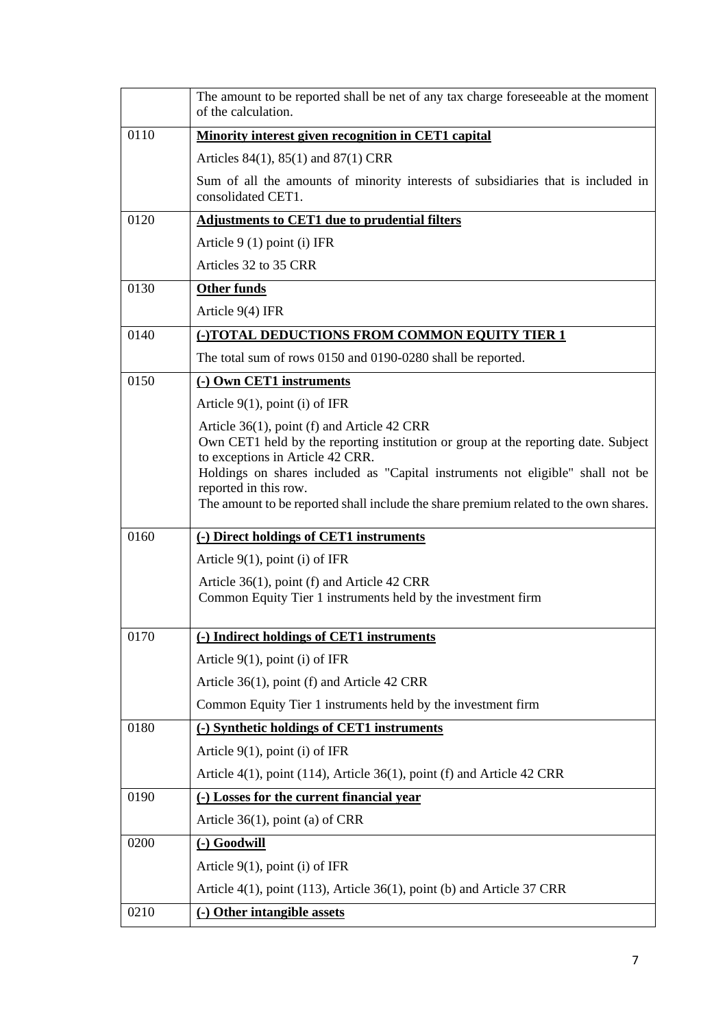|      | The amount to be reported shall be net of any tax charge foreseeable at the moment<br>of the calculation.                                                                                                                                                                                                                                                                |
|------|--------------------------------------------------------------------------------------------------------------------------------------------------------------------------------------------------------------------------------------------------------------------------------------------------------------------------------------------------------------------------|
| 0110 | <b>Minority interest given recognition in CET1 capital</b>                                                                                                                                                                                                                                                                                                               |
|      | Articles 84(1), 85(1) and 87(1) CRR                                                                                                                                                                                                                                                                                                                                      |
|      | Sum of all the amounts of minority interests of subsidiaries that is included in<br>consolidated CET1.                                                                                                                                                                                                                                                                   |
| 0120 | <b>Adjustments to CET1 due to prudential filters</b>                                                                                                                                                                                                                                                                                                                     |
|      | Article $9(1)$ point (i) IFR                                                                                                                                                                                                                                                                                                                                             |
|      | Articles 32 to 35 CRR                                                                                                                                                                                                                                                                                                                                                    |
| 0130 | <b>Other funds</b>                                                                                                                                                                                                                                                                                                                                                       |
|      | Article $9(4)$ IFR                                                                                                                                                                                                                                                                                                                                                       |
| 0140 | (-)TOTAL DEDUCTIONS FROM COMMON EQUITY TIER 1                                                                                                                                                                                                                                                                                                                            |
|      | The total sum of rows 0150 and 0190-0280 shall be reported.                                                                                                                                                                                                                                                                                                              |
| 0150 | (-) Own CET1 instruments                                                                                                                                                                                                                                                                                                                                                 |
|      | Article $9(1)$ , point (i) of IFR                                                                                                                                                                                                                                                                                                                                        |
|      | Article 36(1), point (f) and Article 42 CRR<br>Own CET1 held by the reporting institution or group at the reporting date. Subject<br>to exceptions in Article 42 CRR.<br>Holdings on shares included as "Capital instruments not eligible" shall not be<br>reported in this row.<br>The amount to be reported shall include the share premium related to the own shares. |
| 0160 | (-) Direct holdings of CET1 instruments                                                                                                                                                                                                                                                                                                                                  |
|      | Article $9(1)$ , point (i) of IFR                                                                                                                                                                                                                                                                                                                                        |
|      | Article 36(1), point (f) and Article 42 CRR<br>Common Equity Tier 1 instruments held by the investment firm                                                                                                                                                                                                                                                              |
| 0170 | (-) Indirect holdings of CET1 instruments                                                                                                                                                                                                                                                                                                                                |
|      | Article $9(1)$ , point (i) of IFR                                                                                                                                                                                                                                                                                                                                        |
|      | Article 36(1), point (f) and Article 42 CRR                                                                                                                                                                                                                                                                                                                              |
|      | Common Equity Tier 1 instruments held by the investment firm                                                                                                                                                                                                                                                                                                             |
| 0180 | (-) Synthetic holdings of CET1 instruments                                                                                                                                                                                                                                                                                                                               |
|      | Article $9(1)$ , point (i) of IFR                                                                                                                                                                                                                                                                                                                                        |
|      | Article 4(1), point (114), Article 36(1), point (f) and Article 42 CRR                                                                                                                                                                                                                                                                                                   |
| 0190 | (-) Losses for the current financial year                                                                                                                                                                                                                                                                                                                                |
|      | Article $36(1)$ , point (a) of CRR                                                                                                                                                                                                                                                                                                                                       |
| 0200 | (-) Goodwill                                                                                                                                                                                                                                                                                                                                                             |
|      | Article $9(1)$ , point (i) of IFR                                                                                                                                                                                                                                                                                                                                        |
|      | Article $4(1)$ , point $(113)$ , Article $36(1)$ , point (b) and Article 37 CRR                                                                                                                                                                                                                                                                                          |
| 0210 | (-) Other intangible assets                                                                                                                                                                                                                                                                                                                                              |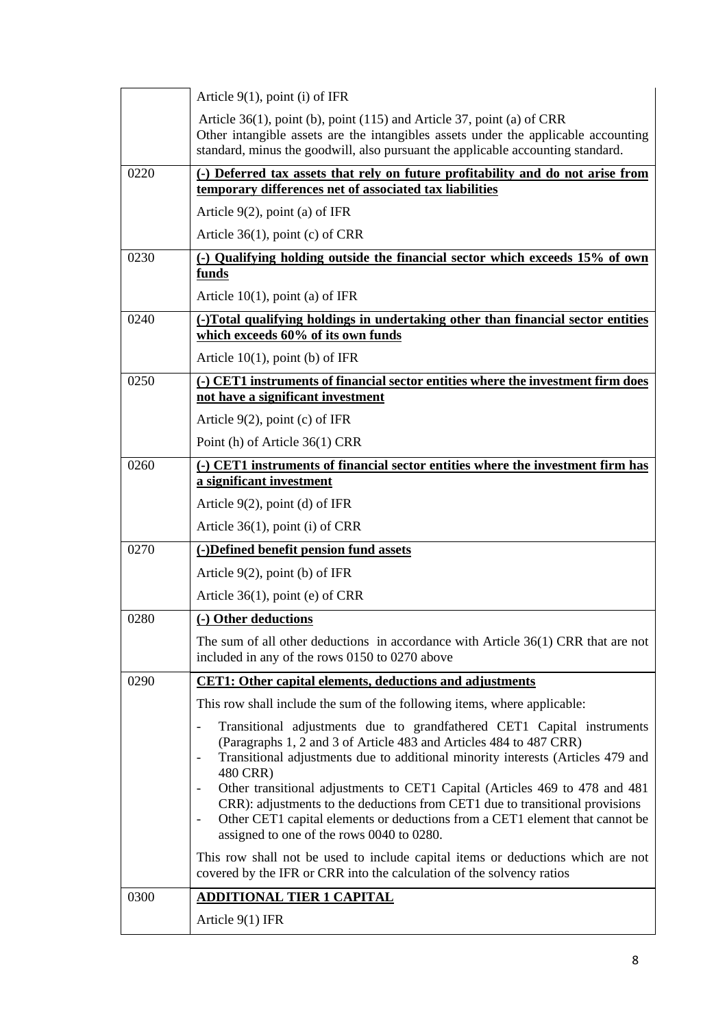|      | Article $9(1)$ , point (i) of IFR                                                                                                                                                                                                                                                        |
|------|------------------------------------------------------------------------------------------------------------------------------------------------------------------------------------------------------------------------------------------------------------------------------------------|
|      | Article $36(1)$ , point (b), point (115) and Article 37, point (a) of CRR<br>Other intangible assets are the intangibles assets under the applicable accounting<br>standard, minus the goodwill, also pursuant the applicable accounting standard.                                       |
| 0220 | (-) Deferred tax assets that rely on future profitability and do not arise from<br>temporary differences net of associated tax liabilities                                                                                                                                               |
|      | Article $9(2)$ , point (a) of IFR                                                                                                                                                                                                                                                        |
|      | Article $36(1)$ , point (c) of CRR                                                                                                                                                                                                                                                       |
| 0230 | (-) Qualifying holding outside the financial sector which exceeds 15% of own                                                                                                                                                                                                             |
|      | funds                                                                                                                                                                                                                                                                                    |
|      | Article $10(1)$ , point (a) of IFR                                                                                                                                                                                                                                                       |
| 0240 | (-)Total qualifying holdings in undertaking other than financial sector entities<br>which exceeds 60% of its own funds                                                                                                                                                                   |
|      | Article $10(1)$ , point (b) of IFR                                                                                                                                                                                                                                                       |
| 0250 | (-) CET1 instruments of financial sector entities where the investment firm does<br>not have a significant investment                                                                                                                                                                    |
|      | Article $9(2)$ , point (c) of IFR                                                                                                                                                                                                                                                        |
|      | Point (h) of Article 36(1) CRR                                                                                                                                                                                                                                                           |
| 0260 | (-) CET1 instruments of financial sector entities where the investment firm has                                                                                                                                                                                                          |
|      | a significant investment                                                                                                                                                                                                                                                                 |
|      | Article $9(2)$ , point (d) of IFR                                                                                                                                                                                                                                                        |
|      | Article $36(1)$ , point (i) of CRR                                                                                                                                                                                                                                                       |
| 0270 | (-)Defined benefit pension fund assets                                                                                                                                                                                                                                                   |
|      | Article $9(2)$ , point (b) of IFR                                                                                                                                                                                                                                                        |
|      | Article $36(1)$ , point (e) of CRR                                                                                                                                                                                                                                                       |
| 0280 | (-) Other deductions                                                                                                                                                                                                                                                                     |
|      | The sum of all other deductions in accordance with Article 36(1) CRR that are not<br>included in any of the rows 0150 to 0270 above                                                                                                                                                      |
| 0290 | <b>CET1:</b> Other capital elements, deductions and adjustments                                                                                                                                                                                                                          |
|      | This row shall include the sum of the following items, where applicable:                                                                                                                                                                                                                 |
|      | Transitional adjustments due to grandfathered CET1 Capital instruments<br>(Paragraphs 1, 2 and 3 of Article 483 and Articles 484 to 487 CRR)<br>Transitional adjustments due to additional minority interests (Articles 479 and<br>480 CRR)                                              |
|      | Other transitional adjustments to CET1 Capital (Articles 469 to 478 and 481<br>CRR): adjustments to the deductions from CET1 due to transitional provisions<br>Other CET1 capital elements or deductions from a CET1 element that cannot be<br>assigned to one of the rows 0040 to 0280. |
|      | This row shall not be used to include capital items or deductions which are not<br>covered by the IFR or CRR into the calculation of the solvency ratios                                                                                                                                 |
| 0300 | <b>ADDITIONAL TIER 1 CAPITAL</b>                                                                                                                                                                                                                                                         |
|      | Article 9(1) IFR                                                                                                                                                                                                                                                                         |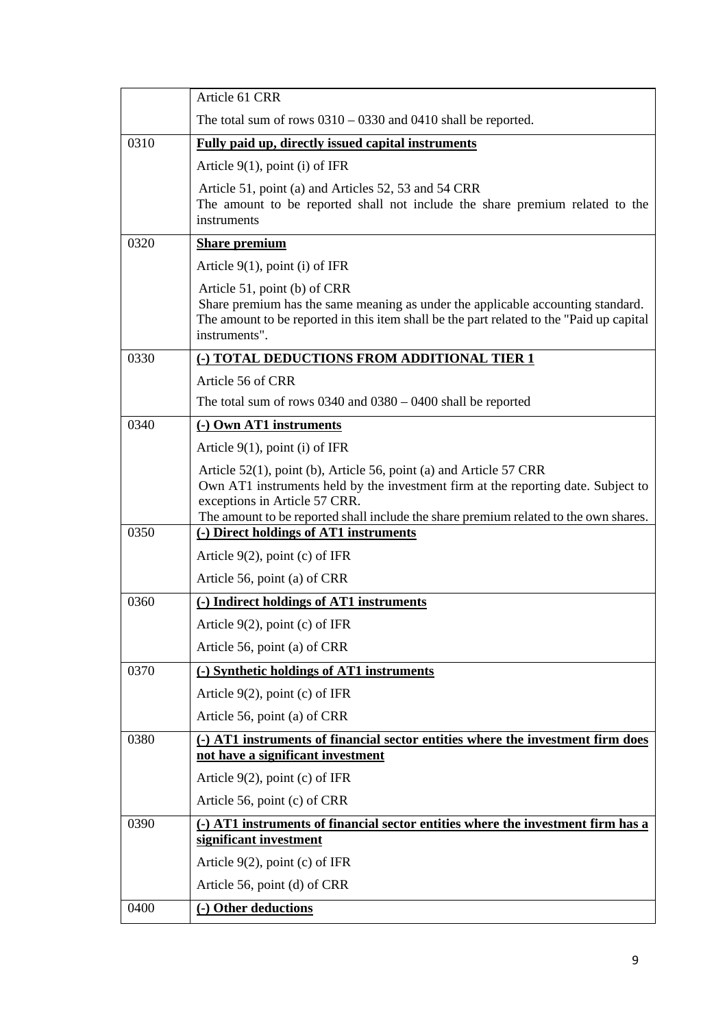|      | Article 61 CRR                                                                                                                                                                                                                                                                   |
|------|----------------------------------------------------------------------------------------------------------------------------------------------------------------------------------------------------------------------------------------------------------------------------------|
|      | The total sum of rows $0310 - 0330$ and $0410$ shall be reported.                                                                                                                                                                                                                |
| 0310 | <b>Fully paid up, directly issued capital instruments</b>                                                                                                                                                                                                                        |
|      | Article $9(1)$ , point (i) of IFR                                                                                                                                                                                                                                                |
|      | Article 51, point (a) and Articles 52, 53 and 54 CRR<br>The amount to be reported shall not include the share premium related to the<br>instruments                                                                                                                              |
| 0320 | <b>Share premium</b>                                                                                                                                                                                                                                                             |
|      | Article $9(1)$ , point (i) of IFR                                                                                                                                                                                                                                                |
|      | Article 51, point (b) of CRR<br>Share premium has the same meaning as under the applicable accounting standard.<br>The amount to be reported in this item shall be the part related to the "Paid up capital"<br>instruments".                                                    |
| 0330 | (-) TOTAL DEDUCTIONS FROM ADDITIONAL TIER 1                                                                                                                                                                                                                                      |
|      | Article 56 of CRR                                                                                                                                                                                                                                                                |
|      | The total sum of rows $0340$ and $0380 - 0400$ shall be reported                                                                                                                                                                                                                 |
| 0340 | (-) Own AT1 instruments                                                                                                                                                                                                                                                          |
|      | Article $9(1)$ , point (i) of IFR                                                                                                                                                                                                                                                |
|      | Article 52(1), point (b), Article 56, point (a) and Article 57 CRR<br>Own AT1 instruments held by the investment firm at the reporting date. Subject to<br>exceptions in Article 57 CRR.<br>The amount to be reported shall include the share premium related to the own shares. |
| 0350 | (-) Direct holdings of AT1 instruments                                                                                                                                                                                                                                           |
|      | Article $9(2)$ , point (c) of IFR                                                                                                                                                                                                                                                |
|      | Article 56, point (a) of CRR                                                                                                                                                                                                                                                     |
| 0360 | (-) Indirect holdings of AT1 instruments                                                                                                                                                                                                                                         |
|      | Article $9(2)$ , point (c) of IFR                                                                                                                                                                                                                                                |
|      | Article 56, point (a) of CRR                                                                                                                                                                                                                                                     |
| 0370 | (-) Synthetic holdings of AT1 instruments                                                                                                                                                                                                                                        |
|      | Article $9(2)$ , point (c) of IFR                                                                                                                                                                                                                                                |
|      | Article 56, point (a) of CRR                                                                                                                                                                                                                                                     |
| 0380 | (-) AT1 instruments of financial sector entities where the investment firm does<br>not have a significant investment                                                                                                                                                             |
|      | Article $9(2)$ , point (c) of IFR                                                                                                                                                                                                                                                |
|      | Article 56, point (c) of CRR                                                                                                                                                                                                                                                     |
| 0390 | (-) AT1 instruments of financial sector entities where the investment firm has a<br>significant investment                                                                                                                                                                       |
|      | Article $9(2)$ , point (c) of IFR                                                                                                                                                                                                                                                |
|      | Article 56, point (d) of CRR                                                                                                                                                                                                                                                     |
| 0400 | (-) Other deductions                                                                                                                                                                                                                                                             |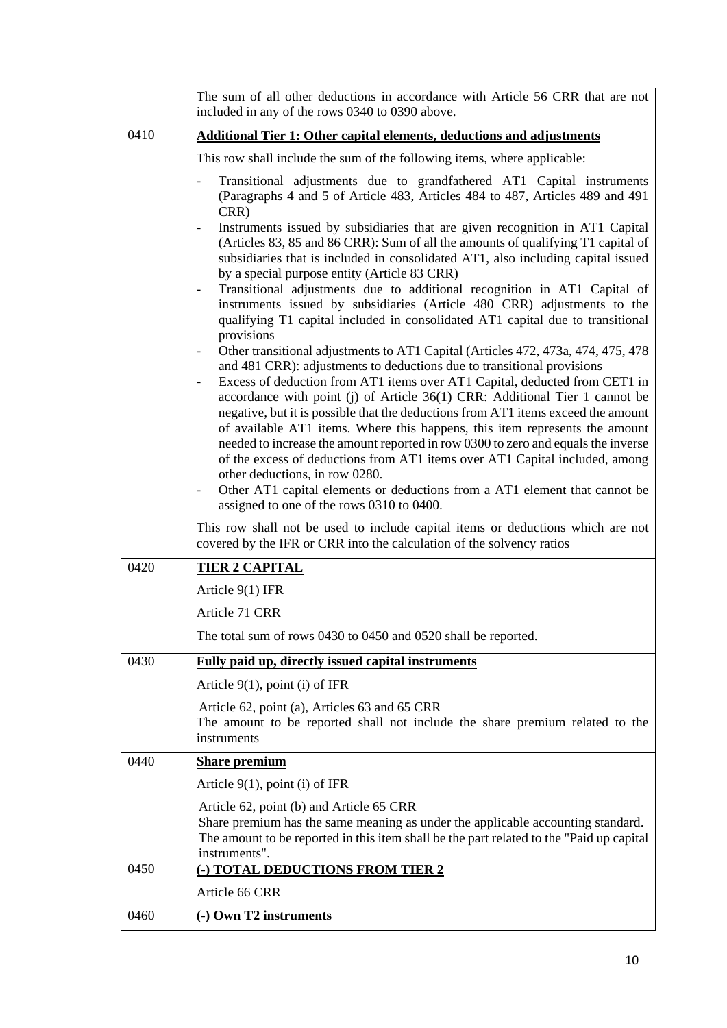|      | The sum of all other deductions in accordance with Article 56 CRR that are not<br>included in any of the rows 0340 to 0390 above.                                                                                                                                                                                                                                                                                                                                                                                                                                                                                                                                                                                                                                                                                                                                                                                                                                                                                                                                                                                                                                                                                                                                                                                                                                                                                                                                                                                 |
|------|-------------------------------------------------------------------------------------------------------------------------------------------------------------------------------------------------------------------------------------------------------------------------------------------------------------------------------------------------------------------------------------------------------------------------------------------------------------------------------------------------------------------------------------------------------------------------------------------------------------------------------------------------------------------------------------------------------------------------------------------------------------------------------------------------------------------------------------------------------------------------------------------------------------------------------------------------------------------------------------------------------------------------------------------------------------------------------------------------------------------------------------------------------------------------------------------------------------------------------------------------------------------------------------------------------------------------------------------------------------------------------------------------------------------------------------------------------------------------------------------------------------------|
| 0410 | <b>Additional Tier 1: Other capital elements, deductions and adjustments</b>                                                                                                                                                                                                                                                                                                                                                                                                                                                                                                                                                                                                                                                                                                                                                                                                                                                                                                                                                                                                                                                                                                                                                                                                                                                                                                                                                                                                                                      |
|      | This row shall include the sum of the following items, where applicable:                                                                                                                                                                                                                                                                                                                                                                                                                                                                                                                                                                                                                                                                                                                                                                                                                                                                                                                                                                                                                                                                                                                                                                                                                                                                                                                                                                                                                                          |
|      | Transitional adjustments due to grandfathered AT1 Capital instruments<br>(Paragraphs 4 and 5 of Article 483, Articles 484 to 487, Articles 489 and 491<br>CRR)<br>Instruments issued by subsidiaries that are given recognition in AT1 Capital<br>(Articles 83, 85 and 86 CRR): Sum of all the amounts of qualifying T1 capital of<br>subsidiaries that is included in consolidated AT1, also including capital issued<br>by a special purpose entity (Article 83 CRR)<br>Transitional adjustments due to additional recognition in AT1 Capital of<br>instruments issued by subsidiaries (Article 480 CRR) adjustments to the<br>qualifying T1 capital included in consolidated AT1 capital due to transitional<br>provisions<br>Other transitional adjustments to AT1 Capital (Articles 472, 473a, 474, 475, 478)<br>and 481 CRR): adjustments to deductions due to transitional provisions<br>Excess of deduction from AT1 items over AT1 Capital, deducted from CET1 in<br>accordance with point (j) of Article 36(1) CRR: Additional Tier 1 cannot be<br>negative, but it is possible that the deductions from AT1 items exceed the amount<br>of available AT1 items. Where this happens, this item represents the amount<br>needed to increase the amount reported in row 0300 to zero and equals the inverse<br>of the excess of deductions from AT1 items over AT1 Capital included, among<br>other deductions, in row 0280.<br>Other AT1 capital elements or deductions from a AT1 element that cannot be |
|      | assigned to one of the rows 0310 to 0400.<br>This row shall not be used to include capital items or deductions which are not<br>covered by the IFR or CRR into the calculation of the solvency ratios                                                                                                                                                                                                                                                                                                                                                                                                                                                                                                                                                                                                                                                                                                                                                                                                                                                                                                                                                                                                                                                                                                                                                                                                                                                                                                             |
| 0420 | <b>TIER 2 CAPITAL</b>                                                                                                                                                                                                                                                                                                                                                                                                                                                                                                                                                                                                                                                                                                                                                                                                                                                                                                                                                                                                                                                                                                                                                                                                                                                                                                                                                                                                                                                                                             |
|      | Article $9(1)$ IFR                                                                                                                                                                                                                                                                                                                                                                                                                                                                                                                                                                                                                                                                                                                                                                                                                                                                                                                                                                                                                                                                                                                                                                                                                                                                                                                                                                                                                                                                                                |
|      | Article 71 CRR                                                                                                                                                                                                                                                                                                                                                                                                                                                                                                                                                                                                                                                                                                                                                                                                                                                                                                                                                                                                                                                                                                                                                                                                                                                                                                                                                                                                                                                                                                    |
|      | The total sum of rows 0430 to 0450 and 0520 shall be reported.                                                                                                                                                                                                                                                                                                                                                                                                                                                                                                                                                                                                                                                                                                                                                                                                                                                                                                                                                                                                                                                                                                                                                                                                                                                                                                                                                                                                                                                    |
| 0430 | <b>Fully paid up, directly issued capital instruments</b>                                                                                                                                                                                                                                                                                                                                                                                                                                                                                                                                                                                                                                                                                                                                                                                                                                                                                                                                                                                                                                                                                                                                                                                                                                                                                                                                                                                                                                                         |
|      | Article $9(1)$ , point (i) of IFR                                                                                                                                                                                                                                                                                                                                                                                                                                                                                                                                                                                                                                                                                                                                                                                                                                                                                                                                                                                                                                                                                                                                                                                                                                                                                                                                                                                                                                                                                 |
|      | Article 62, point (a), Articles 63 and 65 CRR<br>The amount to be reported shall not include the share premium related to the<br>instruments                                                                                                                                                                                                                                                                                                                                                                                                                                                                                                                                                                                                                                                                                                                                                                                                                                                                                                                                                                                                                                                                                                                                                                                                                                                                                                                                                                      |
| 0440 | <b>Share premium</b>                                                                                                                                                                                                                                                                                                                                                                                                                                                                                                                                                                                                                                                                                                                                                                                                                                                                                                                                                                                                                                                                                                                                                                                                                                                                                                                                                                                                                                                                                              |
|      | Article $9(1)$ , point (i) of IFR                                                                                                                                                                                                                                                                                                                                                                                                                                                                                                                                                                                                                                                                                                                                                                                                                                                                                                                                                                                                                                                                                                                                                                                                                                                                                                                                                                                                                                                                                 |
|      | Article 62, point (b) and Article 65 CRR<br>Share premium has the same meaning as under the applicable accounting standard.<br>The amount to be reported in this item shall be the part related to the "Paid up capital<br>instruments".                                                                                                                                                                                                                                                                                                                                                                                                                                                                                                                                                                                                                                                                                                                                                                                                                                                                                                                                                                                                                                                                                                                                                                                                                                                                          |
| 0450 | <u>(-) TOTAL DEDUCTIONS FROM TIER 2</u>                                                                                                                                                                                                                                                                                                                                                                                                                                                                                                                                                                                                                                                                                                                                                                                                                                                                                                                                                                                                                                                                                                                                                                                                                                                                                                                                                                                                                                                                           |
|      | Article 66 CRR                                                                                                                                                                                                                                                                                                                                                                                                                                                                                                                                                                                                                                                                                                                                                                                                                                                                                                                                                                                                                                                                                                                                                                                                                                                                                                                                                                                                                                                                                                    |
| 0460 | (-) Own T2 instruments                                                                                                                                                                                                                                                                                                                                                                                                                                                                                                                                                                                                                                                                                                                                                                                                                                                                                                                                                                                                                                                                                                                                                                                                                                                                                                                                                                                                                                                                                            |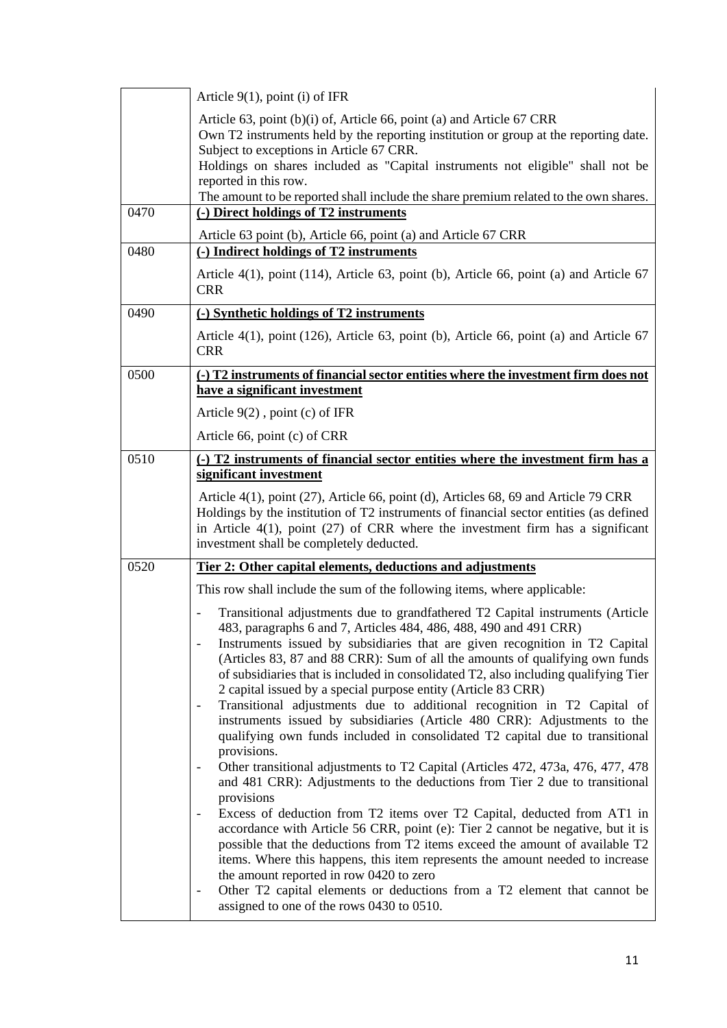|      | Article $9(1)$ , point (i) of IFR                                                                                                                                                                                                                                                                                                                                                                                                                                                                                                                                                                                                                                                                                |
|------|------------------------------------------------------------------------------------------------------------------------------------------------------------------------------------------------------------------------------------------------------------------------------------------------------------------------------------------------------------------------------------------------------------------------------------------------------------------------------------------------------------------------------------------------------------------------------------------------------------------------------------------------------------------------------------------------------------------|
|      | Article 63, point (b)(i) of, Article 66, point (a) and Article 67 CRR<br>Own T2 instruments held by the reporting institution or group at the reporting date.<br>Subject to exceptions in Article 67 CRR.<br>Holdings on shares included as "Capital instruments not eligible" shall not be<br>reported in this row.<br>The amount to be reported shall include the share premium related to the own shares.                                                                                                                                                                                                                                                                                                     |
| 0470 | (-) Direct holdings of T2 instruments                                                                                                                                                                                                                                                                                                                                                                                                                                                                                                                                                                                                                                                                            |
| 0480 | Article 63 point (b), Article 66, point (a) and Article 67 CRR<br>(-) Indirect holdings of T2 instruments                                                                                                                                                                                                                                                                                                                                                                                                                                                                                                                                                                                                        |
|      | Article $4(1)$ , point $(114)$ , Article 63, point (b), Article 66, point (a) and Article 67<br><b>CRR</b>                                                                                                                                                                                                                                                                                                                                                                                                                                                                                                                                                                                                       |
| 0490 | (-) Synthetic holdings of T2 instruments                                                                                                                                                                                                                                                                                                                                                                                                                                                                                                                                                                                                                                                                         |
|      | Article $4(1)$ , point $(126)$ , Article 63, point (b), Article 66, point (a) and Article 67<br><b>CRR</b>                                                                                                                                                                                                                                                                                                                                                                                                                                                                                                                                                                                                       |
| 0500 | (-) T2 instruments of financial sector entities where the investment firm does not<br>have a significant investment                                                                                                                                                                                                                                                                                                                                                                                                                                                                                                                                                                                              |
|      | Article $9(2)$ , point (c) of IFR                                                                                                                                                                                                                                                                                                                                                                                                                                                                                                                                                                                                                                                                                |
|      | Article 66, point (c) of CRR                                                                                                                                                                                                                                                                                                                                                                                                                                                                                                                                                                                                                                                                                     |
| 0510 | (-) T2 instruments of financial sector entities where the investment firm has a<br>significant investment                                                                                                                                                                                                                                                                                                                                                                                                                                                                                                                                                                                                        |
|      | Article 4(1), point (27), Article 66, point (d), Articles 68, 69 and Article 79 CRR<br>Holdings by the institution of T2 instruments of financial sector entities (as defined<br>in Article $4(1)$ , point (27) of CRR where the investment firm has a significant<br>investment shall be completely deducted.                                                                                                                                                                                                                                                                                                                                                                                                   |
| 0520 | Tier 2: Other capital elements, deductions and adjustments                                                                                                                                                                                                                                                                                                                                                                                                                                                                                                                                                                                                                                                       |
|      | This row shall include the sum of the following items, where applicable:                                                                                                                                                                                                                                                                                                                                                                                                                                                                                                                                                                                                                                         |
|      | Transitional adjustments due to grandfathered T2 Capital instruments (Article<br>483, paragraphs 6 and 7, Articles 484, 486, 488, 490 and 491 CRR)<br>Instruments issued by subsidiaries that are given recognition in T2 Capital<br>(Articles 83, 87 and 88 CRR): Sum of all the amounts of qualifying own funds<br>of subsidiaries that is included in consolidated T2, also including qualifying Tier<br>2 capital issued by a special purpose entity (Article 83 CRR)<br>Transitional adjustments due to additional recognition in T2 Capital of<br>instruments issued by subsidiaries (Article 480 CRR): Adjustments to the<br>qualifying own funds included in consolidated T2 capital due to transitional |
|      | provisions.<br>Other transitional adjustments to T2 Capital (Articles 472, 473a, 476, 477, 478)<br>and 481 CRR): Adjustments to the deductions from Tier 2 due to transitional<br>provisions<br>Excess of deduction from T2 items over T2 Capital, deducted from AT1 in                                                                                                                                                                                                                                                                                                                                                                                                                                          |
|      | accordance with Article 56 CRR, point (e): Tier 2 cannot be negative, but it is<br>possible that the deductions from T2 items exceed the amount of available T2<br>items. Where this happens, this item represents the amount needed to increase<br>the amount reported in row 0420 to zero<br>Other T2 capital elements or deductions from a T2 element that cannot be<br>assigned to one of the rows 0430 to 0510.                                                                                                                                                                                                                                                                                             |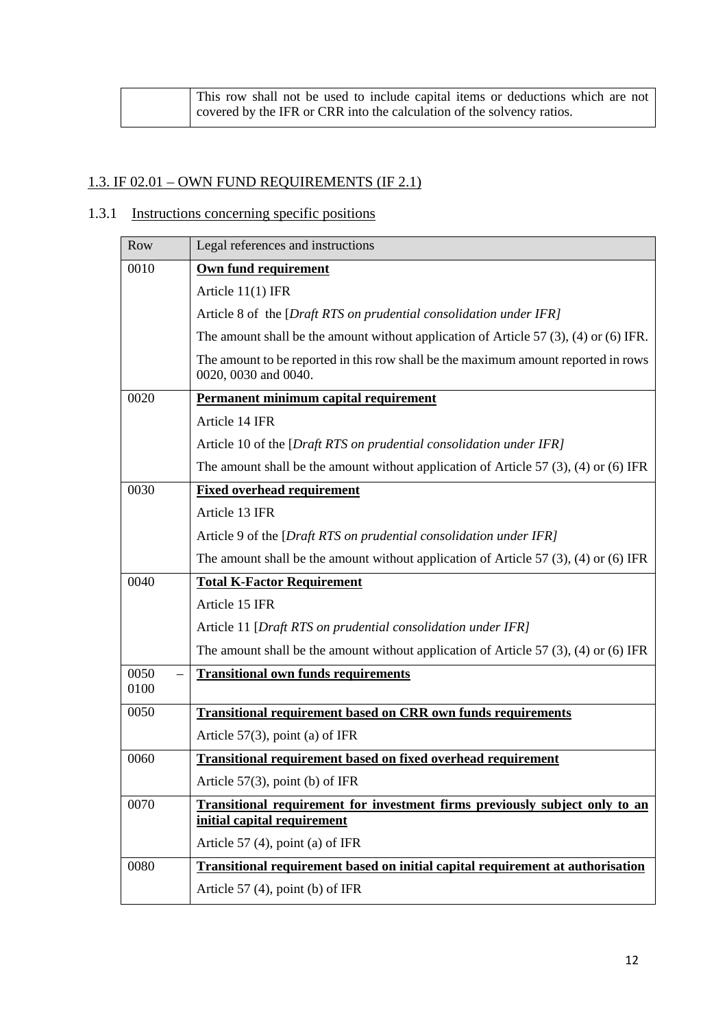| This row shall not be used to include capital items or deductions which are not |
|---------------------------------------------------------------------------------|
| covered by the IFR or CRR into the calculation of the solvency ratios.          |

## 1.3. IF 02.01 – OWN FUND REQUIREMENTS (IF 2.1)

# 1.3.1 Instructions concerning specific positions

| Row  | Legal references and instructions                                                                          |
|------|------------------------------------------------------------------------------------------------------------|
| 0010 | Own fund requirement                                                                                       |
|      | Article 11(1) IFR                                                                                          |
|      | Article 8 of the [Draft RTS on prudential consolidation under IFR]                                         |
|      | The amount shall be the amount without application of Article 57 $(3)$ , $(4)$ or $(6)$ IFR.               |
|      | The amount to be reported in this row shall be the maximum amount reported in rows<br>0020, 0030 and 0040. |
| 0020 | Permanent minimum capital requirement                                                                      |
|      | Article 14 IFR                                                                                             |
|      | Article 10 of the [Draft RTS on prudential consolidation under IFR]                                        |
|      | The amount shall be the amount without application of Article 57 $(3)$ , $(4)$ or $(6)$ IFR                |
| 0030 | <b>Fixed overhead requirement</b>                                                                          |
|      | Article 13 IFR                                                                                             |
|      | Article 9 of the [Draft RTS on prudential consolidation under IFR]                                         |
|      | The amount shall be the amount without application of Article 57 $(3)$ , $(4)$ or $(6)$ IFR                |
| 0040 | <b>Total K-Factor Requirement</b>                                                                          |
|      | Article 15 IFR                                                                                             |
|      | Article 11 [Draft RTS on prudential consolidation under IFR]                                               |
|      | The amount shall be the amount without application of Article 57 $(3)$ , $(4)$ or $(6)$ IFR                |
| 0050 | <b>Transitional own funds requirements</b>                                                                 |
| 0100 |                                                                                                            |
| 0050 | <b>Transitional requirement based on CRR own funds requirements</b>                                        |
|      | Article $57(3)$ , point (a) of IFR                                                                         |
| 0060 | <b>Transitional requirement based on fixed overhead requirement</b>                                        |
|      | Article $57(3)$ , point (b) of IFR                                                                         |
| 0070 | Transitional requirement for investment firms previously subject only to an<br>initial capital requirement |
|      | Article 57 $(4)$ , point $(a)$ of IFR                                                                      |
| 0080 | <b>Transitional requirement based on initial capital requirement at authorisation</b>                      |
|      | Article 57 $(4)$ , point (b) of IFR                                                                        |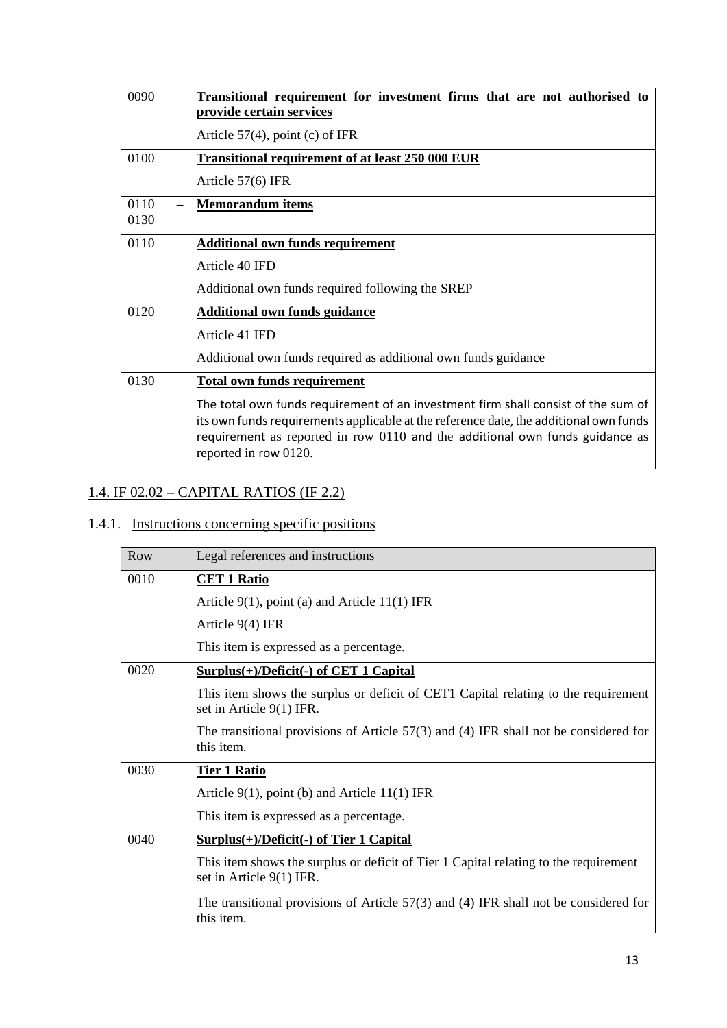| 0090 | Transitional requirement for investment firms that are not authorised to<br>provide certain services                                                                                                                                                                                |
|------|-------------------------------------------------------------------------------------------------------------------------------------------------------------------------------------------------------------------------------------------------------------------------------------|
|      | Article $57(4)$ , point (c) of IFR                                                                                                                                                                                                                                                  |
| 0100 | <b>Transitional requirement of at least 250 000 EUR</b>                                                                                                                                                                                                                             |
|      | Article 57(6) IFR                                                                                                                                                                                                                                                                   |
| 0110 | <b>Memorandum items</b>                                                                                                                                                                                                                                                             |
| 0130 |                                                                                                                                                                                                                                                                                     |
| 0110 | <b>Additional own funds requirement</b>                                                                                                                                                                                                                                             |
|      | Article 40 IFD                                                                                                                                                                                                                                                                      |
|      | Additional own funds required following the SREP                                                                                                                                                                                                                                    |
| 0120 | <b>Additional own funds guidance</b>                                                                                                                                                                                                                                                |
|      | Article 41 IFD                                                                                                                                                                                                                                                                      |
|      | Additional own funds required as additional own funds guidance                                                                                                                                                                                                                      |
| 0130 | <b>Total own funds requirement</b>                                                                                                                                                                                                                                                  |
|      | The total own funds requirement of an investment firm shall consist of the sum of<br>its own funds requirements applicable at the reference date, the additional own funds<br>requirement as reported in row 0110 and the additional own funds guidance as<br>reported in row 0120. |

# 1.4. IF 02.02 – CAPITAL RATIOS (IF 2.2)

# 1.4.1. Instructions concerning specific positions

| Row  | Legal references and instructions                                                                                  |
|------|--------------------------------------------------------------------------------------------------------------------|
| 0010 | <b>CET 1 Ratio</b>                                                                                                 |
|      | Article $9(1)$ , point (a) and Article 11(1) IFR                                                                   |
|      | Article $9(4)$ IFR                                                                                                 |
|      | This item is expressed as a percentage.                                                                            |
| 0020 | $Surplus(+)/Deficit(-)$ of CET 1 Capital                                                                           |
|      | This item shows the surplus or deficit of CET1 Capital relating to the requirement<br>set in Article 9(1) IFR.     |
|      | The transitional provisions of Article $57(3)$ and (4) IFR shall not be considered for<br>this item.               |
| 0030 | <b>Tier 1 Ratio</b>                                                                                                |
|      | Article $9(1)$ , point (b) and Article 11(1) IFR                                                                   |
|      | This item is expressed as a percentage.                                                                            |
| 0040 | $Surplus(+)/Deficit(-)$ of Tier 1 Capital                                                                          |
|      | This item shows the surplus or deficit of Tier 1 Capital relating to the requirement<br>set in Article $9(1)$ IFR. |
|      | The transitional provisions of Article 57(3) and (4) IFR shall not be considered for<br>this item.                 |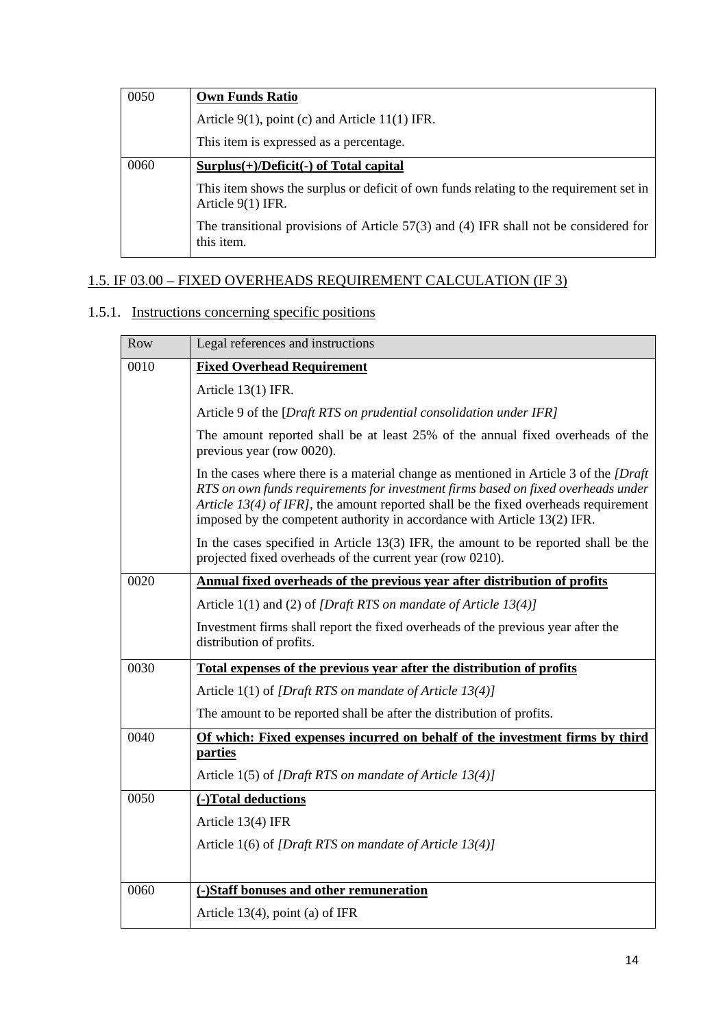| 0050 | <b>Own Funds Ratio</b>                                                                                        |
|------|---------------------------------------------------------------------------------------------------------------|
|      | Article $9(1)$ , point (c) and Article 11(1) IFR.                                                             |
|      | This item is expressed as a percentage.                                                                       |
| 0060 | $Surplus(+)/Deficit(-)$ of Total capital                                                                      |
|      | This item shows the surplus or deficit of own funds relating to the requirement set in<br>Article $9(1)$ IFR. |
|      | The transitional provisions of Article $57(3)$ and (4) IFR shall not be considered for<br>this item.          |

## 1.5. IF 03.00 – FIXED OVERHEADS REQUIREMENT CALCULATION (IF 3)

## 1.5.1. Instructions concerning specific positions

| Row  | Legal references and instructions                                                                                                                                                                                                                                                                                                                      |
|------|--------------------------------------------------------------------------------------------------------------------------------------------------------------------------------------------------------------------------------------------------------------------------------------------------------------------------------------------------------|
| 0010 | <b>Fixed Overhead Requirement</b>                                                                                                                                                                                                                                                                                                                      |
|      | Article 13(1) IFR.                                                                                                                                                                                                                                                                                                                                     |
|      | Article 9 of the [Draft RTS on prudential consolidation under IFR]                                                                                                                                                                                                                                                                                     |
|      | The amount reported shall be at least 25% of the annual fixed overheads of the<br>previous year (row 0020).                                                                                                                                                                                                                                            |
|      | In the cases where there is a material change as mentioned in Article 3 of the <i>[Draft</i> ]<br>RTS on own funds requirements for investment firms based on fixed overheads under<br>Article 13(4) of IFRJ, the amount reported shall be the fixed overheads requirement<br>imposed by the competent authority in accordance with Article 13(2) IFR. |
|      | In the cases specified in Article $13(3)$ IFR, the amount to be reported shall be the<br>projected fixed overheads of the current year (row 0210).                                                                                                                                                                                                     |
| 0020 | Annual fixed overheads of the previous year after distribution of profits                                                                                                                                                                                                                                                                              |
|      | Article 1(1) and (2) of [Draft RTS on mandate of Article 13(4)]                                                                                                                                                                                                                                                                                        |
|      | Investment firms shall report the fixed overheads of the previous year after the<br>distribution of profits.                                                                                                                                                                                                                                           |
| 0030 | Total expenses of the previous year after the distribution of profits                                                                                                                                                                                                                                                                                  |
|      | Article 1(1) of [Draft RTS on mandate of Article 13(4)]                                                                                                                                                                                                                                                                                                |
|      | The amount to be reported shall be after the distribution of profits.                                                                                                                                                                                                                                                                                  |
| 0040 | Of which: Fixed expenses incurred on behalf of the investment firms by third<br>parties                                                                                                                                                                                                                                                                |
|      | Article 1(5) of [Draft RTS on mandate of Article 13(4)]                                                                                                                                                                                                                                                                                                |
| 0050 | (-)Total deductions                                                                                                                                                                                                                                                                                                                                    |
|      | Article 13(4) IFR                                                                                                                                                                                                                                                                                                                                      |
|      | Article 1(6) of [Draft RTS on mandate of Article 13(4)]                                                                                                                                                                                                                                                                                                |
|      |                                                                                                                                                                                                                                                                                                                                                        |
| 0060 | (-)Staff bonuses and other remuneration                                                                                                                                                                                                                                                                                                                |
|      | Article $13(4)$ , point (a) of IFR                                                                                                                                                                                                                                                                                                                     |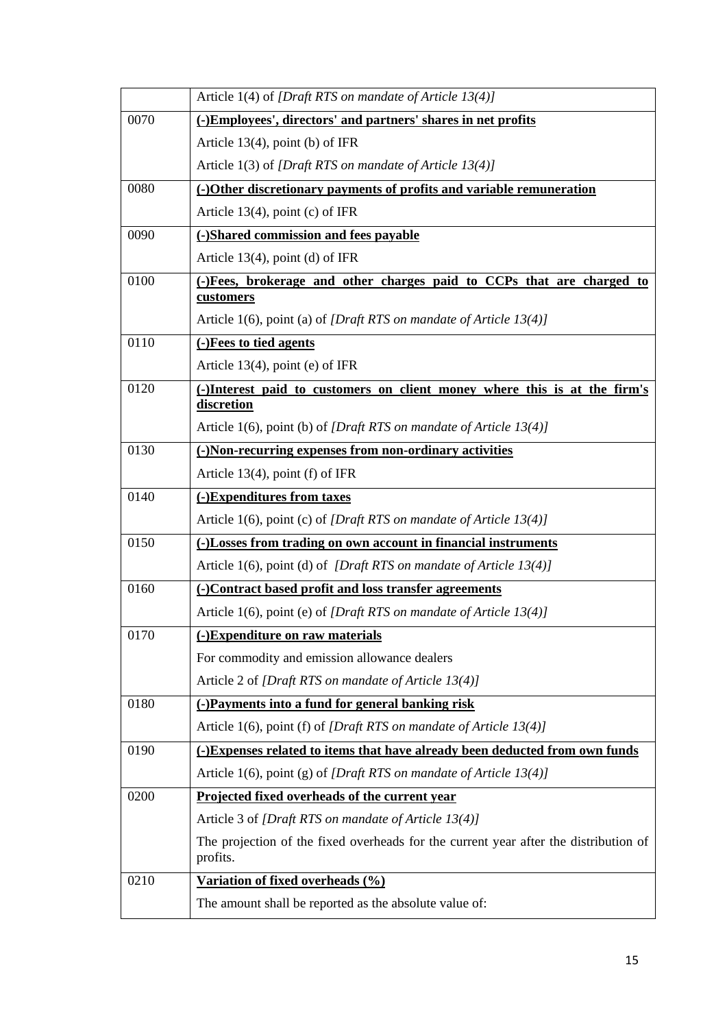|      | Article 1(4) of [Draft RTS on mandate of Article 13(4)]                                          |
|------|--------------------------------------------------------------------------------------------------|
| 0070 | (-)Employees', directors' and partners' shares in net profits                                    |
|      | Article $13(4)$ , point (b) of IFR                                                               |
|      | Article 1(3) of [Draft RTS on mandate of Article 13(4)]                                          |
| 0080 | (-)Other discretionary payments of profits and variable remuneration                             |
|      | Article $13(4)$ , point (c) of IFR                                                               |
| 0090 | (-)Shared commission and fees payable                                                            |
|      | Article $13(4)$ , point (d) of IFR                                                               |
| 0100 | (-)Fees, brokerage and other charges paid to CCPs that are charged to<br>customers               |
|      | Article 1(6), point (a) of [Draft RTS on mandate of Article $13(4)$ ]                            |
| 0110 | (-)Fees to tied agents                                                                           |
|      | Article $13(4)$ , point (e) of IFR                                                               |
| 0120 | (-)Interest paid to customers on client money where this is at the firm's<br>discretion          |
|      | Article 1(6), point (b) of [Draft RTS on mandate of Article 13(4)]                               |
| 0130 | (-)Non-recurring expenses from non-ordinary activities                                           |
|      | Article $13(4)$ , point (f) of IFR                                                               |
| 0140 | (-)Expenditures from taxes                                                                       |
|      | Article 1(6), point (c) of [Draft RTS on mandate of Article $13(4)$ ]                            |
| 0150 | (-)Losses from trading on own account in financial instruments                                   |
|      | Article 1(6), point (d) of [Draft RTS on mandate of Article 13(4)]                               |
| 0160 | (-)Contract based profit and loss transfer agreements                                            |
|      | Article 1(6), point (e) of [Draft RTS on mandate of Article 13(4)]                               |
| 0170 | (-)Expenditure on raw materials                                                                  |
|      | For commodity and emission allowance dealers                                                     |
|      | Article 2 of [Draft RTS on mandate of Article 13(4)]                                             |
| 0180 | (-)Payments into a fund for general banking risk                                                 |
|      | Article 1(6), point (f) of [Draft RTS on mandate of Article 13(4)]                               |
| 0190 | (-)Expenses related to items that have already been deducted from own funds                      |
|      | Article 1(6), point (g) of [Draft RTS on mandate of Article $13(4)$ ]                            |
| 0200 | Projected fixed overheads of the current year                                                    |
|      | Article 3 of [Draft RTS on mandate of Article 13(4)]                                             |
|      | The projection of the fixed overheads for the current year after the distribution of<br>profits. |
| 0210 | Variation of fixed overheads (%)                                                                 |
|      | The amount shall be reported as the absolute value of:                                           |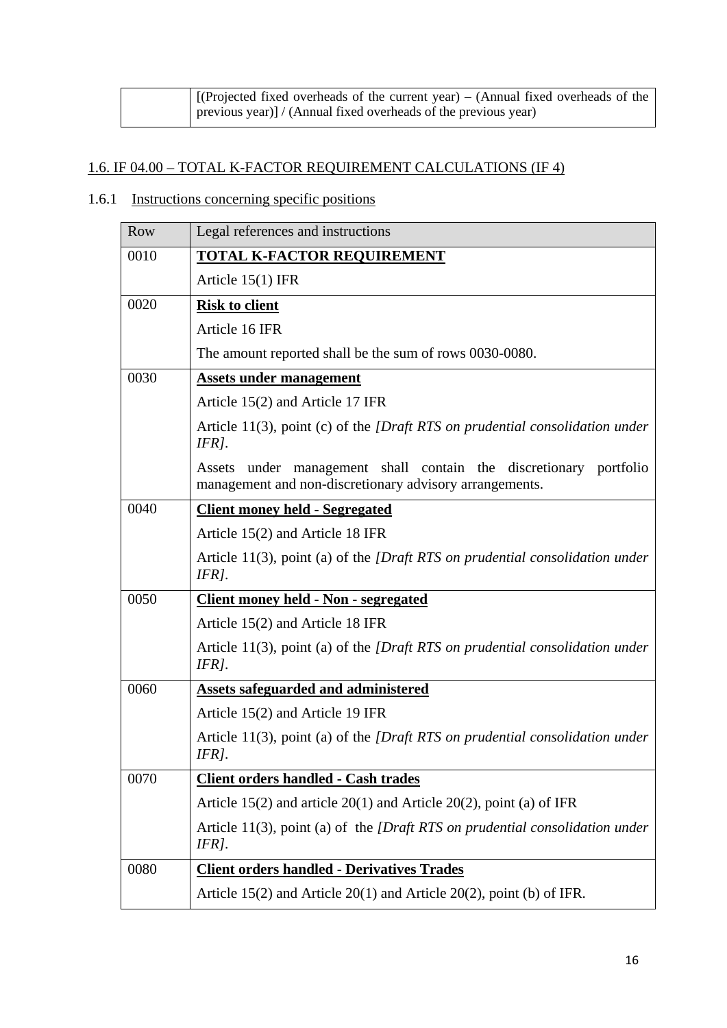| [(Projected fixed overheads of the current year) – (Annual fixed overheads of the |
|-----------------------------------------------------------------------------------|
| previous year)] / (Annual fixed overheads of the previous year)                   |

### 1.6. IF 04.00 – TOTAL K-FACTOR REQUIREMENT CALCULATIONS (IF 4)

## 1.6.1 Instructions concerning specific positions

| Row  | Legal references and instructions                                                                                               |
|------|---------------------------------------------------------------------------------------------------------------------------------|
| 0010 | <b>TOTAL K-FACTOR REQUIREMENT</b>                                                                                               |
|      | Article $15(1)$ IFR                                                                                                             |
| 0020 | <b>Risk to client</b>                                                                                                           |
|      | Article 16 IFR                                                                                                                  |
|      | The amount reported shall be the sum of rows 0030-0080.                                                                         |
| 0030 | <b>Assets under management</b>                                                                                                  |
|      | Article 15(2) and Article 17 IFR                                                                                                |
|      | Article 11(3), point (c) of the $[Draff RTS]$ on prudential consolidation under<br>$IFR$ ].                                     |
|      | under management shall contain the discretionary portfolio<br>Assets<br>management and non-discretionary advisory arrangements. |
| 0040 | <b>Client money held - Segregated</b>                                                                                           |
|      | Article 15(2) and Article 18 IFR                                                                                                |
|      | Article 11(3), point (a) of the <i>[Draft RTS on prudential consolidation under</i><br>IFRI.                                    |
| 0050 | Client money held - Non - segregated                                                                                            |
|      | Article 15(2) and Article 18 IFR                                                                                                |
|      | Article $11(3)$ , point (a) of the <i>[Draft RTS on prudential consolidation under</i><br>$IFR$ ].                              |
| 0060 | Assets safeguarded and administered                                                                                             |
|      | Article 15(2) and Article 19 IFR                                                                                                |
|      | Article $11(3)$ , point (a) of the <i>[Draft RTS on prudential consolidation under</i><br>$IFR$ ].                              |
| 0070 | <b>Client orders handled - Cash trades</b>                                                                                      |
|      | Article 15(2) and article $20(1)$ and Article $20(2)$ , point (a) of IFR                                                        |
|      | Article 11(3), point (a) of the <i>[Draft RTS on prudential consolidation under</i><br>$IFR$ ].                                 |
| 0080 | <b>Client orders handled - Derivatives Trades</b>                                                                               |
|      | Article $15(2)$ and Article $20(1)$ and Article $20(2)$ , point (b) of IFR.                                                     |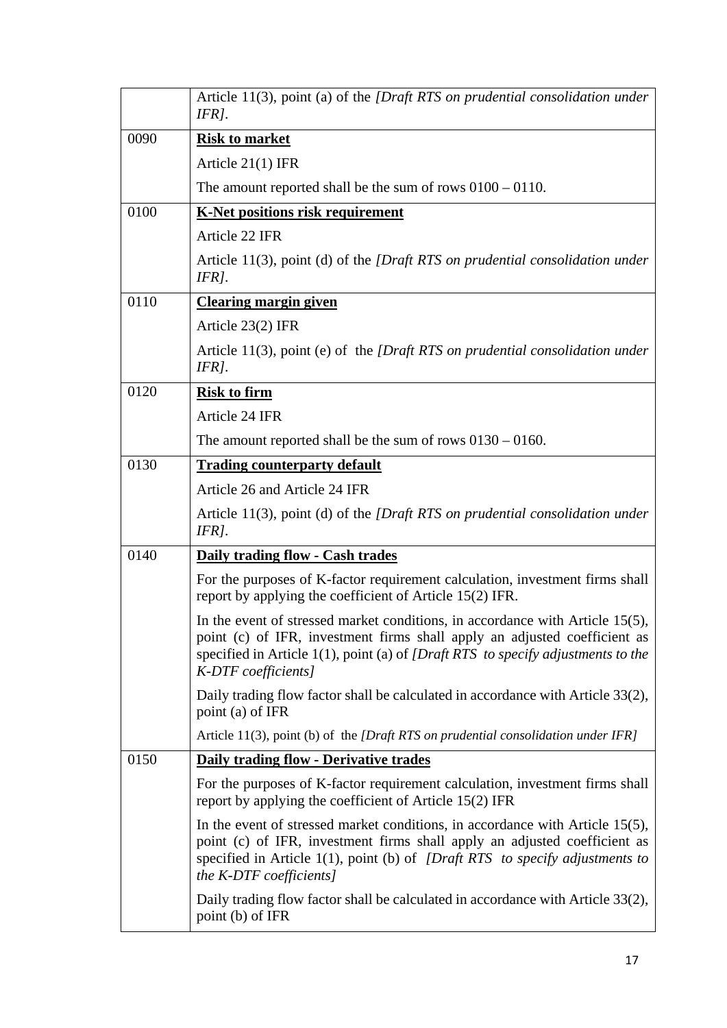|      | Article 11(3), point (a) of the <i>[Draft RTS on prudential consolidation under</i><br>$IFR$ ].                                                                                                                                                                          |
|------|--------------------------------------------------------------------------------------------------------------------------------------------------------------------------------------------------------------------------------------------------------------------------|
| 0090 | <b>Risk to market</b>                                                                                                                                                                                                                                                    |
|      | Article 21(1) IFR                                                                                                                                                                                                                                                        |
|      | The amount reported shall be the sum of rows $0100 - 0110$ .                                                                                                                                                                                                             |
| 0100 | <b>K-Net positions risk requirement</b>                                                                                                                                                                                                                                  |
|      | Article 22 IFR                                                                                                                                                                                                                                                           |
|      | Article 11(3), point (d) of the [Draft RTS on prudential consolidation under<br>IFR].                                                                                                                                                                                    |
| 0110 | <b>Clearing margin given</b>                                                                                                                                                                                                                                             |
|      | Article 23(2) IFR                                                                                                                                                                                                                                                        |
|      | Article 11(3), point (e) of the $[Draff RTS]$ on prudential consolidation under<br>IFR].                                                                                                                                                                                 |
| 0120 | <b>Risk to firm</b>                                                                                                                                                                                                                                                      |
|      | Article 24 IFR                                                                                                                                                                                                                                                           |
|      | The amount reported shall be the sum of rows $0130 - 0160$ .                                                                                                                                                                                                             |
| 0130 | <b>Trading counterparty default</b>                                                                                                                                                                                                                                      |
|      | Article 26 and Article 24 IFR                                                                                                                                                                                                                                            |
|      | Article 11(3), point (d) of the <i>[Draft RTS on prudential consolidation under</i><br>IFRI.                                                                                                                                                                             |
| 0140 | Daily trading flow - Cash trades                                                                                                                                                                                                                                         |
|      | For the purposes of K-factor requirement calculation, investment firms shall<br>report by applying the coefficient of Article 15(2) IFR.                                                                                                                                 |
|      | In the event of stressed market conditions, in accordance with Article 15(5),<br>point (c) of IFR, investment firms shall apply an adjusted coefficient as<br>specified in Article $1(1)$ , point (a) of [Draft RTS to specify adjustments to the<br>K-DTF coefficients] |
|      |                                                                                                                                                                                                                                                                          |
|      | Daily trading flow factor shall be calculated in accordance with Article 33(2),<br>point (a) of IFR                                                                                                                                                                      |
|      | Article 11(3), point (b) of the <i>[Draft RTS on prudential consolidation under IFR]</i>                                                                                                                                                                                 |
| 0150 | <b>Daily trading flow - Derivative trades</b>                                                                                                                                                                                                                            |
|      | For the purposes of K-factor requirement calculation, investment firms shall<br>report by applying the coefficient of Article 15(2) IFR                                                                                                                                  |
|      | In the event of stressed market conditions, in accordance with Article $15(5)$ ,<br>point (c) of IFR, investment firms shall apply an adjusted coefficient as<br>specified in Article 1(1), point (b) of [Draft RTS to specify adjustments to<br>the K-DTF coefficients] |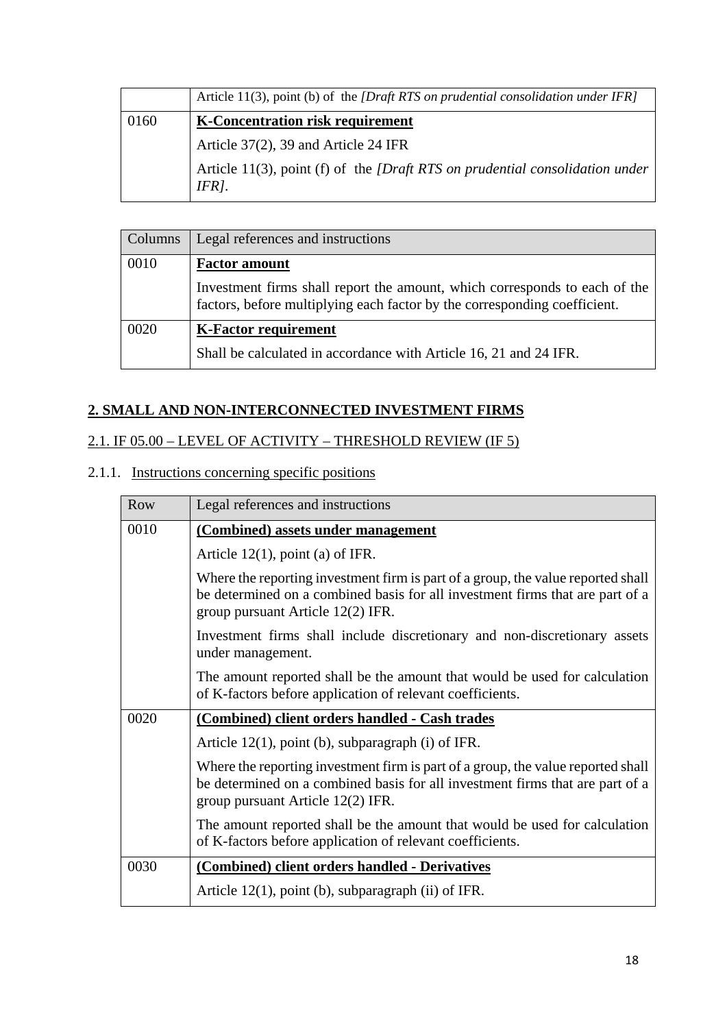|      | Article 11(3), point (b) of the <i>[Draft RTS on prudential consolidation under IFR]</i>                  |
|------|-----------------------------------------------------------------------------------------------------------|
| 0160 | <b>K-Concentration risk requirement</b>                                                                   |
|      | Article $37(2)$ , 39 and Article 24 IFR                                                                   |
|      | Article 11(3), point (f) of the <i>[Draft RTS on prudential consolidation under</i><br>IFR <sub>1</sub> . |

| Columns | Legal references and instructions                                                                                                                       |
|---------|---------------------------------------------------------------------------------------------------------------------------------------------------------|
| 0010    | <b>Factor amount</b>                                                                                                                                    |
|         | Investment firms shall report the amount, which corresponds to each of the<br>factors, before multiplying each factor by the corresponding coefficient. |
| 0020    | <b>K-Factor requirement</b>                                                                                                                             |
|         | Shall be calculated in accordance with Article 16, 21 and 24 IFR.                                                                                       |

## **2. SMALL AND NON-INTERCONNECTED INVESTMENT FIRMS**

## 2.1. IF 05.00 – LEVEL OF ACTIVITY – THRESHOLD REVIEW (IF 5)

### 2.1.1. Instructions concerning specific positions

| <b>Row</b> | Legal references and instructions                                                                                                                                                                      |
|------------|--------------------------------------------------------------------------------------------------------------------------------------------------------------------------------------------------------|
| 0010       | (Combined) assets under management                                                                                                                                                                     |
|            | Article $12(1)$ , point (a) of IFR.                                                                                                                                                                    |
|            | Where the reporting investment firm is part of a group, the value reported shall<br>be determined on a combined basis for all investment firms that are part of a<br>group pursuant Article 12(2) IFR. |
|            | Investment firms shall include discretionary and non-discretionary assets<br>under management.                                                                                                         |
|            | The amount reported shall be the amount that would be used for calculation<br>of K-factors before application of relevant coefficients.                                                                |
| 0020       | (Combined) client orders handled - Cash trades                                                                                                                                                         |
|            | Article $12(1)$ , point (b), subparagraph (i) of IFR.                                                                                                                                                  |
|            | Where the reporting investment firm is part of a group, the value reported shall<br>be determined on a combined basis for all investment firms that are part of a<br>group pursuant Article 12(2) IFR. |
|            | The amount reported shall be the amount that would be used for calculation<br>of K-factors before application of relevant coefficients.                                                                |
| 0030       | (Combined) client orders handled - Derivatives                                                                                                                                                         |
|            | Article $12(1)$ , point (b), subparagraph (ii) of IFR.                                                                                                                                                 |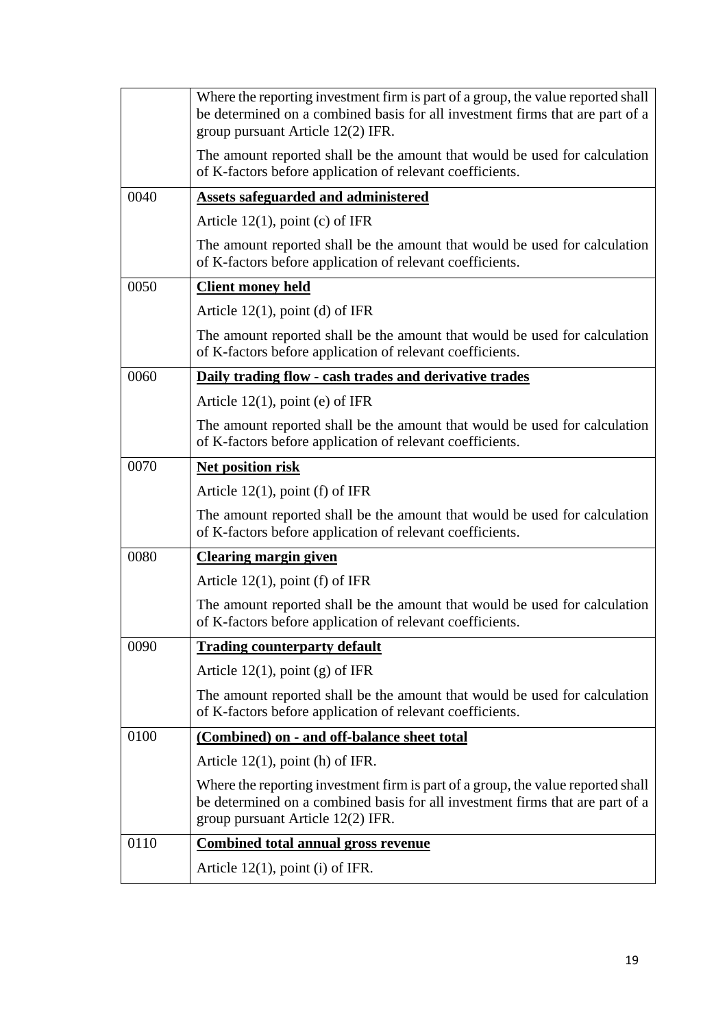|      | Where the reporting investment firm is part of a group, the value reported shall<br>be determined on a combined basis for all investment firms that are part of a<br>group pursuant Article 12(2) IFR. |
|------|--------------------------------------------------------------------------------------------------------------------------------------------------------------------------------------------------------|
|      | The amount reported shall be the amount that would be used for calculation<br>of K-factors before application of relevant coefficients.                                                                |
| 0040 | <b>Assets safeguarded and administered</b>                                                                                                                                                             |
|      | Article $12(1)$ , point (c) of IFR                                                                                                                                                                     |
|      | The amount reported shall be the amount that would be used for calculation<br>of K-factors before application of relevant coefficients.                                                                |
| 0050 | <b>Client money held</b>                                                                                                                                                                               |
|      | Article $12(1)$ , point (d) of IFR                                                                                                                                                                     |
|      | The amount reported shall be the amount that would be used for calculation<br>of K-factors before application of relevant coefficients.                                                                |
| 0060 | Daily trading flow - cash trades and derivative trades                                                                                                                                                 |
|      | Article $12(1)$ , point (e) of IFR                                                                                                                                                                     |
|      | The amount reported shall be the amount that would be used for calculation<br>of K-factors before application of relevant coefficients.                                                                |
| 0070 | Net position risk                                                                                                                                                                                      |
|      | Article $12(1)$ , point (f) of IFR                                                                                                                                                                     |
|      | The amount reported shall be the amount that would be used for calculation<br>of K-factors before application of relevant coefficients.                                                                |
| 0080 | <b>Clearing margin given</b>                                                                                                                                                                           |
|      | Article $12(1)$ , point (f) of IFR                                                                                                                                                                     |
|      | The amount reported shall be the amount that would be used for calculation<br>of K-factors before application of relevant coefficients.                                                                |
| 0090 | <b>Trading counterparty default</b>                                                                                                                                                                    |
|      | Article $12(1)$ , point (g) of IFR                                                                                                                                                                     |
|      | The amount reported shall be the amount that would be used for calculation<br>of K-factors before application of relevant coefficients.                                                                |
| 0100 | (Combined) on - and off-balance sheet total                                                                                                                                                            |
|      | Article $12(1)$ , point (h) of IFR.                                                                                                                                                                    |
|      | Where the reporting investment firm is part of a group, the value reported shall<br>be determined on a combined basis for all investment firms that are part of a<br>group pursuant Article 12(2) IFR. |
| 0110 | <b>Combined total annual gross revenue</b>                                                                                                                                                             |
|      | Article $12(1)$ , point (i) of IFR.                                                                                                                                                                    |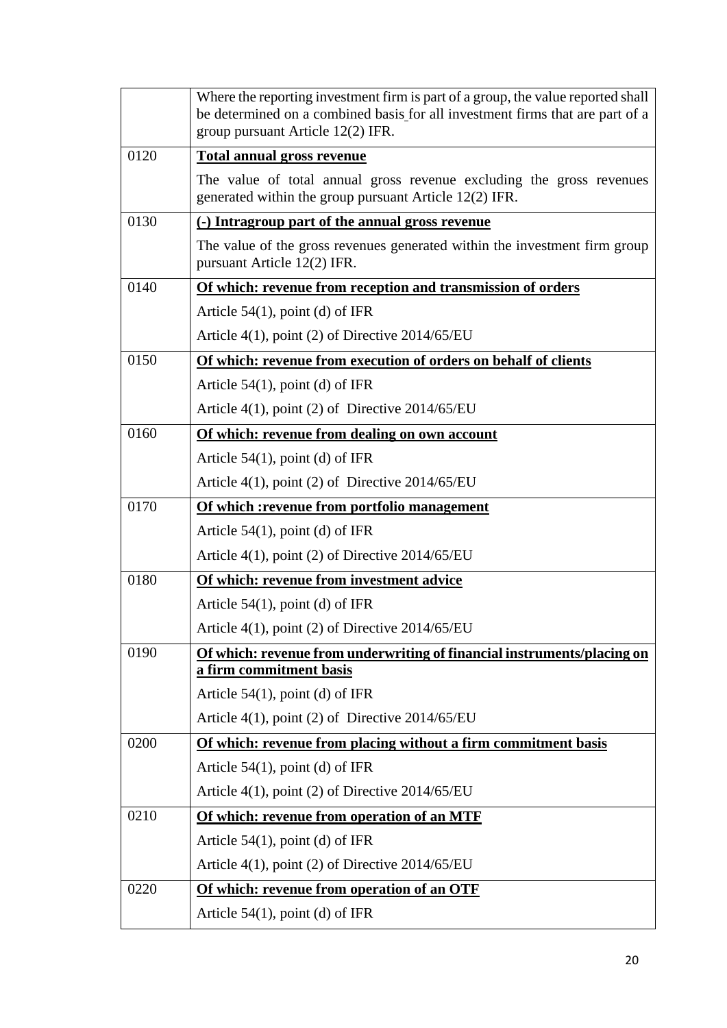|      | Where the reporting investment firm is part of a group, the value reported shall<br>be determined on a combined basis for all investment firms that are part of a<br>group pursuant Article 12(2) IFR. |
|------|--------------------------------------------------------------------------------------------------------------------------------------------------------------------------------------------------------|
| 0120 | <b>Total annual gross revenue</b>                                                                                                                                                                      |
|      | The value of total annual gross revenue excluding the gross revenues<br>generated within the group pursuant Article 12(2) IFR.                                                                         |
| 0130 | (-) Intragroup part of the annual gross revenue                                                                                                                                                        |
|      | The value of the gross revenues generated within the investment firm group<br>pursuant Article 12(2) IFR.                                                                                              |
| 0140 | Of which: revenue from reception and transmission of orders                                                                                                                                            |
|      | Article $54(1)$ , point (d) of IFR                                                                                                                                                                     |
|      | Article $4(1)$ , point (2) of Directive 2014/65/EU                                                                                                                                                     |
| 0150 | Of which: revenue from execution of orders on behalf of clients                                                                                                                                        |
|      | Article $54(1)$ , point (d) of IFR                                                                                                                                                                     |
|      | Article $4(1)$ , point (2) of Directive 2014/65/EU                                                                                                                                                     |
| 0160 | Of which: revenue from dealing on own account                                                                                                                                                          |
|      | Article $54(1)$ , point (d) of IFR                                                                                                                                                                     |
|      | Article $4(1)$ , point (2) of Directive 2014/65/EU                                                                                                                                                     |
| 0170 | Of which : revenue from portfolio management                                                                                                                                                           |
|      | Article $54(1)$ , point (d) of IFR                                                                                                                                                                     |
|      | Article $4(1)$ , point (2) of Directive 2014/65/EU                                                                                                                                                     |
| 0180 | Of which: revenue from investment advice                                                                                                                                                               |
|      | Article $54(1)$ , point (d) of IFR                                                                                                                                                                     |
|      | Article 4(1), point (2) of Directive 2014/65/EU                                                                                                                                                        |
| 0190 | Of which: revenue from underwriting of financial instruments/placing on                                                                                                                                |
|      | a firm commitment basis                                                                                                                                                                                |
|      | Article $54(1)$ , point (d) of IFR<br>Article $4(1)$ , point (2) of Directive 2014/65/EU                                                                                                               |
| 0200 | Of which: revenue from placing without a firm commitment basis                                                                                                                                         |
|      | Article $54(1)$ , point (d) of IFR                                                                                                                                                                     |
|      | Article $4(1)$ , point (2) of Directive 2014/65/EU                                                                                                                                                     |
| 0210 | Of which: revenue from operation of an MTF                                                                                                                                                             |
|      | Article $54(1)$ , point (d) of IFR                                                                                                                                                                     |
|      | Article $4(1)$ , point (2) of Directive 2014/65/EU                                                                                                                                                     |
| 0220 | Of which: revenue from operation of an OTF                                                                                                                                                             |
|      | Article $54(1)$ , point (d) of IFR                                                                                                                                                                     |
|      |                                                                                                                                                                                                        |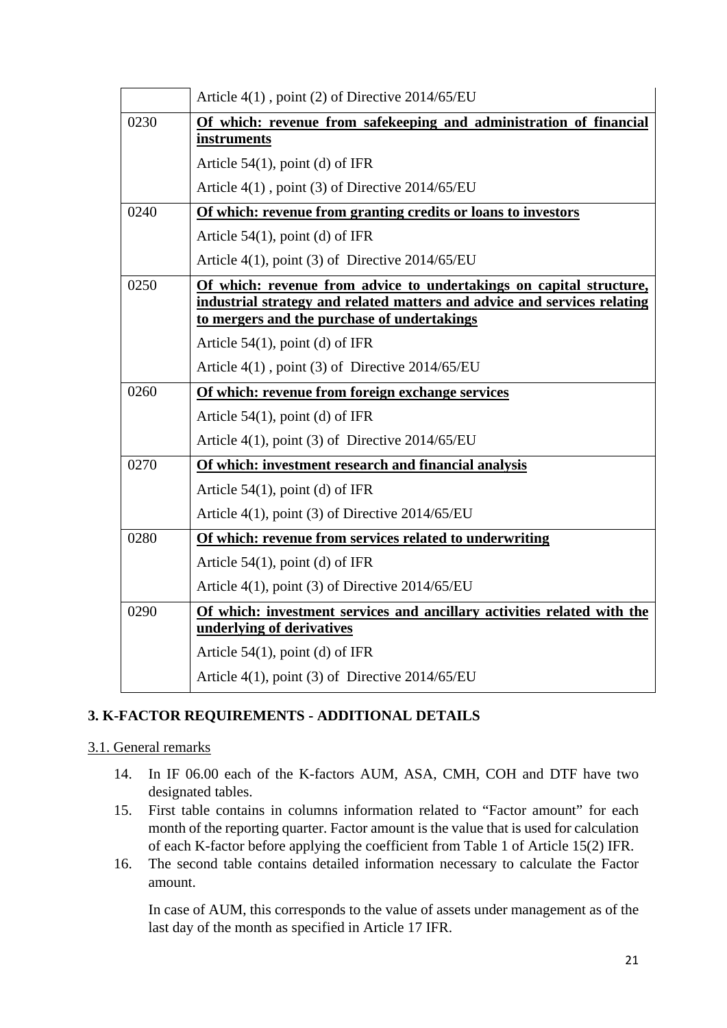|      | Article $4(1)$ , point (2) of Directive 2014/65/EU                                                                      |
|------|-------------------------------------------------------------------------------------------------------------------------|
| 0230 | Of which: revenue from safekeeping and administration of financial                                                      |
|      | instruments                                                                                                             |
|      | Article $54(1)$ , point (d) of IFR                                                                                      |
|      | Article 4(1), point (3) of Directive 2014/65/EU                                                                         |
| 0240 | Of which: revenue from granting credits or loans to investors                                                           |
|      | Article $54(1)$ , point (d) of IFR                                                                                      |
|      | Article $4(1)$ , point (3) of Directive $2014/65/EU$                                                                    |
| 0250 | Of which: revenue from advice to undertakings on capital structure,                                                     |
|      | industrial strategy and related matters and advice and services relating<br>to mergers and the purchase of undertakings |
|      | Article $54(1)$ , point (d) of IFR                                                                                      |
|      | Article $4(1)$ , point (3) of Directive $2014/65/EU$                                                                    |
| 0260 | Of which: revenue from foreign exchange services                                                                        |
|      | Article $54(1)$ , point (d) of IFR                                                                                      |
|      | Article $4(1)$ , point (3) of Directive $2014/65/EU$                                                                    |
| 0270 | Of which: investment research and financial analysis                                                                    |
|      | Article $54(1)$ , point (d) of IFR                                                                                      |
|      | Article $4(1)$ , point (3) of Directive 2014/65/EU                                                                      |
| 0280 | Of which: revenue from services related to underwriting                                                                 |
|      | Article $54(1)$ , point (d) of IFR                                                                                      |
|      | Article $4(1)$ , point (3) of Directive 2014/65/EU                                                                      |
| 0290 | Of which: investment services and ancillary activities related with the                                                 |
|      | underlying of derivatives                                                                                               |
|      | Article $54(1)$ , point (d) of IFR                                                                                      |
|      | Article $4(1)$ , point (3) of Directive 2014/65/EU                                                                      |

### **3. K-FACTOR REQUIREMENTS - ADDITIONAL DETAILS**

#### 3.1. General remarks

- 14. In IF 06.00 each of the K-factors AUM, ASA, CMH, COH and DTF have two designated tables.
- 15. First table contains in columns information related to "Factor amount" for each month of the reporting quarter. Factor amount is the value that is used for calculation of each K-factor before applying the coefficient from Table 1 of Article 15(2) IFR.
- 16. The second table contains detailed information necessary to calculate the Factor amount.

In case of AUM, this corresponds to the value of assets under management as of the last day of the month as specified in Article 17 IFR.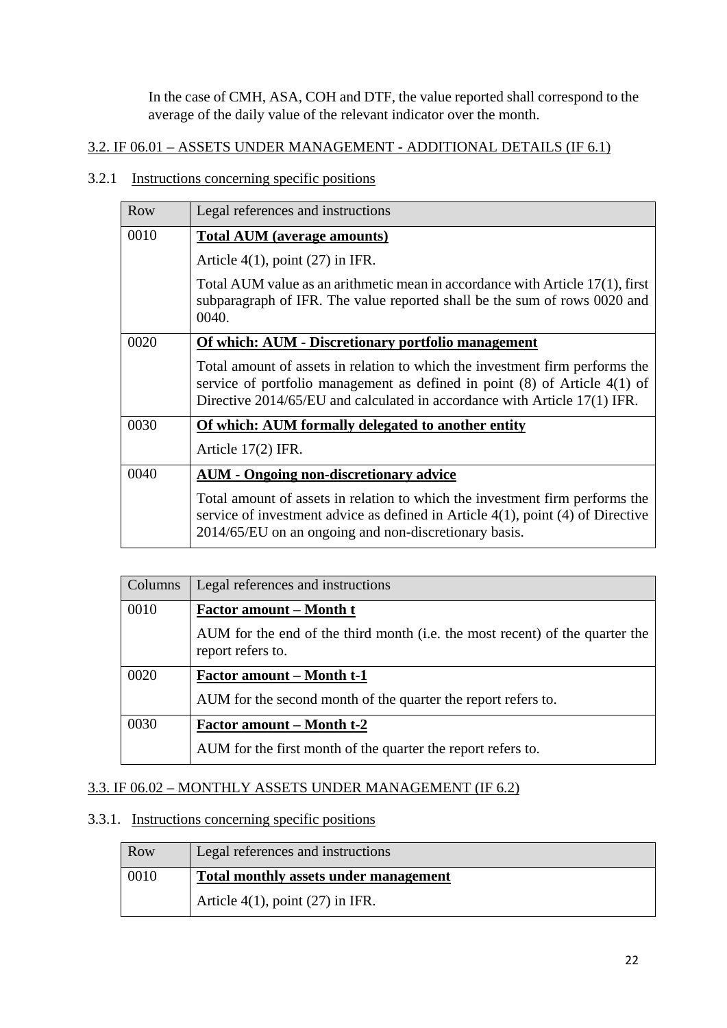In the case of CMH, ASA, COH and DTF, the value reported shall correspond to the average of the daily value of the relevant indicator over the month.

### 3.2. IF 06.01 – ASSETS UNDER MANAGEMENT - ADDITIONAL DETAILS (IF 6.1)

#### 3.2.1 Instructions concerning specific positions

| Row  | Legal references and instructions                                                                                                                                                                                                           |
|------|---------------------------------------------------------------------------------------------------------------------------------------------------------------------------------------------------------------------------------------------|
| 0010 | Total AUM (average amounts)                                                                                                                                                                                                                 |
|      | Article $4(1)$ , point $(27)$ in IFR.                                                                                                                                                                                                       |
|      | Total AUM value as an arithmetic mean in accordance with Article 17(1), first<br>subparagraph of IFR. The value reported shall be the sum of rows 0020 and<br>0040.                                                                         |
| 0020 | Of which: AUM - Discretionary portfolio management                                                                                                                                                                                          |
|      | Total amount of assets in relation to which the investment firm performs the<br>service of portfolio management as defined in point $(8)$ of Article $4(1)$ of<br>Directive 2014/65/EU and calculated in accordance with Article 17(1) IFR. |
| 0030 | <b>Of which: AUM formally delegated to another entity</b>                                                                                                                                                                                   |
|      | Article $17(2)$ IFR.                                                                                                                                                                                                                        |
| 0040 | <b>AUM - Ongoing non-discretionary advice</b>                                                                                                                                                                                               |
|      | Total amount of assets in relation to which the investment firm performs the<br>service of investment advice as defined in Article $4(1)$ , point $(4)$ of Directive<br>2014/65/EU on an ongoing and non-discretionary basis.               |

| Columns | Legal references and instructions                                                                 |
|---------|---------------------------------------------------------------------------------------------------|
| 0010    | <b>Factor amount – Month t</b>                                                                    |
|         | AUM for the end of the third month (i.e. the most recent) of the quarter the<br>report refers to. |
| 0020    | <b>Factor amount – Month t-1</b>                                                                  |
|         | AUM for the second month of the quarter the report refers to.                                     |
| 0030    | <b>Factor amount – Month t-2</b>                                                                  |
|         | AUM for the first month of the quarter the report refers to.                                      |

### 3.3. IF 06.02 – MONTHLY ASSETS UNDER MANAGEMENT (IF 6.2)

### 3.3.1. Instructions concerning specific positions

| Row  | Legal references and instructions     |
|------|---------------------------------------|
| 0010 | Total monthly assets under management |
|      | Article $4(1)$ , point $(27)$ in IFR. |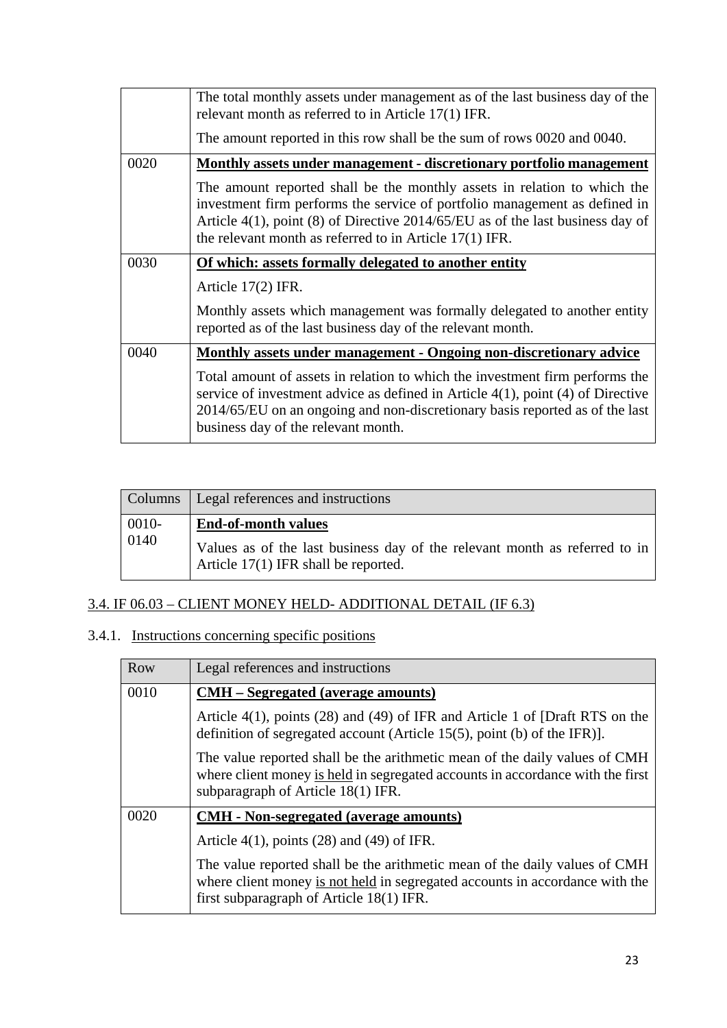|      | The total monthly assets under management as of the last business day of the<br>relevant month as referred to in Article 17(1) IFR.                                                                                                                                                                      |
|------|----------------------------------------------------------------------------------------------------------------------------------------------------------------------------------------------------------------------------------------------------------------------------------------------------------|
|      | The amount reported in this row shall be the sum of rows 0020 and 0040.                                                                                                                                                                                                                                  |
| 0020 | <u>Monthly assets under management - discretionary portfolio management</u>                                                                                                                                                                                                                              |
|      | The amount reported shall be the monthly assets in relation to which the<br>investment firm performs the service of portfolio management as defined in<br>Article $4(1)$ , point (8) of Directive 2014/65/EU as of the last business day of<br>the relevant month as referred to in Article $17(1)$ IFR. |
| 0030 | Of which: assets formally delegated to another entity                                                                                                                                                                                                                                                    |
|      | Article $17(2)$ IFR.                                                                                                                                                                                                                                                                                     |
|      | Monthly assets which management was formally delegated to another entity<br>reported as of the last business day of the relevant month.                                                                                                                                                                  |
| 0040 | Monthly assets under management - Ongoing non-discretionary advice                                                                                                                                                                                                                                       |
|      | Total amount of assets in relation to which the investment firm performs the<br>service of investment advice as defined in Article $4(1)$ , point $(4)$ of Directive<br>2014/65/EU on an ongoing and non-discretionary basis reported as of the last<br>business day of the relevant month.              |

| Columns       | Legal references and instructions                                                                                                                |
|---------------|--------------------------------------------------------------------------------------------------------------------------------------------------|
| 0010-<br>0140 | <b>End-of-month values</b><br>Values as of the last business day of the relevant month as referred to in<br>Article 17(1) IFR shall be reported. |

## 3.4. IF 06.03 – CLIENT MONEY HELD- ADDITIONAL DETAIL (IF 6.3)

## 3.4.1. Instructions concerning specific positions

| Row  | Legal references and instructions                                                                                                                                                                      |
|------|--------------------------------------------------------------------------------------------------------------------------------------------------------------------------------------------------------|
| 0010 | <b>CMH</b> – Segregated (average amounts)                                                                                                                                                              |
|      | Article $4(1)$ , points (28) and (49) of IFR and Article 1 of [Draft RTS on the<br>definition of segregated account (Article 15(5), point (b) of the IFR).                                             |
|      | The value reported shall be the arithmetic mean of the daily values of CMH<br>where client money is held in segregated accounts in accordance with the first<br>subparagraph of Article 18(1) IFR.     |
| 0020 | <b>CMH</b> - Non-segregated (average amounts)                                                                                                                                                          |
|      | Article $4(1)$ , points (28) and (49) of IFR.                                                                                                                                                          |
|      | The value reported shall be the arithmetic mean of the daily values of CMH<br>where client money is not held in segregated accounts in accordance with the<br>first subparagraph of Article 18(1) IFR. |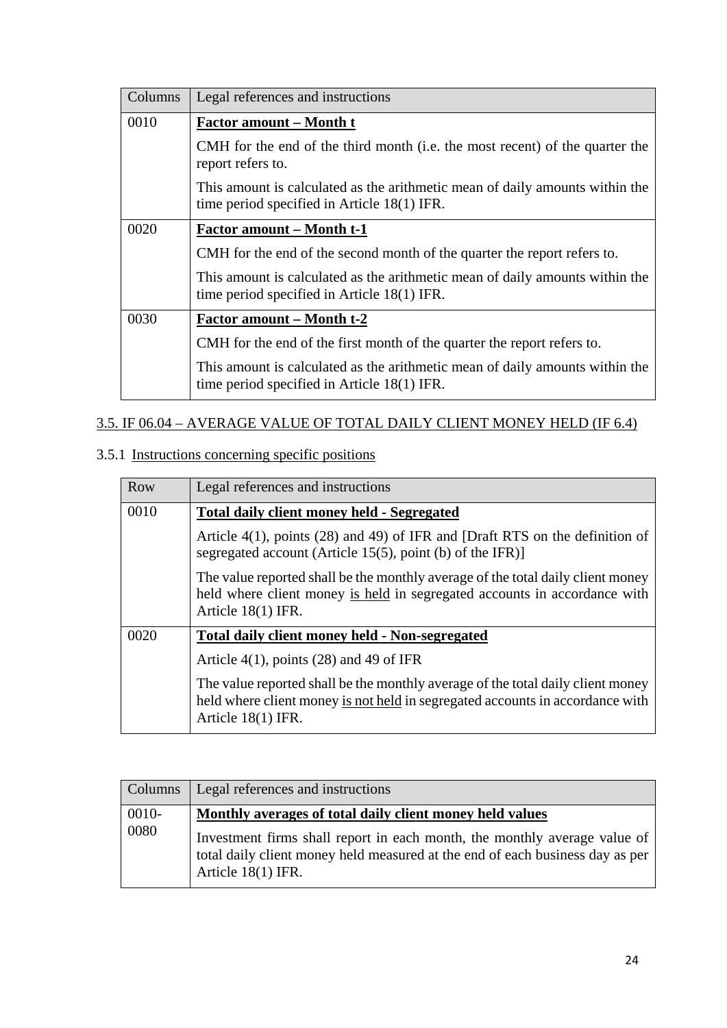| Columns | Legal references and instructions                                                                                           |
|---------|-----------------------------------------------------------------------------------------------------------------------------|
| 0010    | <u>Factor amount – Month t</u>                                                                                              |
|         | CMH for the end of the third month (i.e. the most recent) of the quarter the<br>report refers to.                           |
|         | This amount is calculated as the arithmetic mean of daily amounts within the<br>time period specified in Article 18(1) IFR. |
| 0020    | <u>Factor amount – Month t-1</u>                                                                                            |
|         | CMH for the end of the second month of the quarter the report refers to.                                                    |
|         | This amount is calculated as the arithmetic mean of daily amounts within the<br>time period specified in Article 18(1) IFR. |
| 0030    | <b>Factor amount – Month t-2</b>                                                                                            |
|         | CMH for the end of the first month of the quarter the report refers to.                                                     |
|         | This amount is calculated as the arithmetic mean of daily amounts within the<br>time period specified in Article 18(1) IFR. |

## 3.5. IF 06.04 – AVERAGE VALUE OF TOTAL DAILY CLIENT MONEY HELD (IF 6.4)

## 3.5.1 Instructions concerning specific positions

| Row  | Legal references and instructions                                                                                                                                                        |
|------|------------------------------------------------------------------------------------------------------------------------------------------------------------------------------------------|
| 0010 | <b>Total daily client money held - Segregated</b>                                                                                                                                        |
|      | Article $4(1)$ , points (28) and 49) of IFR and [Draft RTS on the definition of<br>segregated account (Article 15(5), point (b) of the IFR)]                                             |
|      | The value reported shall be the monthly average of the total daily client money<br>held where client money is held in segregated accounts in accordance with<br>Article $18(1)$ IFR.     |
| 0020 | Total daily client money held - Non-segregated                                                                                                                                           |
|      | Article $4(1)$ , points (28) and 49 of IFR                                                                                                                                               |
|      | The value reported shall be the monthly average of the total daily client money<br>held where client money is not held in segregated accounts in accordance with<br>Article $18(1)$ IFR. |

| <b>Columns</b> | Legal references and instructions                                                                                                                                                                                                              |
|----------------|------------------------------------------------------------------------------------------------------------------------------------------------------------------------------------------------------------------------------------------------|
| 0010-<br>0080  | Monthly averages of total daily client money held values<br>Investment firms shall report in each month, the monthly average value of<br>total daily client money held measured at the end of each business day as per<br>Article $18(1)$ IFR. |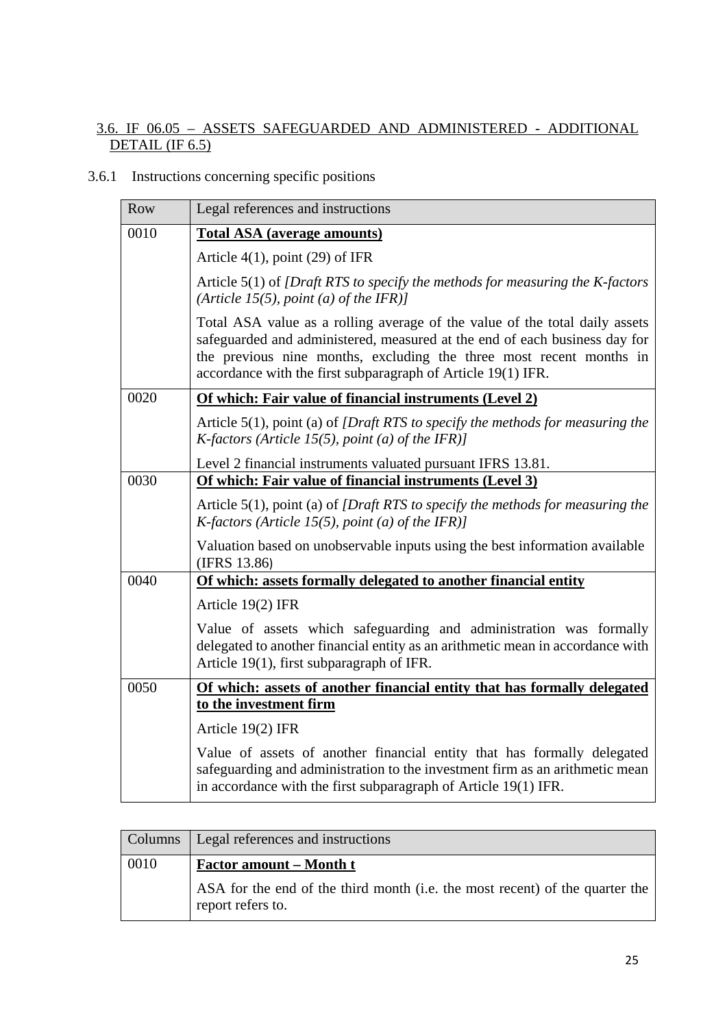### 3.6. IF 06.05 – ASSETS SAFEGUARDED AND ADMINISTERED - ADDITIONAL DETAIL (IF 6.5)

## 3.6.1 Instructions concerning specific positions

| Row  | Legal references and instructions                                                                                                                                                                                                                                                                |
|------|--------------------------------------------------------------------------------------------------------------------------------------------------------------------------------------------------------------------------------------------------------------------------------------------------|
| 0010 | <b>Total ASA (average amounts)</b>                                                                                                                                                                                                                                                               |
|      | Article $4(1)$ , point $(29)$ of IFR                                                                                                                                                                                                                                                             |
|      | Article $5(1)$ of <i>[Draft RTS to specify the methods for measuring the K-factors</i><br>(Article 15(5), point (a) of the IFR)]                                                                                                                                                                 |
|      | Total ASA value as a rolling average of the value of the total daily assets<br>safeguarded and administered, measured at the end of each business day for<br>the previous nine months, excluding the three most recent months in<br>accordance with the first subparagraph of Article 19(1) IFR. |
| 0020 | Of which: Fair value of financial instruments (Level 2)                                                                                                                                                                                                                                          |
|      | Article $5(1)$ , point (a) of <i>[Draft RTS to specify the methods for measuring the</i><br><i>K</i> -factors (Article 15(5), point (a) of the IFR)]                                                                                                                                             |
|      | Level 2 financial instruments valuated pursuant IFRS 13.81.                                                                                                                                                                                                                                      |
| 0030 | Of which: Fair value of financial instruments (Level 3)                                                                                                                                                                                                                                          |
|      | Article $5(1)$ , point (a) of <i>[Draft RTS to specify the methods for measuring the</i><br>K-factors (Article 15(5), point (a) of the IFR)]                                                                                                                                                     |
|      | Valuation based on unobservable inputs using the best information available<br>(IFRS 13.86)                                                                                                                                                                                                      |
| 0040 | Of which: assets formally delegated to another financial entity                                                                                                                                                                                                                                  |
|      | Article 19(2) IFR                                                                                                                                                                                                                                                                                |
|      | Value of assets which safeguarding and administration was formally<br>delegated to another financial entity as an arithmetic mean in accordance with<br>Article 19(1), first subparagraph of IFR.                                                                                                |
| 0050 | Of which: assets of another financial entity that has formally delegated                                                                                                                                                                                                                         |
|      | to the investment firm                                                                                                                                                                                                                                                                           |
|      | Article 19(2) IFR                                                                                                                                                                                                                                                                                |
|      | Value of assets of another financial entity that has formally delegated<br>safeguarding and administration to the investment firm as an arithmetic mean<br>in accordance with the first subparagraph of Article 19(1) IFR.                                                                       |

| <b>Columns</b> | Legal references and instructions                                                                 |
|----------------|---------------------------------------------------------------------------------------------------|
| 0010           | <u>Factor amount – Month t</u>                                                                    |
|                | ASA for the end of the third month (i.e. the most recent) of the quarter the<br>report refers to. |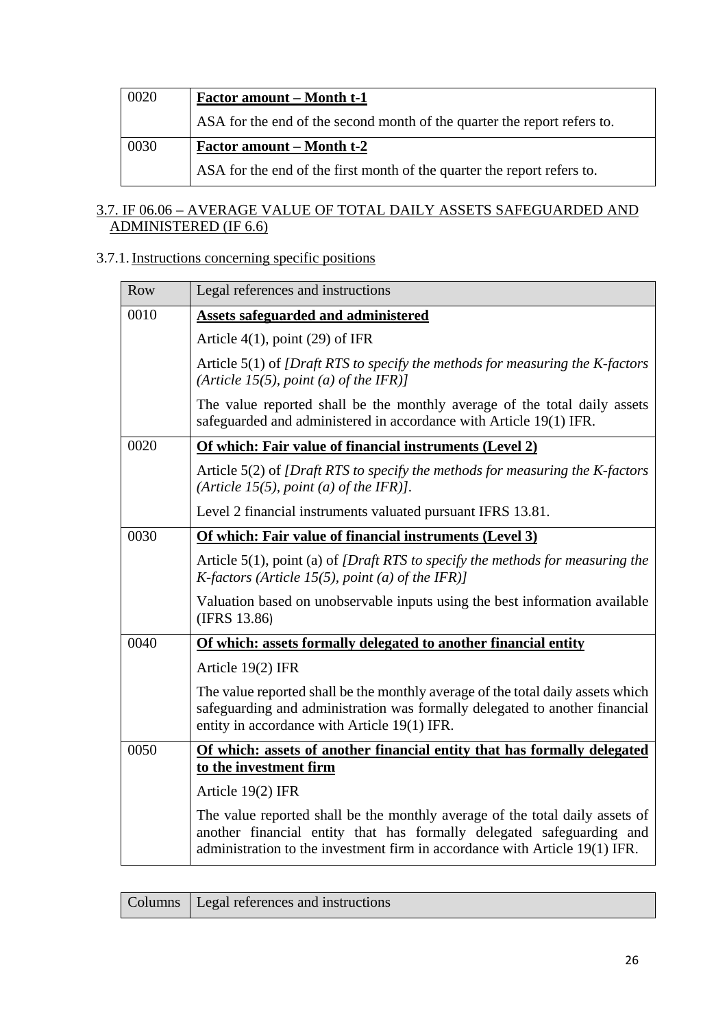| 0020 | <u>Factor amount – Month t-1</u>                                         |
|------|--------------------------------------------------------------------------|
|      | ASA for the end of the second month of the quarter the report refers to. |
| 0030 | <b>Factor amount – Month t-2</b>                                         |
|      | ASA for the end of the first month of the quarter the report refers to.  |

### 3.7. IF 06.06 – AVERAGE VALUE OF TOTAL DAILY ASSETS SAFEGUARDED AND ADMINISTERED (IF 6.6)

### 3.7.1. Instructions concerning specific positions

| Row  | Legal references and instructions                                                                                                                                                                                                    |
|------|--------------------------------------------------------------------------------------------------------------------------------------------------------------------------------------------------------------------------------------|
| 0010 | <b>Assets safeguarded and administered</b>                                                                                                                                                                                           |
|      | Article $4(1)$ , point $(29)$ of IFR                                                                                                                                                                                                 |
|      | Article $5(1)$ of <i>[Draft RTS to specify the methods for measuring the K-factors</i><br>(Article 15(5), point (a) of the IFR)]                                                                                                     |
|      | The value reported shall be the monthly average of the total daily assets<br>safeguarded and administered in accordance with Article 19(1) IFR.                                                                                      |
| 0020 | Of which: Fair value of financial instruments (Level 2)                                                                                                                                                                              |
|      | Article 5(2) of [Draft RTS to specify the methods for measuring the K-factors<br>(Article 15(5), point (a) of the IFR)].                                                                                                             |
|      | Level 2 financial instruments valuated pursuant IFRS 13.81.                                                                                                                                                                          |
| 0030 | Of which: Fair value of financial instruments (Level 3)                                                                                                                                                                              |
|      | Article $5(1)$ , point (a) of <i>[Draft RTS to specify the methods for measuring the</i><br><i>K</i> -factors (Article 15(5), point (a) of the IFR)]                                                                                 |
|      | Valuation based on unobservable inputs using the best information available<br>(IFRS 13.86)                                                                                                                                          |
| 0040 | Of which: assets formally delegated to another financial entity                                                                                                                                                                      |
|      | Article 19(2) IFR                                                                                                                                                                                                                    |
|      | The value reported shall be the monthly average of the total daily assets which<br>safeguarding and administration was formally delegated to another financial<br>entity in accordance with Article 19(1) IFR.                       |
| 0050 | Of which: assets of another financial entity that has formally delegated                                                                                                                                                             |
|      | to the investment firm                                                                                                                                                                                                               |
|      | Article 19(2) IFR                                                                                                                                                                                                                    |
|      | The value reported shall be the monthly average of the total daily assets of<br>another financial entity that has formally delegated safeguarding and<br>administration to the investment firm in accordance with Article 19(1) IFR. |

|  | Columns   Legal references and instructions |
|--|---------------------------------------------|
|--|---------------------------------------------|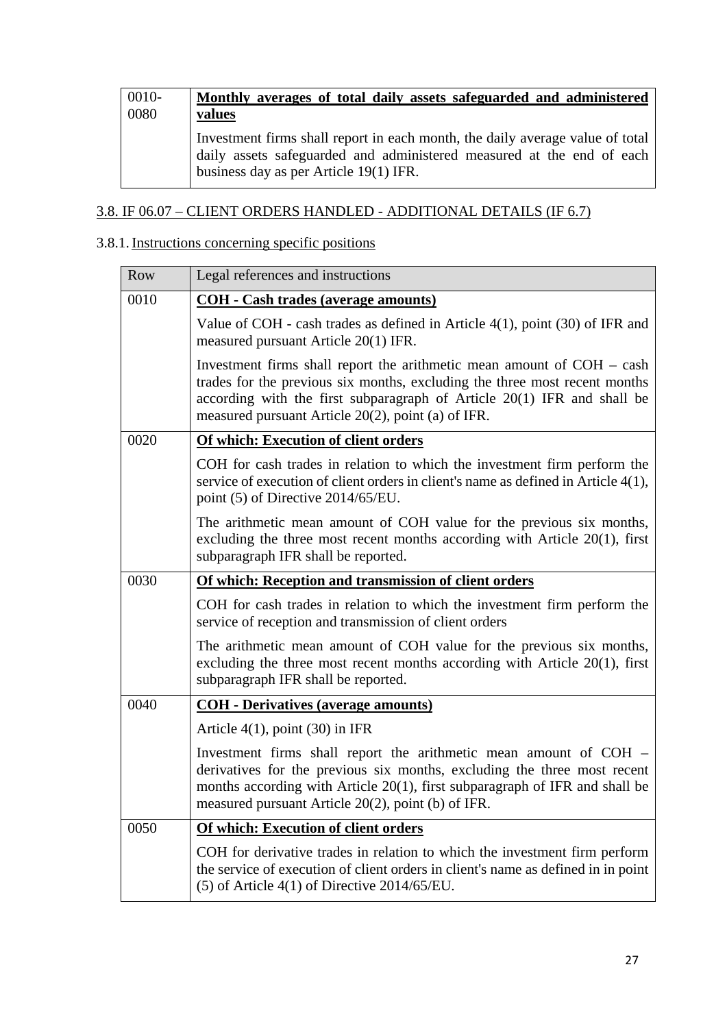| 0010- | Monthly averages of total daily assets safeguarded and administered                                                                                                                              |
|-------|--------------------------------------------------------------------------------------------------------------------------------------------------------------------------------------------------|
| 0080  | values                                                                                                                                                                                           |
|       | Investment firms shall report in each month, the daily average value of total<br>daily assets safeguarded and administered measured at the end of each<br>business day as per Article 19(1) IFR. |

## 3.8. IF 06.07 – CLIENT ORDERS HANDLED - ADDITIONAL DETAILS (IF 6.7)

## 3.8.1. Instructions concerning specific positions

| Row  | Legal references and instructions                                                                                                                                                                                                                                                         |
|------|-------------------------------------------------------------------------------------------------------------------------------------------------------------------------------------------------------------------------------------------------------------------------------------------|
| 0010 | <b>COH</b> - Cash trades (average amounts)                                                                                                                                                                                                                                                |
|      | Value of COH - cash trades as defined in Article 4(1), point (30) of IFR and<br>measured pursuant Article 20(1) IFR.                                                                                                                                                                      |
|      | Investment firms shall report the arithmetic mean amount of $COH - cash$<br>trades for the previous six months, excluding the three most recent months<br>according with the first subparagraph of Article $20(1)$ IFR and shall be<br>measured pursuant Article 20(2), point (a) of IFR. |
| 0020 | <b>Of which: Execution of client orders</b>                                                                                                                                                                                                                                               |
|      | COH for cash trades in relation to which the investment firm perform the<br>service of execution of client orders in client's name as defined in Article 4(1),<br>point (5) of Directive 2014/65/EU.                                                                                      |
|      | The arithmetic mean amount of COH value for the previous six months,<br>excluding the three most recent months according with Article $20(1)$ , first<br>subparagraph IFR shall be reported.                                                                                              |
| 0030 | Of which: Reception and transmission of client orders                                                                                                                                                                                                                                     |
|      | COH for cash trades in relation to which the investment firm perform the<br>service of reception and transmission of client orders                                                                                                                                                        |
|      | The arithmetic mean amount of COH value for the previous six months,<br>excluding the three most recent months according with Article $20(1)$ , first<br>subparagraph IFR shall be reported.                                                                                              |
| 0040 | <b>COH</b> - Derivatives (average amounts)                                                                                                                                                                                                                                                |
|      | Article $4(1)$ , point $(30)$ in IFR                                                                                                                                                                                                                                                      |
|      | Investment firms shall report the arithmetic mean amount of COH -<br>derivatives for the previous six months, excluding the three most recent<br>months according with Article 20(1), first subparagraph of IFR and shall be<br>measured pursuant Article 20(2), point (b) of IFR.        |
| 0050 | Of which: Execution of client orders                                                                                                                                                                                                                                                      |
|      | COH for derivative trades in relation to which the investment firm perform<br>the service of execution of client orders in client's name as defined in in point<br>$(5)$ of Article 4(1) of Directive 2014/65/EU.                                                                         |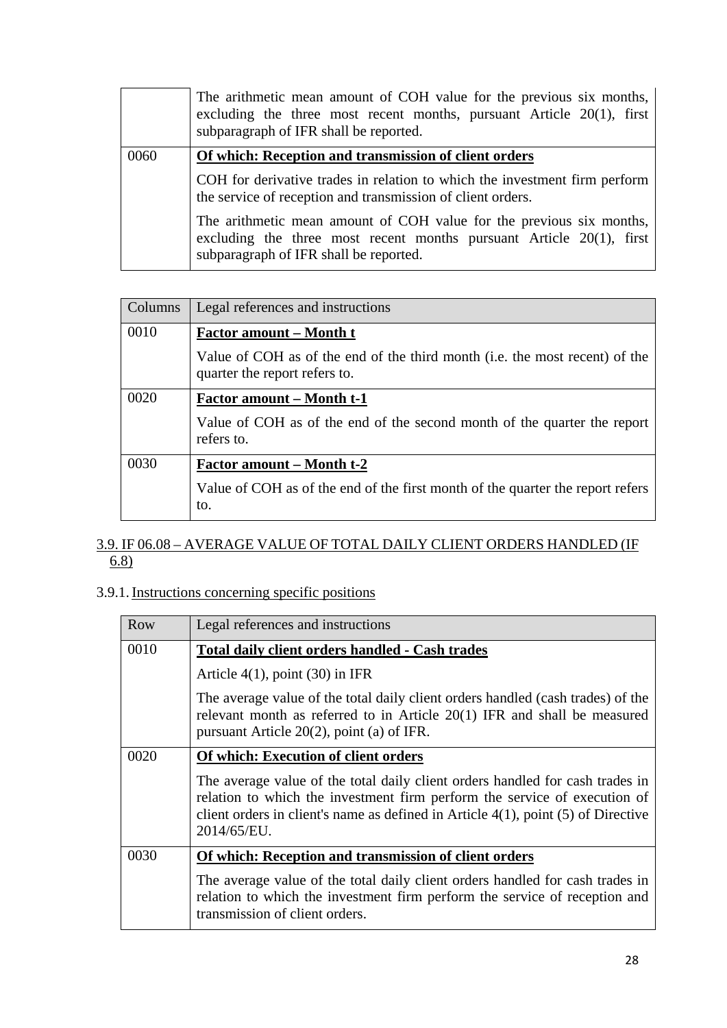|      | The arithmetic mean amount of COH value for the previous six months,<br>excluding the three most recent months, pursuant Article $20(1)$ , first<br>subparagraph of IFR shall be reported.         |
|------|----------------------------------------------------------------------------------------------------------------------------------------------------------------------------------------------------|
| 0060 | Of which: Reception and transmission of client orders<br>COH for derivative trades in relation to which the investment firm perform<br>the service of reception and transmission of client orders. |
|      | The arithmetic mean amount of COH value for the previous six months,<br>excluding the three most recent months pursuant Article $20(1)$ , first<br>subparagraph of IFR shall be reported.          |

| Columns | Legal references and instructions                                                                            |
|---------|--------------------------------------------------------------------------------------------------------------|
| 0010    | <b>Factor amount – Month t</b>                                                                               |
|         | Value of COH as of the end of the third month (i.e. the most recent) of the<br>quarter the report refers to. |
| 0020    | <b>Factor amount – Month t-1</b>                                                                             |
|         | Value of COH as of the end of the second month of the quarter the report<br>refers to.                       |
| 0030    | <b>Factor amount – Month t-2</b>                                                                             |
|         | Value of COH as of the end of the first month of the quarter the report refers<br>to.                        |

### 3.9. IF 06.08 – AVERAGE VALUE OF TOTAL DAILY CLIENT ORDERS HANDLED (IF 6.8)

## 3.9.1. Instructions concerning specific positions

| Row  | Legal references and instructions                                                                                                                                                                                                                                   |
|------|---------------------------------------------------------------------------------------------------------------------------------------------------------------------------------------------------------------------------------------------------------------------|
| 0010 | <b>Total daily client orders handled - Cash trades</b>                                                                                                                                                                                                              |
|      | Article $4(1)$ , point $(30)$ in IFR                                                                                                                                                                                                                                |
|      | The average value of the total daily client orders handled (cash trades) of the<br>relevant month as referred to in Article $20(1)$ IFR and shall be measured<br>pursuant Article $20(2)$ , point (a) of IFR.                                                       |
| 0020 | Of which: Execution of client orders                                                                                                                                                                                                                                |
|      | The average value of the total daily client orders handled for cash trades in<br>relation to which the investment firm perform the service of execution of<br>client orders in client's name as defined in Article $4(1)$ , point $(5)$ of Directive<br>2014/65/EU. |
| 0030 | Of which: Reception and transmission of client orders                                                                                                                                                                                                               |
|      | The average value of the total daily client orders handled for cash trades in<br>relation to which the investment firm perform the service of reception and<br>transmission of client orders.                                                                       |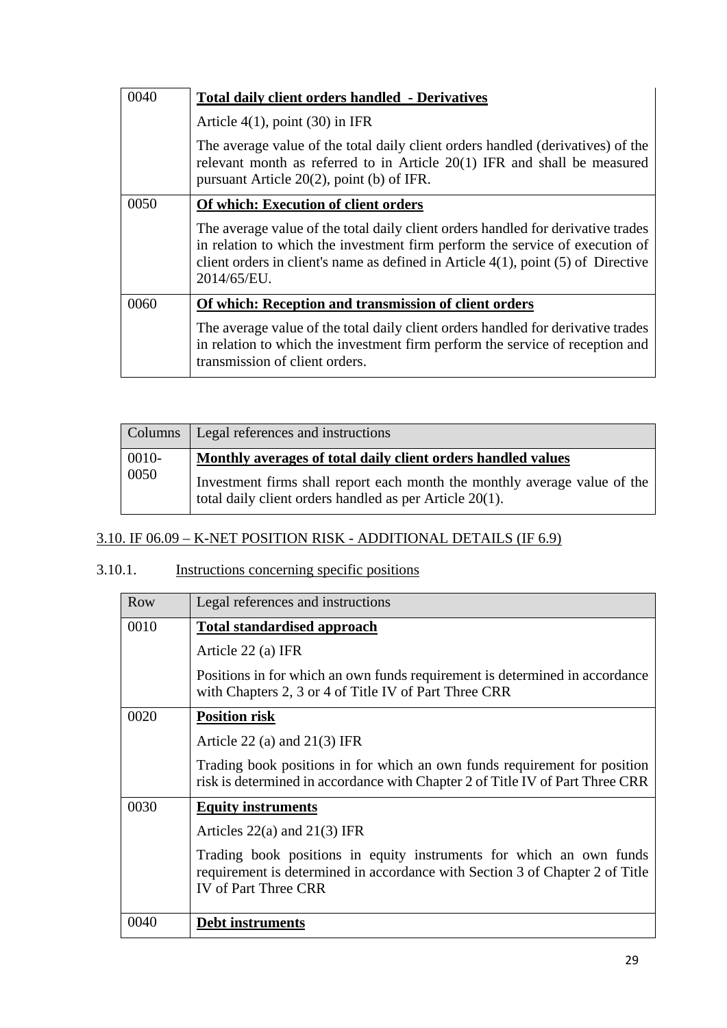| 0040 | <b>Total daily client orders handled - Derivatives</b>                                                                                                                                                                                                                    |
|------|---------------------------------------------------------------------------------------------------------------------------------------------------------------------------------------------------------------------------------------------------------------------------|
|      | Article $4(1)$ , point $(30)$ in IFR                                                                                                                                                                                                                                      |
|      | The average value of the total daily client orders handled (derivatives) of the<br>relevant month as referred to in Article 20(1) IFR and shall be measured<br>pursuant Article $20(2)$ , point (b) of IFR.                                                               |
| 0050 | Of which: Execution of client orders                                                                                                                                                                                                                                      |
|      | The average value of the total daily client orders handled for derivative trades<br>in relation to which the investment firm perform the service of execution of<br>client orders in client's name as defined in Article $4(1)$ , point $(5)$ of Directive<br>2014/65/EU. |
| 0060 | Of which: Reception and transmission of client orders                                                                                                                                                                                                                     |
|      | The average value of the total daily client orders handled for derivative trades<br>in relation to which the investment firm perform the service of reception and<br>transmission of client orders.                                                                       |

|               | Columns   Legal references and instructions                                                                                          |
|---------------|--------------------------------------------------------------------------------------------------------------------------------------|
| 0010-<br>0050 | Monthly averages of total daily client orders handled values                                                                         |
|               | Investment firms shall report each month the monthly average value of the<br>total daily client orders handled as per Article 20(1). |

# 3.10. IF 06.09 – K-NET POSITION RISK - ADDITIONAL DETAILS (IF 6.9)

# 3.10.1. Instructions concerning specific positions

| <b>Row</b> | Legal references and instructions                                                                                                                                                  |
|------------|------------------------------------------------------------------------------------------------------------------------------------------------------------------------------------|
| 0010       | <b>Total standardised approach</b>                                                                                                                                                 |
|            | Article 22 (a) IFR                                                                                                                                                                 |
|            | Positions in for which an own funds requirement is determined in accordance<br>with Chapters 2, 3 or 4 of Title IV of Part Three CRR                                               |
| 0020       | <b>Position risk</b>                                                                                                                                                               |
|            | Article 22 (a) and $21(3)$ IFR                                                                                                                                                     |
|            | Trading book positions in for which an own funds requirement for position<br>risk is determined in accordance with Chapter 2 of Title IV of Part Three CRR                         |
| 0030       | <b>Equity instruments</b>                                                                                                                                                          |
|            | Articles $22(a)$ and $21(3)$ IFR                                                                                                                                                   |
|            | Trading book positions in equity instruments for which an own funds<br>requirement is determined in accordance with Section 3 of Chapter 2 of Title<br><b>IV</b> of Part Three CRR |
| 0040       | <b>Debt instruments</b>                                                                                                                                                            |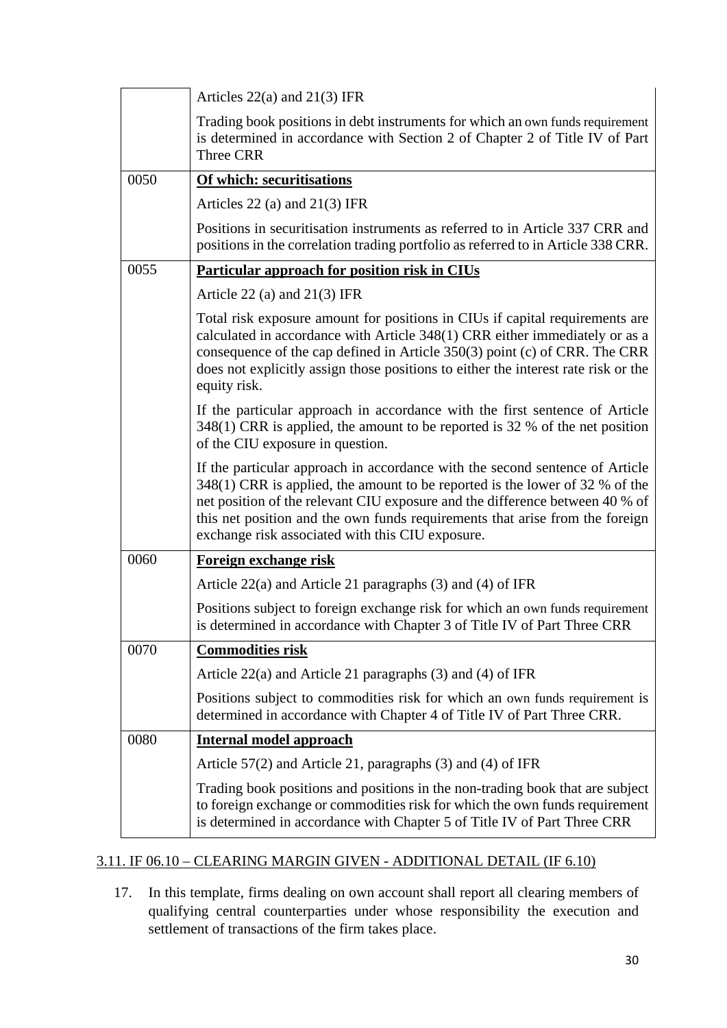|      | Articles $22(a)$ and $21(3)$ IFR                                                                                                                                                                                                                                                                                                                                                 |
|------|----------------------------------------------------------------------------------------------------------------------------------------------------------------------------------------------------------------------------------------------------------------------------------------------------------------------------------------------------------------------------------|
|      | Trading book positions in debt instruments for which an own funds requirement<br>is determined in accordance with Section 2 of Chapter 2 of Title IV of Part<br>Three CRR                                                                                                                                                                                                        |
| 0050 | Of which: securitisations                                                                                                                                                                                                                                                                                                                                                        |
|      | Articles 22 (a) and $21(3)$ IFR                                                                                                                                                                                                                                                                                                                                                  |
|      | Positions in securitisation instruments as referred to in Article 337 CRR and<br>positions in the correlation trading portfolio as referred to in Article 338 CRR.                                                                                                                                                                                                               |
| 0055 | Particular approach for position risk in CIUs                                                                                                                                                                                                                                                                                                                                    |
|      | Article 22 (a) and $21(3)$ IFR                                                                                                                                                                                                                                                                                                                                                   |
|      | Total risk exposure amount for positions in CIUs if capital requirements are<br>calculated in accordance with Article 348(1) CRR either immediately or as a<br>consequence of the cap defined in Article $350(3)$ point (c) of CRR. The CRR<br>does not explicitly assign those positions to either the interest rate risk or the<br>equity risk.                                |
|      | If the particular approach in accordance with the first sentence of Article<br>348(1) CRR is applied, the amount to be reported is 32 % of the net position<br>of the CIU exposure in question.                                                                                                                                                                                  |
|      | If the particular approach in accordance with the second sentence of Article<br>348(1) CRR is applied, the amount to be reported is the lower of 32 % of the<br>net position of the relevant CIU exposure and the difference between 40 % of<br>this net position and the own funds requirements that arise from the foreign<br>exchange risk associated with this CIU exposure. |
| 0060 | Foreign exchange risk                                                                                                                                                                                                                                                                                                                                                            |
|      | Article $22(a)$ and Article 21 paragraphs (3) and (4) of IFR                                                                                                                                                                                                                                                                                                                     |
|      | Positions subject to foreign exchange risk for which an own funds requirement<br>is determined in accordance with Chapter 3 of Title IV of Part Three CRR                                                                                                                                                                                                                        |
| 0070 | <b>Commodities risk</b>                                                                                                                                                                                                                                                                                                                                                          |
|      | Article $22(a)$ and Article 21 paragraphs (3) and (4) of IFR                                                                                                                                                                                                                                                                                                                     |
|      | Positions subject to commodities risk for which an own funds requirement is<br>determined in accordance with Chapter 4 of Title IV of Part Three CRR.                                                                                                                                                                                                                            |
| 0080 | <b>Internal model approach</b>                                                                                                                                                                                                                                                                                                                                                   |
|      | Article 57(2) and Article 21, paragraphs (3) and (4) of IFR                                                                                                                                                                                                                                                                                                                      |
|      | Trading book positions and positions in the non-trading book that are subject<br>to foreign exchange or commodities risk for which the own funds requirement<br>is determined in accordance with Chapter 5 of Title IV of Part Three CRR                                                                                                                                         |

### 3.11. IF 06.10 – CLEARING MARGIN GIVEN - ADDITIONAL DETAIL (IF 6.10)

17. In this template, firms dealing on own account shall report all clearing members of qualifying central counterparties under whose responsibility the execution and settlement of transactions of the firm takes place.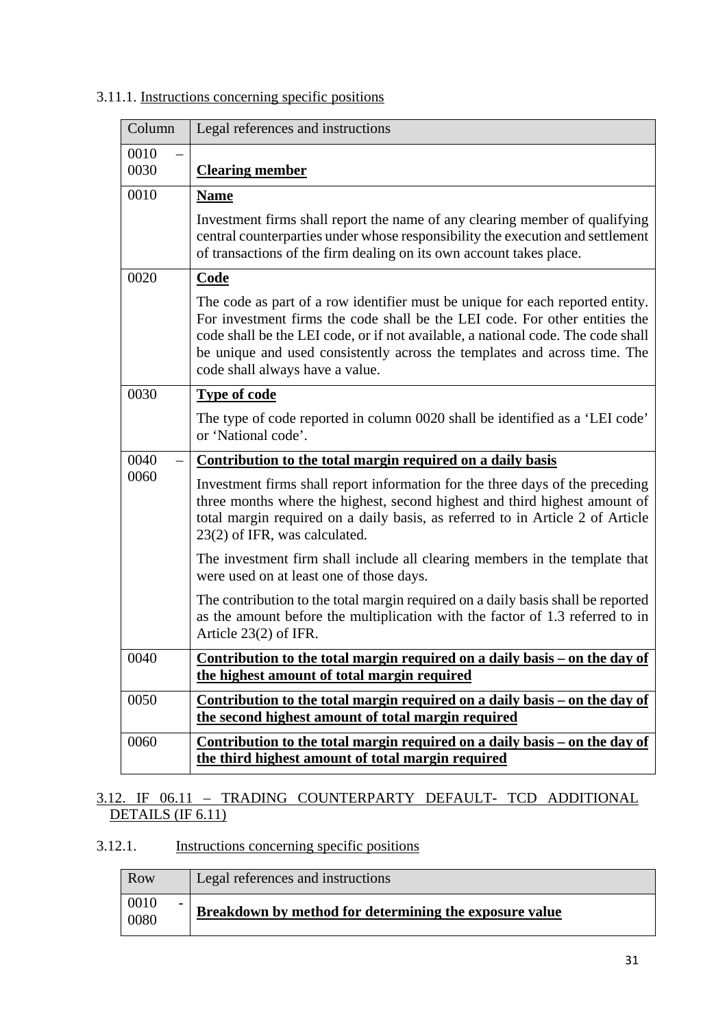### 3.11.1. Instructions concerning specific positions

| Column       | Legal references and instructions                                                                                                                                                                                                                                                                                                                                |
|--------------|------------------------------------------------------------------------------------------------------------------------------------------------------------------------------------------------------------------------------------------------------------------------------------------------------------------------------------------------------------------|
| 0010<br>0030 | <b>Clearing member</b>                                                                                                                                                                                                                                                                                                                                           |
| 0010         | <b>Name</b>                                                                                                                                                                                                                                                                                                                                                      |
|              | Investment firms shall report the name of any clearing member of qualifying<br>central counterparties under whose responsibility the execution and settlement<br>of transactions of the firm dealing on its own account takes place.                                                                                                                             |
| 0020         | <b>Code</b>                                                                                                                                                                                                                                                                                                                                                      |
|              | The code as part of a row identifier must be unique for each reported entity.<br>For investment firms the code shall be the LEI code. For other entities the<br>code shall be the LEI code, or if not available, a national code. The code shall<br>be unique and used consistently across the templates and across time. The<br>code shall always have a value. |
| 0030         | <b>Type of code</b>                                                                                                                                                                                                                                                                                                                                              |
|              | The type of code reported in column 0020 shall be identified as a 'LEI code'<br>or 'National code'.                                                                                                                                                                                                                                                              |
| 0040         | Contribution to the total margin required on a daily basis                                                                                                                                                                                                                                                                                                       |
| 0060         | Investment firms shall report information for the three days of the preceding<br>three months where the highest, second highest and third highest amount of<br>total margin required on a daily basis, as referred to in Article 2 of Article<br>23(2) of IFR, was calculated.                                                                                   |
|              | The investment firm shall include all clearing members in the template that<br>were used on at least one of those days.                                                                                                                                                                                                                                          |
|              | The contribution to the total margin required on a daily basis shall be reported<br>as the amount before the multiplication with the factor of 1.3 referred to in<br>Article $23(2)$ of IFR.                                                                                                                                                                     |
| 0040         | Contribution to the total margin required on a daily basis – on the day of<br>the highest amount of total margin required                                                                                                                                                                                                                                        |
| 0050         | Contribution to the total margin required on a daily basis – on the day of<br>the second highest amount of total margin required                                                                                                                                                                                                                                 |
| 0060         | <u>Contribution to the total margin required on a daily basis – on the day of</u><br>the third highest amount of total margin required                                                                                                                                                                                                                           |

### 3.12. IF 06.11 – TRADING COUNTERPARTY DEFAULT- TCD ADDITIONAL DETAILS (IF 6.11)

### 3.12.1. Instructions concerning specific positions

| Row                                      | Legal references and instructions                      |
|------------------------------------------|--------------------------------------------------------|
| 0010<br>$\overline{\phantom{0}}$<br>0080 | Breakdown by method for determining the exposure value |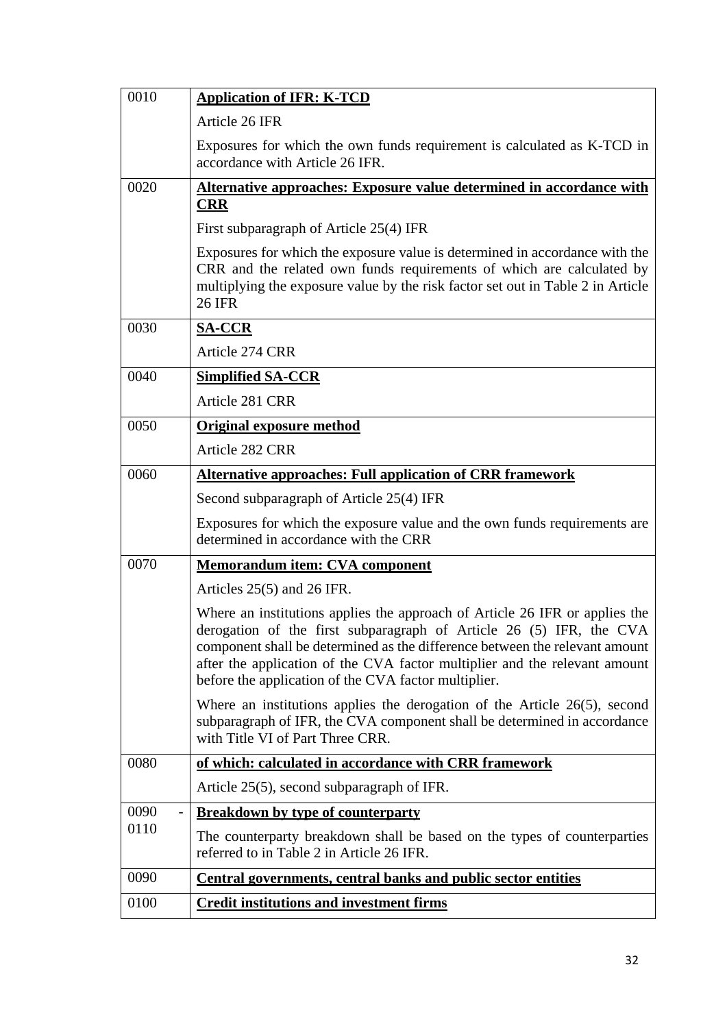| 0010 | <b>Application of IFR: K-TCD</b>                                                                                                                                                                                                                                                                                                                                        |
|------|-------------------------------------------------------------------------------------------------------------------------------------------------------------------------------------------------------------------------------------------------------------------------------------------------------------------------------------------------------------------------|
|      | Article 26 IFR                                                                                                                                                                                                                                                                                                                                                          |
|      | Exposures for which the own funds requirement is calculated as K-TCD in<br>accordance with Article 26 IFR.                                                                                                                                                                                                                                                              |
| 0020 | Alternative approaches: Exposure value determined in accordance with                                                                                                                                                                                                                                                                                                    |
|      | <b>CRR</b>                                                                                                                                                                                                                                                                                                                                                              |
|      | First subparagraph of Article 25(4) IFR                                                                                                                                                                                                                                                                                                                                 |
|      | Exposures for which the exposure value is determined in accordance with the<br>CRR and the related own funds requirements of which are calculated by<br>multiplying the exposure value by the risk factor set out in Table 2 in Article<br><b>26 IFR</b>                                                                                                                |
| 0030 | <b>SA-CCR</b>                                                                                                                                                                                                                                                                                                                                                           |
|      | Article 274 CRR                                                                                                                                                                                                                                                                                                                                                         |
| 0040 | <b>Simplified SA-CCR</b>                                                                                                                                                                                                                                                                                                                                                |
|      | Article 281 CRR                                                                                                                                                                                                                                                                                                                                                         |
| 0050 | <b>Original exposure method</b>                                                                                                                                                                                                                                                                                                                                         |
|      | Article 282 CRR                                                                                                                                                                                                                                                                                                                                                         |
| 0060 | <b>Alternative approaches: Full application of CRR framework</b>                                                                                                                                                                                                                                                                                                        |
|      | Second subparagraph of Article 25(4) IFR                                                                                                                                                                                                                                                                                                                                |
|      | Exposures for which the exposure value and the own funds requirements are<br>determined in accordance with the CRR                                                                                                                                                                                                                                                      |
| 0070 | <b>Memorandum item: CVA component</b>                                                                                                                                                                                                                                                                                                                                   |
|      | Articles 25(5) and 26 IFR.                                                                                                                                                                                                                                                                                                                                              |
|      | Where an institutions applies the approach of Article 26 IFR or applies the<br>derogation of the first subparagraph of Article 26 (5) IFR, the CVA<br>component shall be determined as the difference between the relevant amount<br>after the application of the CVA factor multiplier and the relevant amount<br>before the application of the CVA factor multiplier. |
|      | Where an institutions applies the derogation of the Article $26(5)$ , second<br>subparagraph of IFR, the CVA component shall be determined in accordance<br>with Title VI of Part Three CRR.                                                                                                                                                                            |
| 0080 | of which: calculated in accordance with CRR framework                                                                                                                                                                                                                                                                                                                   |
|      | Article 25(5), second subparagraph of IFR.                                                                                                                                                                                                                                                                                                                              |
| 0090 | <b>Breakdown by type of counterparty</b>                                                                                                                                                                                                                                                                                                                                |
| 0110 | The counterparty breakdown shall be based on the types of counterparties<br>referred to in Table 2 in Article 26 IFR.                                                                                                                                                                                                                                                   |
| 0090 | <b>Central governments, central banks and public sector entities</b>                                                                                                                                                                                                                                                                                                    |
| 0100 | <b>Credit institutions and investment firms</b>                                                                                                                                                                                                                                                                                                                         |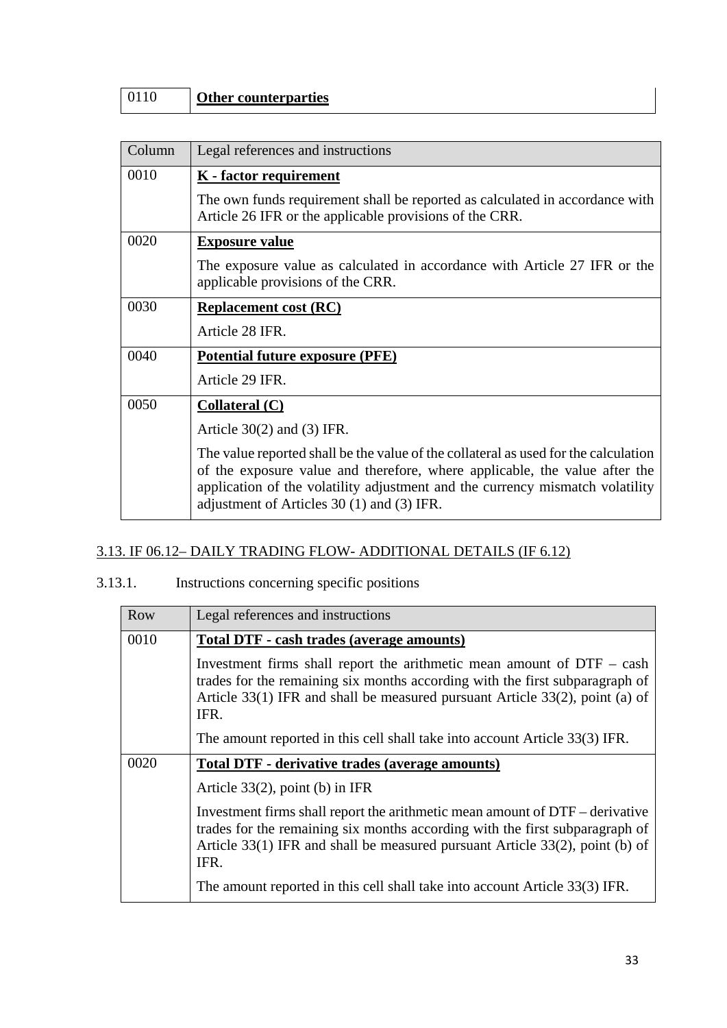| Column | Legal references and instructions                                                                                                                                                                                                                                                                   |
|--------|-----------------------------------------------------------------------------------------------------------------------------------------------------------------------------------------------------------------------------------------------------------------------------------------------------|
| 0010   | <b>K</b> - factor requirement                                                                                                                                                                                                                                                                       |
|        | The own funds requirement shall be reported as calculated in accordance with<br>Article 26 IFR or the applicable provisions of the CRR.                                                                                                                                                             |
| 0020   | <b>Exposure value</b>                                                                                                                                                                                                                                                                               |
|        | The exposure value as calculated in accordance with Article 27 IFR or the<br>applicable provisions of the CRR.                                                                                                                                                                                      |
| 0030   | <b>Replacement cost (RC)</b>                                                                                                                                                                                                                                                                        |
|        | Article 28 IFR.                                                                                                                                                                                                                                                                                     |
| 0040   | <b>Potential future exposure (PFE)</b>                                                                                                                                                                                                                                                              |
|        | Article 29 IFR.                                                                                                                                                                                                                                                                                     |
| 0050   | <b>Collateral (C)</b>                                                                                                                                                                                                                                                                               |
|        | Article $30(2)$ and $(3)$ IFR.                                                                                                                                                                                                                                                                      |
|        | The value reported shall be the value of the collateral as used for the calculation<br>of the exposure value and therefore, where applicable, the value after the<br>application of the volatility adjustment and the currency mismatch volatility<br>adjustment of Articles $30(1)$ and $(3)$ IFR. |

## 3.13. IF 06.12– DAILY TRADING FLOW- ADDITIONAL DETAILS (IF 6.12)

### 3.13.1. Instructions concerning specific positions

| Row  | Legal references and instructions                                                                                                                                                                                                                    |
|------|------------------------------------------------------------------------------------------------------------------------------------------------------------------------------------------------------------------------------------------------------|
| 0010 | Total DTF - cash trades (average amounts)                                                                                                                                                                                                            |
|      | Investment firms shall report the arithmetic mean amount of $DTF - cash$<br>trades for the remaining six months according with the first subparagraph of<br>Article 33(1) IFR and shall be measured pursuant Article 33(2), point (a) of<br>IFR.     |
|      | The amount reported in this cell shall take into account Article 33(3) IFR.                                                                                                                                                                          |
| 0020 | Total DTF - derivative trades (average amounts)                                                                                                                                                                                                      |
|      | Article $33(2)$ , point (b) in IFR                                                                                                                                                                                                                   |
|      | Investment firms shall report the arithmetic mean amount of DTF – derivative<br>trades for the remaining six months according with the first subparagraph of<br>Article 33(1) IFR and shall be measured pursuant Article 33(2), point (b) of<br>IFR. |
|      | The amount reported in this cell shall take into account Article 33(3) IFR.                                                                                                                                                                          |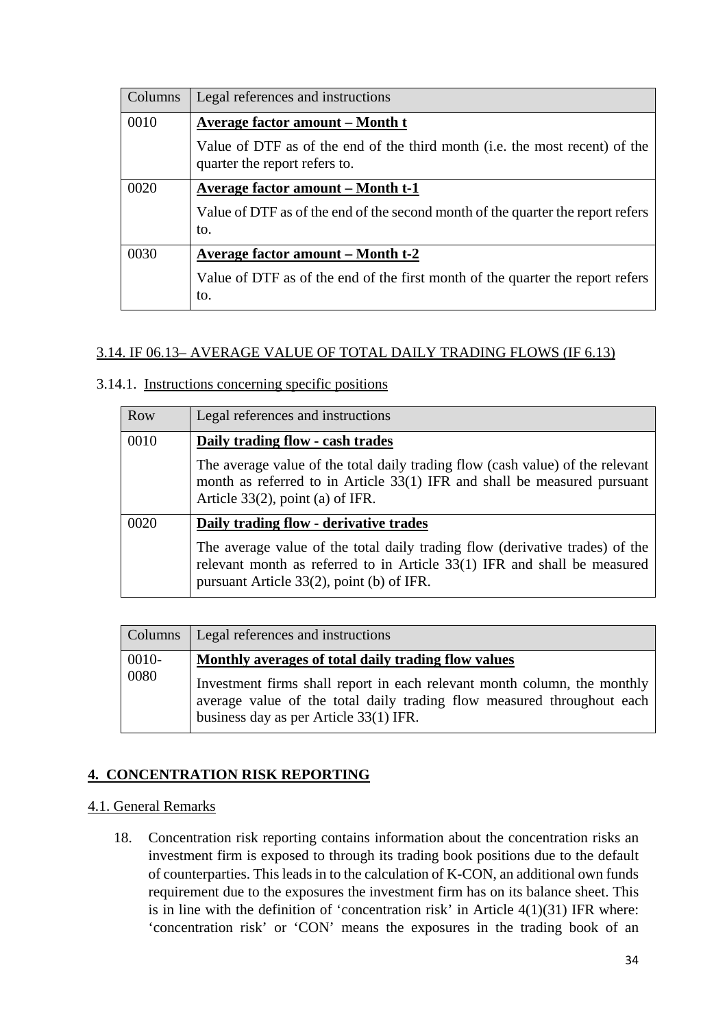| <b>Columns</b> | Legal references and instructions                                                                            |
|----------------|--------------------------------------------------------------------------------------------------------------|
| 0010           | <b>Average factor amount – Month t</b>                                                                       |
|                | Value of DTF as of the end of the third month (i.e. the most recent) of the<br>quarter the report refers to. |
| 0020           | Average factor amount – Month t-1                                                                            |
|                | Value of DTF as of the end of the second month of the quarter the report refers<br>to.                       |
| 0030           | <b>Average factor amount – Month t-2</b>                                                                     |
|                | Value of DTF as of the end of the first month of the quarter the report refers<br>to.                        |

### 3.14. IF 06.13– AVERAGE VALUE OF TOTAL DAILY TRADING FLOWS (IF 6.13)

#### 3.14.1. Instructions concerning specific positions

| Row  | Legal references and instructions                                                                                                                                                                     |
|------|-------------------------------------------------------------------------------------------------------------------------------------------------------------------------------------------------------|
| 0010 | Daily trading flow - cash trades                                                                                                                                                                      |
|      | The average value of the total daily trading flow (cash value) of the relevant<br>month as referred to in Article 33(1) IFR and shall be measured pursuant<br>Article $33(2)$ , point (a) of IFR.     |
| 0020 | Daily trading flow - derivative trades                                                                                                                                                                |
|      | The average value of the total daily trading flow (derivative trades) of the<br>relevant month as referred to in Article 33(1) IFR and shall be measured<br>pursuant Article 33(2), point (b) of IFR. |

|                  | Columns   Legal references and instructions                                                                                                                                                                                                         |
|------------------|-----------------------------------------------------------------------------------------------------------------------------------------------------------------------------------------------------------------------------------------------------|
| $0010 -$<br>0080 | Monthly averages of total daily trading flow values<br>Investment firms shall report in each relevant month column, the monthly<br>average value of the total daily trading flow measured throughout each<br>business day as per Article 33(1) IFR. |

### **4. CONCENTRATION RISK REPORTING**

#### 4.1. General Remarks

18. Concentration risk reporting contains information about the concentration risks an investment firm is exposed to through its trading book positions due to the default of counterparties. This leads in to the calculation of K-CON, an additional own funds requirement due to the exposures the investment firm has on its balance sheet. This is in line with the definition of 'concentration risk' in Article  $4(1)(31)$  IFR where: 'concentration risk' or 'CON' means the exposures in the trading book of an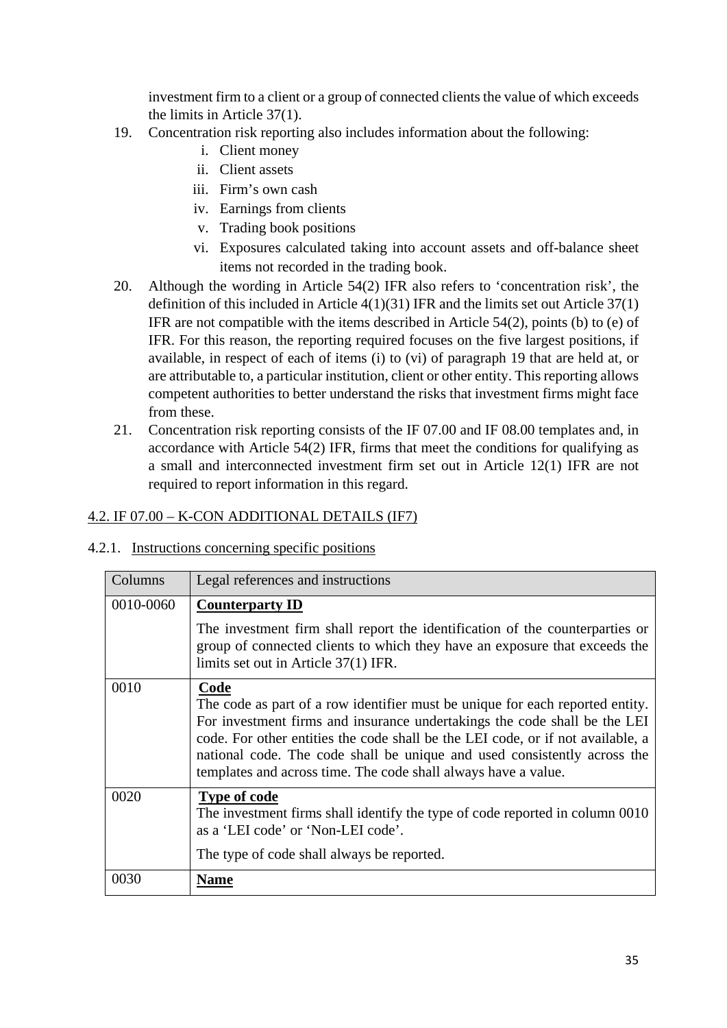investment firm to a client or a group of connected clients the value of which exceeds the limits in Article 37(1).

- 19. Concentration risk reporting also includes information about the following:
	- i. Client money
	- ii. Client assets
	- iii. Firm's own cash
	- iv. Earnings from clients
	- v. Trading book positions
	- vi. Exposures calculated taking into account assets and off-balance sheet items not recorded in the trading book.
- 20. Although the wording in Article 54(2) IFR also refers to 'concentration risk', the definition of this included in Article 4(1)(31) IFR and the limits set out Article 37(1) IFR are not compatible with the items described in Article 54(2), points (b) to (e) of IFR. For this reason, the reporting required focuses on the five largest positions, if available, in respect of each of items (i) to (vi) of paragraph 19 that are held at, or are attributable to, a particular institution, client or other entity. This reporting allows competent authorities to better understand the risks that investment firms might face from these.
- 21. Concentration risk reporting consists of the IF 07.00 and IF 08.00 templates and, in accordance with Article 54(2) IFR, firms that meet the conditions for qualifying as a small and interconnected investment firm set out in Article 12(1) IFR are not required to report information in this regard.

### 4.2. IF 07.00 – K-CON ADDITIONAL DETAILS (IF7)

### 4.2.1. Instructions concerning specific positions

| Columns   | Legal references and instructions                                                                                                                                                                                                                                                                                                                                                                   |
|-----------|-----------------------------------------------------------------------------------------------------------------------------------------------------------------------------------------------------------------------------------------------------------------------------------------------------------------------------------------------------------------------------------------------------|
| 0010-0060 | <b>Counterparty ID</b>                                                                                                                                                                                                                                                                                                                                                                              |
|           | The investment firm shall report the identification of the counterparties or<br>group of connected clients to which they have an exposure that exceeds the<br>limits set out in Article 37(1) IFR.                                                                                                                                                                                                  |
| 0010      | Code<br>The code as part of a row identifier must be unique for each reported entity.<br>For investment firms and insurance undertakings the code shall be the LEI<br>code. For other entities the code shall be the LEI code, or if not available, a<br>national code. The code shall be unique and used consistently across the<br>templates and across time. The code shall always have a value. |
| 0020      | <b>Type of code</b><br>The investment firms shall identify the type of code reported in column 0010<br>as a 'LEI code' or 'Non-LEI code'.<br>The type of code shall always be reported.                                                                                                                                                                                                             |
| 0030      | Name                                                                                                                                                                                                                                                                                                                                                                                                |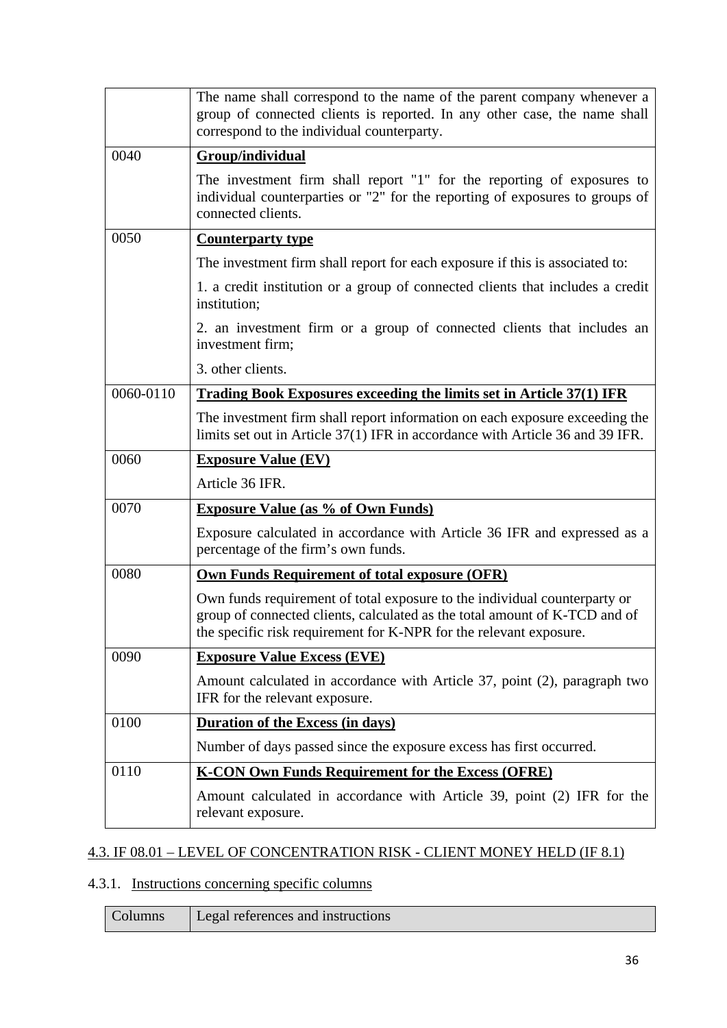|           | The name shall correspond to the name of the parent company whenever a<br>group of connected clients is reported. In any other case, the name shall<br>correspond to the individual counterparty.                             |
|-----------|-------------------------------------------------------------------------------------------------------------------------------------------------------------------------------------------------------------------------------|
| 0040      | Group/individual                                                                                                                                                                                                              |
|           | The investment firm shall report "1" for the reporting of exposures to<br>individual counterparties or "2" for the reporting of exposures to groups of<br>connected clients.                                                  |
| 0050      | <b>Counterparty type</b>                                                                                                                                                                                                      |
|           | The investment firm shall report for each exposure if this is associated to:                                                                                                                                                  |
|           | 1. a credit institution or a group of connected clients that includes a credit<br>institution;                                                                                                                                |
|           | 2. an investment firm or a group of connected clients that includes an<br>investment firm;                                                                                                                                    |
|           | 3. other clients.                                                                                                                                                                                                             |
| 0060-0110 | <b>Trading Book Exposures exceeding the limits set in Article 37(1) IFR</b>                                                                                                                                                   |
|           | The investment firm shall report information on each exposure exceeding the<br>limits set out in Article 37(1) IFR in accordance with Article 36 and 39 IFR.                                                                  |
| 0060      | <b>Exposure Value (EV)</b>                                                                                                                                                                                                    |
|           | Article 36 IFR.                                                                                                                                                                                                               |
| 0070      | <b>Exposure Value (as % of Own Funds)</b>                                                                                                                                                                                     |
|           | Exposure calculated in accordance with Article 36 IFR and expressed as a<br>percentage of the firm's own funds.                                                                                                               |
| 0080      | <b>Own Funds Requirement of total exposure (OFR)</b>                                                                                                                                                                          |
|           | Own funds requirement of total exposure to the individual counterparty or<br>group of connected clients, calculated as the total amount of K-TCD and of<br>the specific risk requirement for K-NPR for the relevant exposure. |
| 0090      | <b>Exposure Value Excess (EVE)</b>                                                                                                                                                                                            |
|           | Amount calculated in accordance with Article 37, point (2), paragraph two<br>IFR for the relevant exposure.                                                                                                                   |
| 0100      | <b>Duration of the Excess (in days)</b>                                                                                                                                                                                       |
|           | Number of days passed since the exposure excess has first occurred.                                                                                                                                                           |
| 0110      | <b>K-CON Own Funds Requirement for the Excess (OFRE)</b>                                                                                                                                                                      |
|           | Amount calculated in accordance with Article 39, point (2) IFR for the<br>relevant exposure.                                                                                                                                  |

## 4.3. IF 08.01 – LEVEL OF CONCENTRATION RISK - CLIENT MONEY HELD (IF 8.1)

## 4.3.1. Instructions concerning specific columns

| Legal references and instructions<br>Columns |  |
|----------------------------------------------|--|
|----------------------------------------------|--|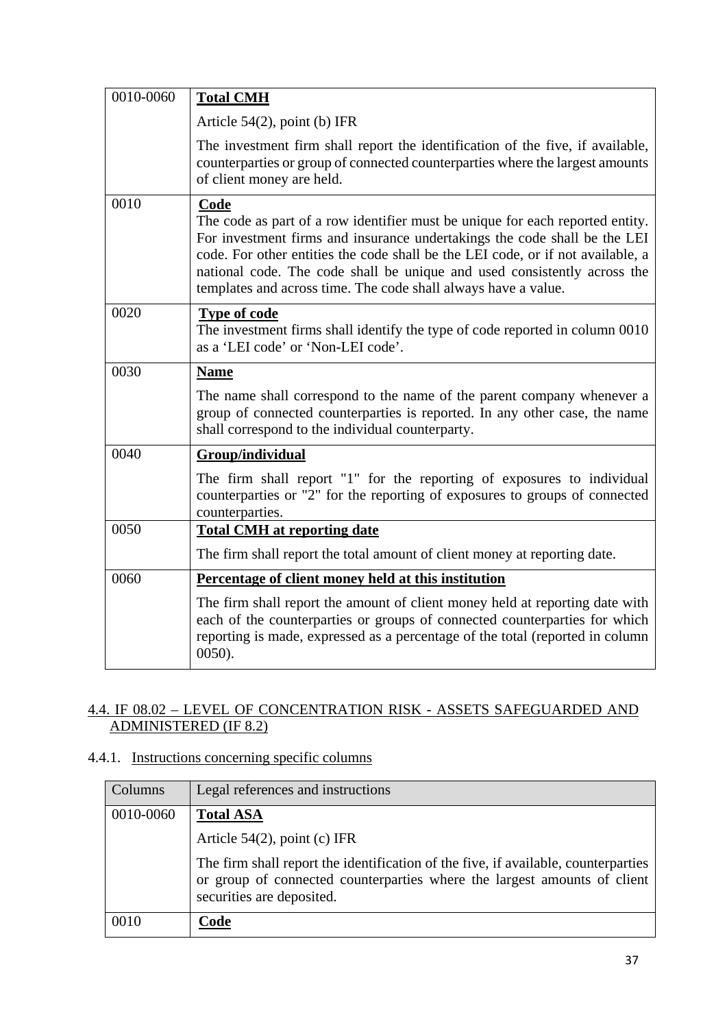| 0010-0060 | <b>Total CMH</b>                                                                                                                                                                                                                                                                                                                                                                                    |
|-----------|-----------------------------------------------------------------------------------------------------------------------------------------------------------------------------------------------------------------------------------------------------------------------------------------------------------------------------------------------------------------------------------------------------|
|           | Article $54(2)$ , point (b) IFR                                                                                                                                                                                                                                                                                                                                                                     |
|           | The investment firm shall report the identification of the five, if available,<br>counterparties or group of connected counterparties where the largest amounts<br>of client money are held.                                                                                                                                                                                                        |
| 0010      | Code<br>The code as part of a row identifier must be unique for each reported entity.<br>For investment firms and insurance undertakings the code shall be the LEI<br>code. For other entities the code shall be the LEI code, or if not available, a<br>national code. The code shall be unique and used consistently across the<br>templates and across time. The code shall always have a value. |
| 0020      | <b>Type of code</b><br>The investment firms shall identify the type of code reported in column 0010<br>as a 'LEI code' or 'Non-LEI code'.                                                                                                                                                                                                                                                           |
| 0030      | <b>Name</b>                                                                                                                                                                                                                                                                                                                                                                                         |
|           | The name shall correspond to the name of the parent company whenever a<br>group of connected counterparties is reported. In any other case, the name<br>shall correspond to the individual counterparty.                                                                                                                                                                                            |
| 0040      | Group/individual                                                                                                                                                                                                                                                                                                                                                                                    |
|           | The firm shall report "1" for the reporting of exposures to individual<br>counterparties or "2" for the reporting of exposures to groups of connected<br>counterparties.                                                                                                                                                                                                                            |
| 0050      | <b>Total CMH</b> at reporting date                                                                                                                                                                                                                                                                                                                                                                  |
|           | The firm shall report the total amount of client money at reporting date.                                                                                                                                                                                                                                                                                                                           |
| 0060      | Percentage of client money held at this institution                                                                                                                                                                                                                                                                                                                                                 |
|           | The firm shall report the amount of client money held at reporting date with<br>each of the counterparties or groups of connected counterparties for which<br>reporting is made, expressed as a percentage of the total (reported in column<br>$0050$ ).                                                                                                                                            |

### 4.4. IF 08.02 – LEVEL OF CONCENTRATION RISK - ASSETS SAFEGUARDED AND ADMINISTERED (IF 8.2)

## 4.4.1. Instructions concerning specific columns

| Columns   | Legal references and instructions                                                                                                                                                           |
|-----------|---------------------------------------------------------------------------------------------------------------------------------------------------------------------------------------------|
| 0010-0060 | <b>Total ASA</b>                                                                                                                                                                            |
|           | Article $54(2)$ , point (c) IFR                                                                                                                                                             |
|           | The firm shall report the identification of the five, if available, counterparties<br>or group of connected counterparties where the largest amounts of client<br>securities are deposited. |
| 0010      | Code                                                                                                                                                                                        |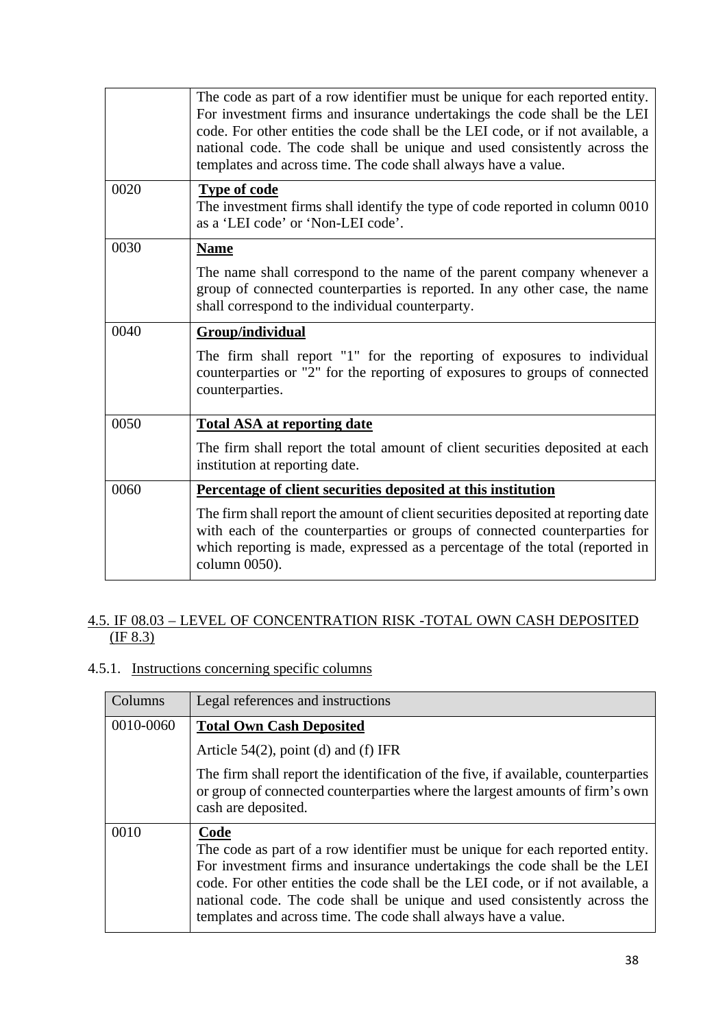|      | The code as part of a row identifier must be unique for each reported entity.<br>For investment firms and insurance undertakings the code shall be the LEI<br>code. For other entities the code shall be the LEI code, or if not available, a<br>national code. The code shall be unique and used consistently across the<br>templates and across time. The code shall always have a value. |
|------|---------------------------------------------------------------------------------------------------------------------------------------------------------------------------------------------------------------------------------------------------------------------------------------------------------------------------------------------------------------------------------------------|
| 0020 | <b>Type of code</b><br>The investment firms shall identify the type of code reported in column 0010<br>as a 'LEI code' or 'Non-LEI code'.                                                                                                                                                                                                                                                   |
| 0030 | <b>Name</b>                                                                                                                                                                                                                                                                                                                                                                                 |
|      | The name shall correspond to the name of the parent company whenever a<br>group of connected counterparties is reported. In any other case, the name<br>shall correspond to the individual counterparty.                                                                                                                                                                                    |
| 0040 | Group/individual                                                                                                                                                                                                                                                                                                                                                                            |
|      | The firm shall report "1" for the reporting of exposures to individual<br>counterparties or "2" for the reporting of exposures to groups of connected<br>counterparties.                                                                                                                                                                                                                    |
| 0050 | <b>Total ASA at reporting date</b>                                                                                                                                                                                                                                                                                                                                                          |
|      | The firm shall report the total amount of client securities deposited at each<br>institution at reporting date.                                                                                                                                                                                                                                                                             |
| 0060 | Percentage of client securities deposited at this institution                                                                                                                                                                                                                                                                                                                               |
|      | The firm shall report the amount of client securities deposited at reporting date<br>with each of the counterparties or groups of connected counterparties for<br>which reporting is made, expressed as a percentage of the total (reported in<br>column 0050).                                                                                                                             |

#### 4.5. IF 08.03 – LEVEL OF CONCENTRATION RISK -TOTAL OWN CASH DEPOSITED  $(IF 8.3)$

## 4.5.1. Instructions concerning specific columns

| Columns   | Legal references and instructions                                                                                                                                                                                                                                                                                                                                                                   |
|-----------|-----------------------------------------------------------------------------------------------------------------------------------------------------------------------------------------------------------------------------------------------------------------------------------------------------------------------------------------------------------------------------------------------------|
| 0010-0060 | <b>Total Own Cash Deposited</b>                                                                                                                                                                                                                                                                                                                                                                     |
|           | Article $54(2)$ , point (d) and (f) IFR                                                                                                                                                                                                                                                                                                                                                             |
|           | The firm shall report the identification of the five, if available, counterparties<br>or group of connected counterparties where the largest amounts of firm's own<br>cash are deposited.                                                                                                                                                                                                           |
| 0010      | Code<br>The code as part of a row identifier must be unique for each reported entity.<br>For investment firms and insurance undertakings the code shall be the LEI<br>code. For other entities the code shall be the LEI code, or if not available, a<br>national code. The code shall be unique and used consistently across the<br>templates and across time. The code shall always have a value. |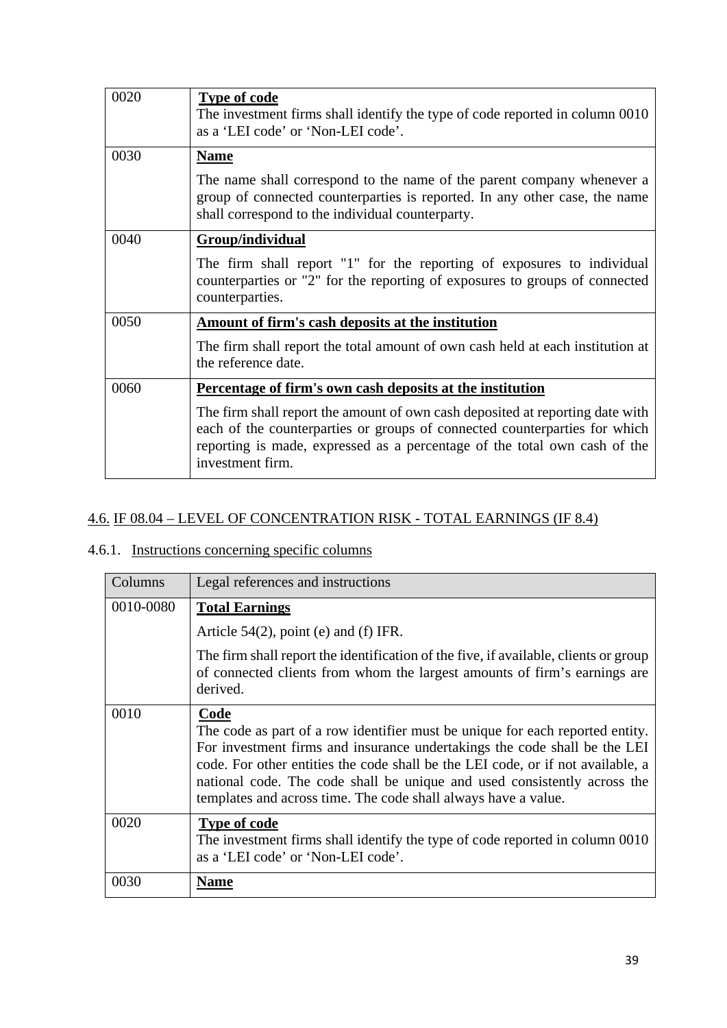| 0020 | <b>Type of code</b><br>The investment firms shall identify the type of code reported in column 0010<br>as a 'LEI code' or 'Non-LEI code'.                                                                                                                    |
|------|--------------------------------------------------------------------------------------------------------------------------------------------------------------------------------------------------------------------------------------------------------------|
| 0030 | <b>Name</b>                                                                                                                                                                                                                                                  |
|      | The name shall correspond to the name of the parent company whenever a<br>group of connected counterparties is reported. In any other case, the name<br>shall correspond to the individual counterparty.                                                     |
| 0040 | Group/individual                                                                                                                                                                                                                                             |
|      | The firm shall report "1" for the reporting of exposures to individual<br>counterparties or "2" for the reporting of exposures to groups of connected<br>counterparties.                                                                                     |
| 0050 | Amount of firm's cash deposits at the institution                                                                                                                                                                                                            |
|      | The firm shall report the total amount of own cash held at each institution at<br>the reference date.                                                                                                                                                        |
| 0060 | Percentage of firm's own cash deposits at the institution                                                                                                                                                                                                    |
|      | The firm shall report the amount of own cash deposited at reporting date with<br>each of the counterparties or groups of connected counterparties for which<br>reporting is made, expressed as a percentage of the total own cash of the<br>investment firm. |

### 4.6. IF 08.04 – LEVEL OF CONCENTRATION RISK - TOTAL EARNINGS (IF 8.4)

### 4.6.1. Instructions concerning specific columns

| Columns   | Legal references and instructions                                                                                                                                                                                                                                                                                                                                                                   |
|-----------|-----------------------------------------------------------------------------------------------------------------------------------------------------------------------------------------------------------------------------------------------------------------------------------------------------------------------------------------------------------------------------------------------------|
| 0010-0080 | <b>Total Earnings</b>                                                                                                                                                                                                                                                                                                                                                                               |
|           | Article $54(2)$ , point (e) and (f) IFR.                                                                                                                                                                                                                                                                                                                                                            |
|           | The firm shall report the identification of the five, if available, clients or group<br>of connected clients from whom the largest amounts of firm's earnings are<br>derived.                                                                                                                                                                                                                       |
| 0010      | Code<br>The code as part of a row identifier must be unique for each reported entity.<br>For investment firms and insurance undertakings the code shall be the LEI<br>code. For other entities the code shall be the LEI code, or if not available, a<br>national code. The code shall be unique and used consistently across the<br>templates and across time. The code shall always have a value. |
| 0020      | <b>Type of code</b><br>The investment firms shall identify the type of code reported in column 0010<br>as a 'LEI code' or 'Non-LEI code'.                                                                                                                                                                                                                                                           |
| 0030      | <b>Name</b>                                                                                                                                                                                                                                                                                                                                                                                         |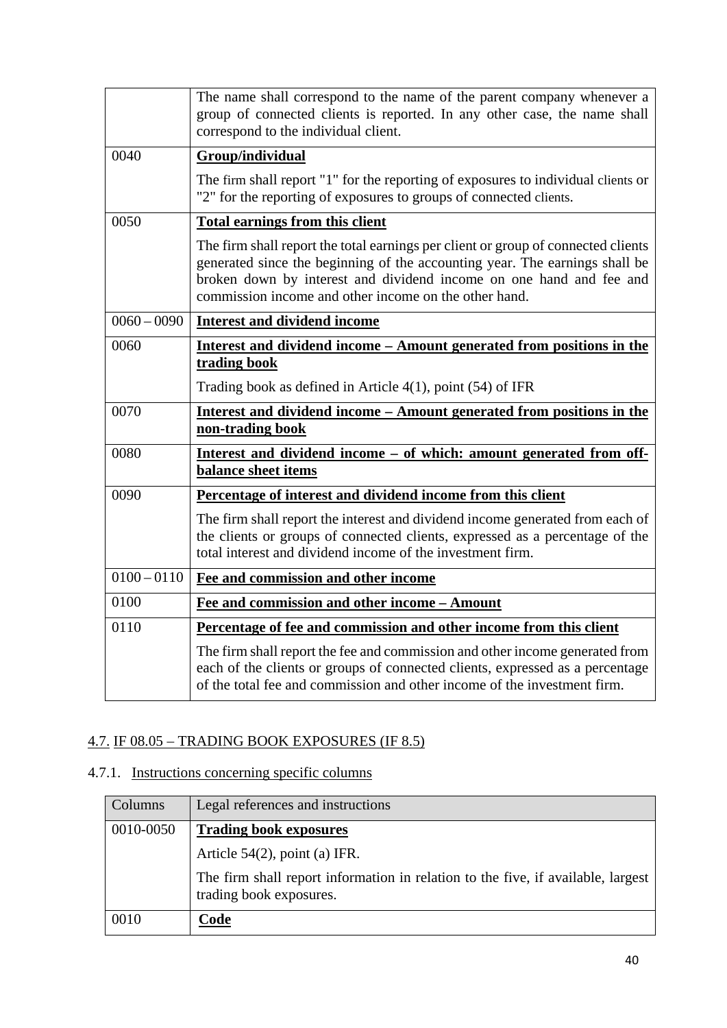|               | The name shall correspond to the name of the parent company whenever a<br>group of connected clients is reported. In any other case, the name shall<br>correspond to the individual client.                                                                                                      |
|---------------|--------------------------------------------------------------------------------------------------------------------------------------------------------------------------------------------------------------------------------------------------------------------------------------------------|
| 0040          | Group/individual                                                                                                                                                                                                                                                                                 |
|               | The firm shall report "1" for the reporting of exposures to individual clients or<br>"2" for the reporting of exposures to groups of connected clients.                                                                                                                                          |
| 0050          | <b>Total earnings from this client</b>                                                                                                                                                                                                                                                           |
|               | The firm shall report the total earnings per client or group of connected clients<br>generated since the beginning of the accounting year. The earnings shall be<br>broken down by interest and dividend income on one hand and fee and<br>commission income and other income on the other hand. |
| $0060 - 0090$ | <b>Interest and dividend income</b>                                                                                                                                                                                                                                                              |
| 0060          | Interest and dividend income – Amount generated from positions in the<br>trading book                                                                                                                                                                                                            |
|               | Trading book as defined in Article $4(1)$ , point $(54)$ of IFR                                                                                                                                                                                                                                  |
| 0070          | Interest and dividend income – Amount generated from positions in the<br>non-trading book                                                                                                                                                                                                        |
| 0080          | <u>Interest and dividend income – of which: amount generated from off-</u><br><b>balance sheet items</b>                                                                                                                                                                                         |
| 0090          | Percentage of interest and dividend income from this client                                                                                                                                                                                                                                      |
|               | The firm shall report the interest and dividend income generated from each of<br>the clients or groups of connected clients, expressed as a percentage of the<br>total interest and dividend income of the investment firm.                                                                      |
| $0100 - 0110$ | Fee and commission and other income                                                                                                                                                                                                                                                              |
| 0100          | Fee and commission and other income - Amount                                                                                                                                                                                                                                                     |
| 0110          | Percentage of fee and commission and other income from this client                                                                                                                                                                                                                               |
|               | The firm shall report the fee and commission and other income generated from<br>each of the clients or groups of connected clients, expressed as a percentage<br>of the total fee and commission and other income of the investment firm.                                                        |

### 4.7. IF 08.05 – TRADING BOOK EXPOSURES (IF 8.5)

## 4.7.1. Instructions concerning specific columns

| Columns   | Legal references and instructions                                                                           |
|-----------|-------------------------------------------------------------------------------------------------------------|
| 0010-0050 | <b>Trading book exposures</b>                                                                               |
|           | Article $54(2)$ , point (a) IFR.                                                                            |
|           | The firm shall report information in relation to the five, if available, largest<br>trading book exposures. |
| 0010      | Code                                                                                                        |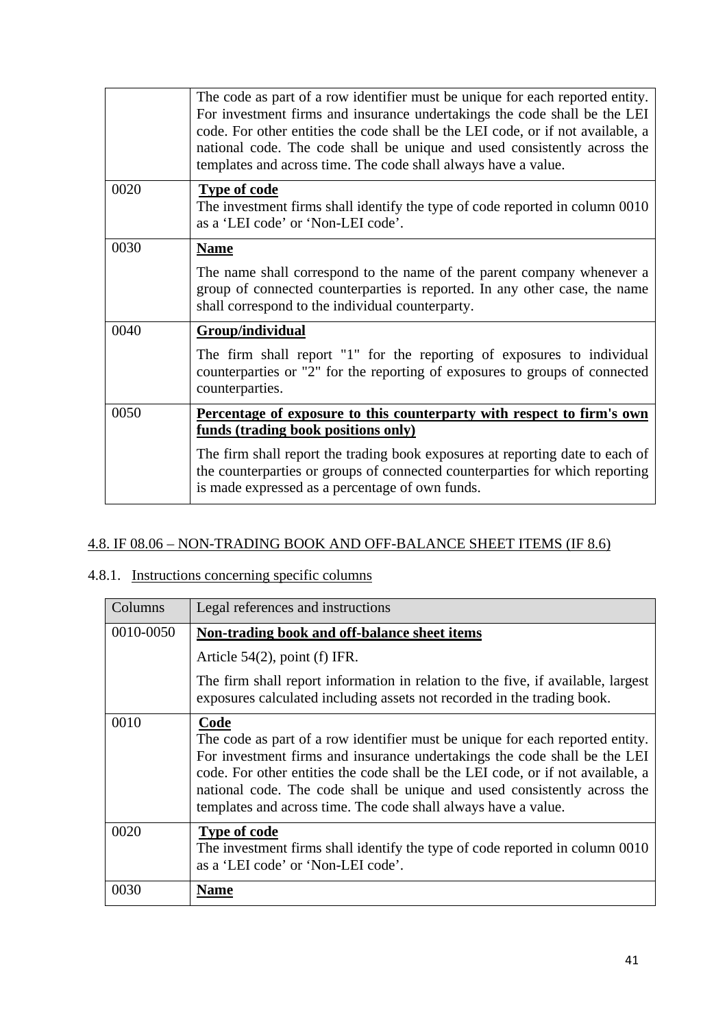|      | The code as part of a row identifier must be unique for each reported entity.<br>For investment firms and insurance undertakings the code shall be the LEI<br>code. For other entities the code shall be the LEI code, or if not available, a<br>national code. The code shall be unique and used consistently across the<br>templates and across time. The code shall always have a value. |
|------|---------------------------------------------------------------------------------------------------------------------------------------------------------------------------------------------------------------------------------------------------------------------------------------------------------------------------------------------------------------------------------------------|
| 0020 | <b>Type of code</b><br>The investment firms shall identify the type of code reported in column 0010<br>as a 'LEI code' or 'Non-LEI code'.                                                                                                                                                                                                                                                   |
| 0030 | <b>Name</b>                                                                                                                                                                                                                                                                                                                                                                                 |
|      | The name shall correspond to the name of the parent company whenever a<br>group of connected counterparties is reported. In any other case, the name<br>shall correspond to the individual counterparty.                                                                                                                                                                                    |
| 0040 | Group/individual                                                                                                                                                                                                                                                                                                                                                                            |
|      | The firm shall report "1" for the reporting of exposures to individual<br>counterparties or "2" for the reporting of exposures to groups of connected<br>counterparties.                                                                                                                                                                                                                    |
| 0050 | Percentage of exposure to this counterparty with respect to firm's own<br>funds (trading book positions only)                                                                                                                                                                                                                                                                               |
|      | The firm shall report the trading book exposures at reporting date to each of<br>the counterparties or groups of connected counterparties for which reporting<br>is made expressed as a percentage of own funds.                                                                                                                                                                            |

### 4.8. IF 08.06 – NON-TRADING BOOK AND OFF-BALANCE SHEET ITEMS (IF 8.6)

## 4.8.1. Instructions concerning specific columns

| Columns   | Legal references and instructions                                                                                                                                                                                                                                                                                                                                                                   |
|-----------|-----------------------------------------------------------------------------------------------------------------------------------------------------------------------------------------------------------------------------------------------------------------------------------------------------------------------------------------------------------------------------------------------------|
| 0010-0050 | Non-trading book and off-balance sheet items                                                                                                                                                                                                                                                                                                                                                        |
|           | Article $54(2)$ , point (f) IFR.                                                                                                                                                                                                                                                                                                                                                                    |
|           | The firm shall report information in relation to the five, if available, largest<br>exposures calculated including assets not recorded in the trading book.                                                                                                                                                                                                                                         |
| 0010      | Code<br>The code as part of a row identifier must be unique for each reported entity.<br>For investment firms and insurance undertakings the code shall be the LEI<br>code. For other entities the code shall be the LEI code, or if not available, a<br>national code. The code shall be unique and used consistently across the<br>templates and across time. The code shall always have a value. |
| 0020      | <b>Type of code</b><br>The investment firms shall identify the type of code reported in column 0010<br>as a 'LEI code' or 'Non-LEI code'.                                                                                                                                                                                                                                                           |
| 0030      | <b>Name</b>                                                                                                                                                                                                                                                                                                                                                                                         |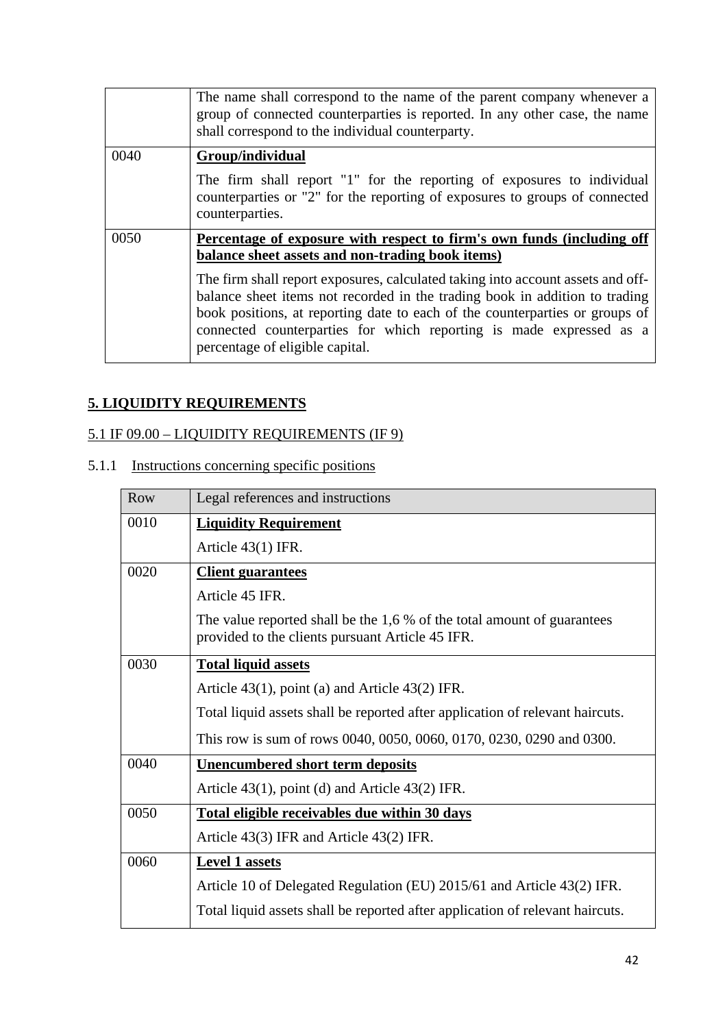|      | The name shall correspond to the name of the parent company whenever a<br>group of connected counterparties is reported. In any other case, the name<br>shall correspond to the individual counterparty.                                                                                                                                                                                                                                                                               |
|------|----------------------------------------------------------------------------------------------------------------------------------------------------------------------------------------------------------------------------------------------------------------------------------------------------------------------------------------------------------------------------------------------------------------------------------------------------------------------------------------|
| 0040 | Group/individual<br>The firm shall report "1" for the reporting of exposures to individual<br>counterparties or "2" for the reporting of exposures to groups of connected<br>counterparties.                                                                                                                                                                                                                                                                                           |
| 0050 | Percentage of exposure with respect to firm's own funds (including off<br>balance sheet assets and non-trading book items)<br>The firm shall report exposures, calculated taking into account assets and off-<br>balance sheet items not recorded in the trading book in addition to trading<br>book positions, at reporting date to each of the counterparties or groups of<br>connected counterparties for which reporting is made expressed as a<br>percentage of eligible capital. |

### **5. LIQUIDITY REQUIREMENTS**

### 5.1 IF 09.00 – LIQUIDITY REQUIREMENTS (IF 9)

# 5.1.1 Instructions concerning specific positions

| Row  | Legal references and instructions                                                                                            |
|------|------------------------------------------------------------------------------------------------------------------------------|
| 0010 | <b>Liquidity Requirement</b>                                                                                                 |
|      | Article $43(1)$ IFR.                                                                                                         |
| 0020 | <b>Client guarantees</b>                                                                                                     |
|      | Article 45 IFR.                                                                                                              |
|      | The value reported shall be the $1,6%$ of the total amount of guarantees<br>provided to the clients pursuant Article 45 IFR. |
| 0030 | <b>Total liquid assets</b>                                                                                                   |
|      | Article $43(1)$ , point (a) and Article $43(2)$ IFR.                                                                         |
|      | Total liquid assets shall be reported after application of relevant haircuts.                                                |
|      | This row is sum of rows 0040, 0050, 0060, 0170, 0230, 0290 and 0300.                                                         |
| 0040 | <b>Unencumbered short term deposits</b>                                                                                      |
|      | Article $43(1)$ , point (d) and Article $43(2)$ IFR.                                                                         |
| 0050 | Total eligible receivables due within 30 days                                                                                |
|      | Article 43(3) IFR and Article 43(2) IFR.                                                                                     |
| 0060 | <b>Level 1 assets</b>                                                                                                        |
|      | Article 10 of Delegated Regulation (EU) 2015/61 and Article 43(2) IFR.                                                       |
|      | Total liquid assets shall be reported after application of relevant haircuts.                                                |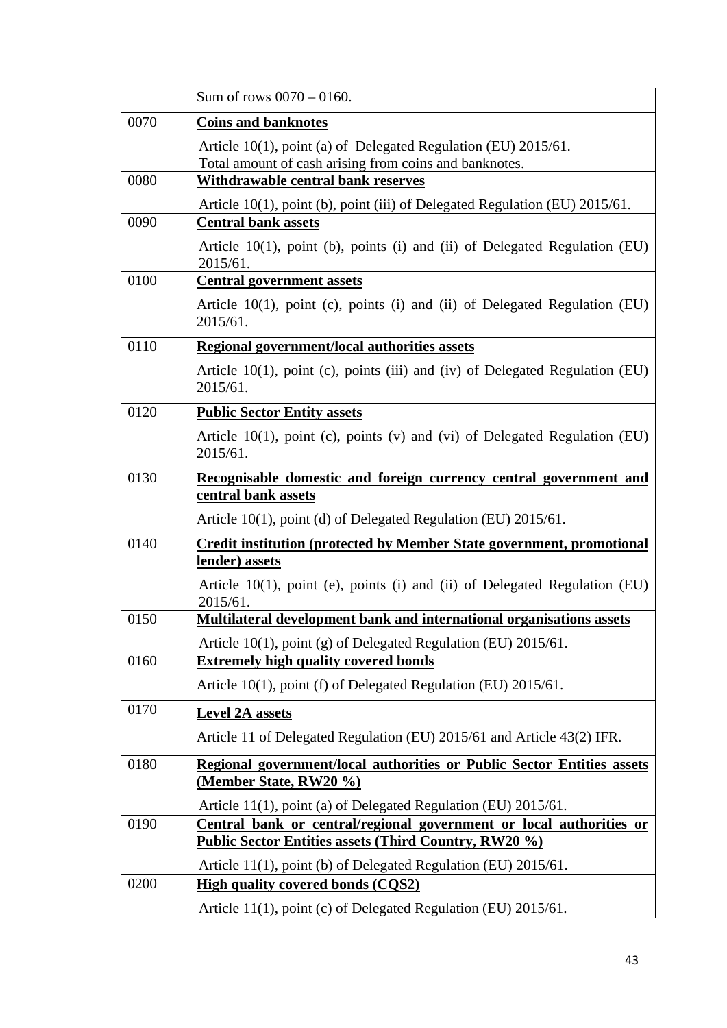|      | Sum of rows $0070 - 0160$ .                                                                                                         |
|------|-------------------------------------------------------------------------------------------------------------------------------------|
| 0070 | <b>Coins and banknotes</b>                                                                                                          |
|      | Article 10(1), point (a) of Delegated Regulation (EU) 2015/61.                                                                      |
| 0080 | Total amount of cash arising from coins and banknotes.<br>Withdrawable central bank reserves                                        |
|      |                                                                                                                                     |
| 0090 | Article 10(1), point (b), point (iii) of Delegated Regulation (EU) 2015/61.<br><b>Central bank assets</b>                           |
|      | Article 10(1), point (b), points (i) and (ii) of Delegated Regulation (EU)<br>2015/61.                                              |
| 0100 | <b>Central government assets</b>                                                                                                    |
|      | Article $10(1)$ , point (c), points (i) and (ii) of Delegated Regulation (EU)<br>2015/61.                                           |
| 0110 | <b>Regional government/local authorities assets</b>                                                                                 |
|      | Article $10(1)$ , point (c), points (iii) and (iv) of Delegated Regulation (EU)<br>2015/61.                                         |
| 0120 | <b>Public Sector Entity assets</b>                                                                                                  |
|      | Article $10(1)$ , point (c), points (v) and (vi) of Delegated Regulation (EU)<br>2015/61.                                           |
| 0130 | Recognisable domestic and foreign currency central government and                                                                   |
|      | central bank assets                                                                                                                 |
|      | Article 10(1), point (d) of Delegated Regulation (EU) 2015/61.                                                                      |
| 0140 | <b>Credit institution (protected by Member State government, promotional</b><br>lender) assets                                      |
|      | Article 10(1), point (e), points (i) and (ii) of Delegated Regulation (EU)<br>2015/61.                                              |
| 0150 | Multilateral development bank and international organisations assets                                                                |
|      | Article 10(1), point (g) of Delegated Regulation (EU) 2015/61.                                                                      |
| 0160 | <b>Extremely high quality covered bonds</b>                                                                                         |
|      | Article 10(1), point (f) of Delegated Regulation (EU) 2015/61.                                                                      |
| 0170 | <b>Level 2A assets</b>                                                                                                              |
|      | Article 11 of Delegated Regulation (EU) 2015/61 and Article 43(2) IFR.                                                              |
| 0180 | Regional government/local authorities or Public Sector Entities assets                                                              |
|      | (Member State, RW20 %)                                                                                                              |
| 0190 | Article 11(1), point (a) of Delegated Regulation (EU) 2015/61.                                                                      |
|      | Central bank or central/regional government or local authorities or<br><b>Public Sector Entities assets (Third Country, RW20 %)</b> |
|      | Article 11(1), point (b) of Delegated Regulation (EU) 2015/61.                                                                      |
| 0200 | <b>High quality covered bonds (CQS2)</b>                                                                                            |
|      | Article 11(1), point (c) of Delegated Regulation (EU) 2015/61.                                                                      |